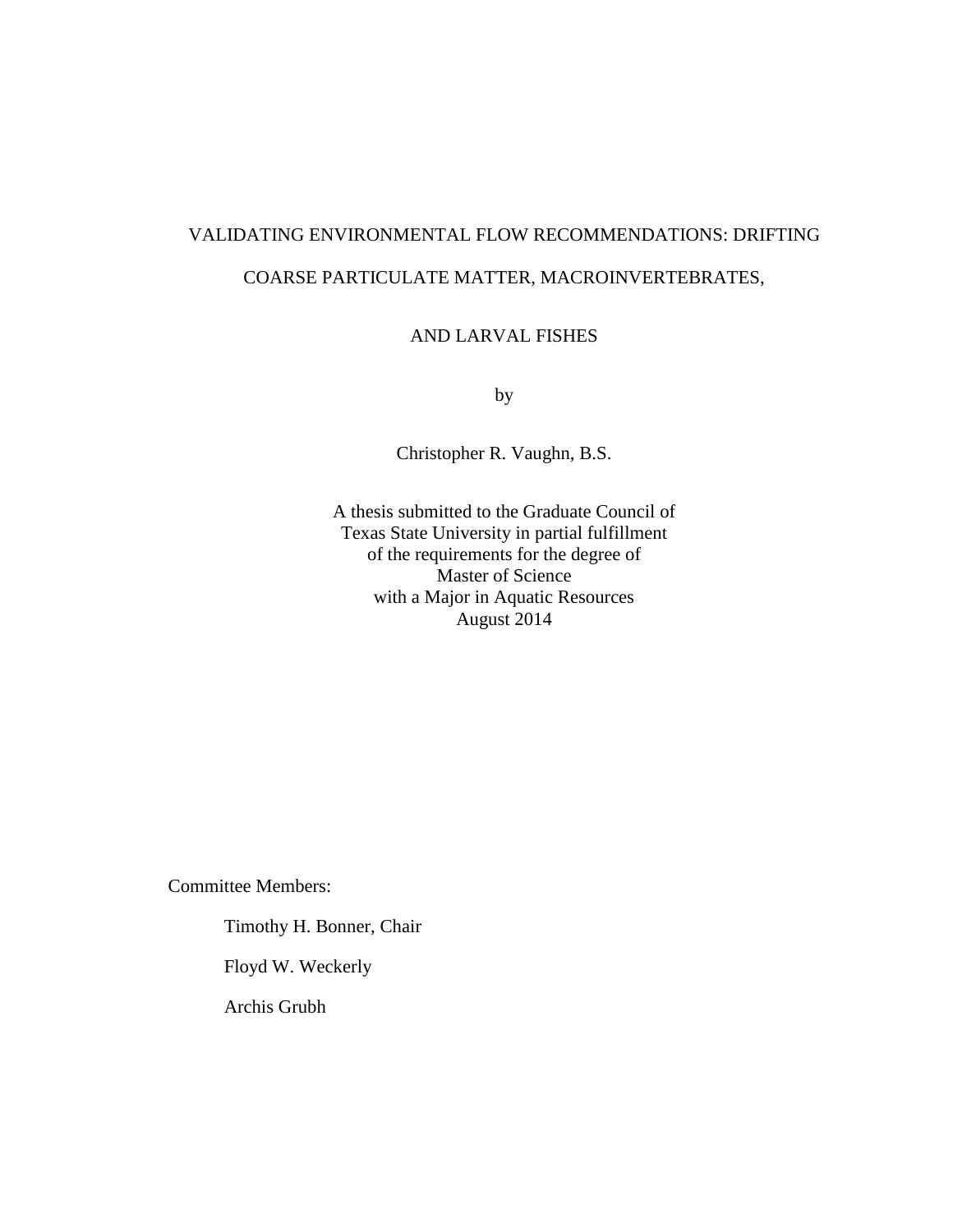# VALIDATING ENVIRONMENTAL FLOW RECOMMENDATIONS: DRIFTING COARSE PARTICULATE MATTER, MACROINVERTEBRATES,

## AND LARVAL FISHES

by

Christopher R. Vaughn, B.S.

A thesis submitted to the Graduate Council of Texas State University in partial fulfillment of the requirements for the degree of Master of Science with a Major in Aquatic Resources August 2014

Committee Members:

Timothy H. Bonner, Chair

Floyd W. Weckerly

Archis Grubh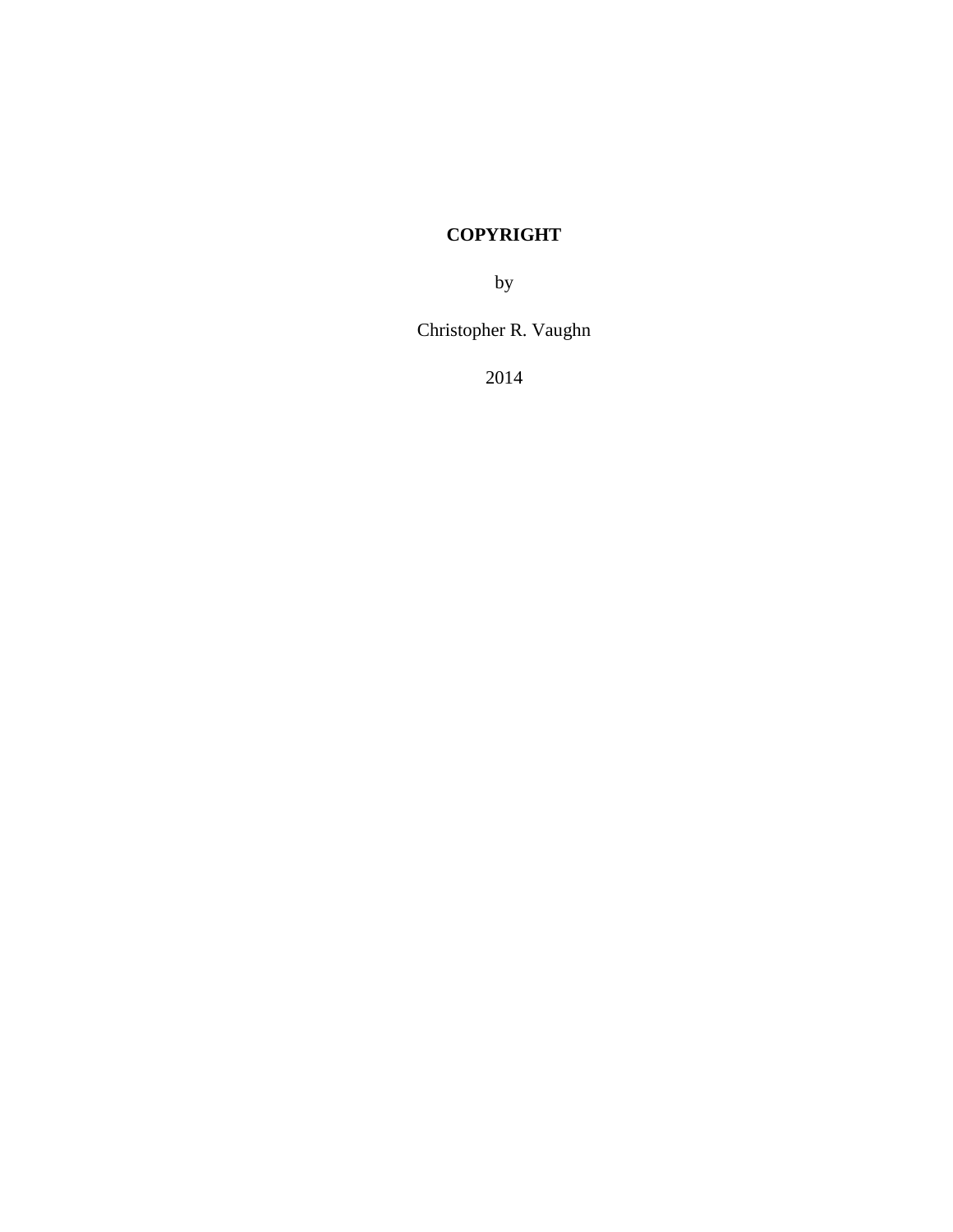# **COPYRIGHT**

by

Christopher R. Vaughn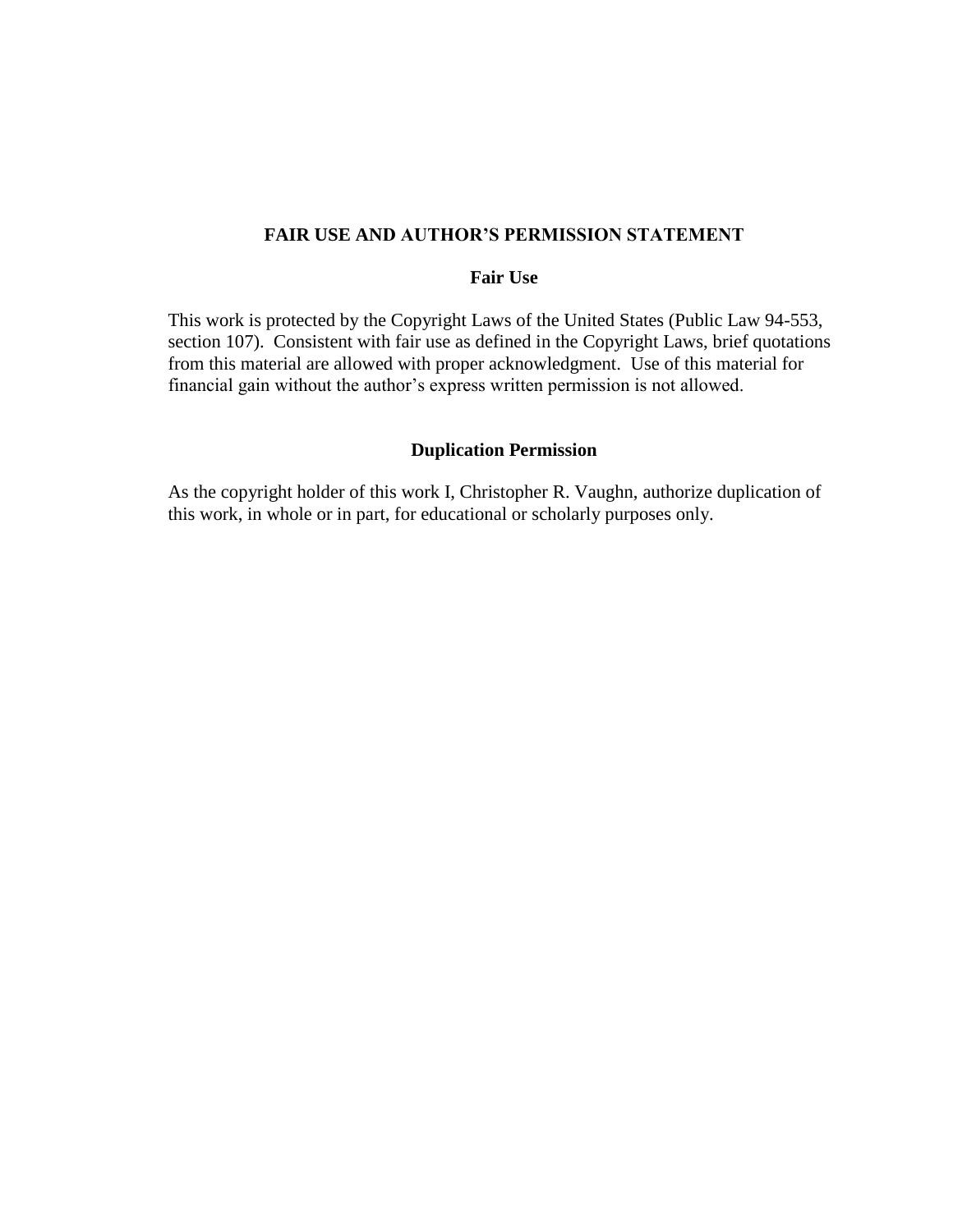## **FAIR USE AND AUTHOR'S PERMISSION STATEMENT**

## **Fair Use**

This work is protected by the Copyright Laws of the United States (Public Law 94-553, section 107). Consistent with fair use as defined in the Copyright Laws, brief quotations from this material are allowed with proper acknowledgment. Use of this material for financial gain without the author's express written permission is not allowed.

#### **Duplication Permission**

As the copyright holder of this work I, Christopher R. Vaughn, authorize duplication of this work, in whole or in part, for educational or scholarly purposes only.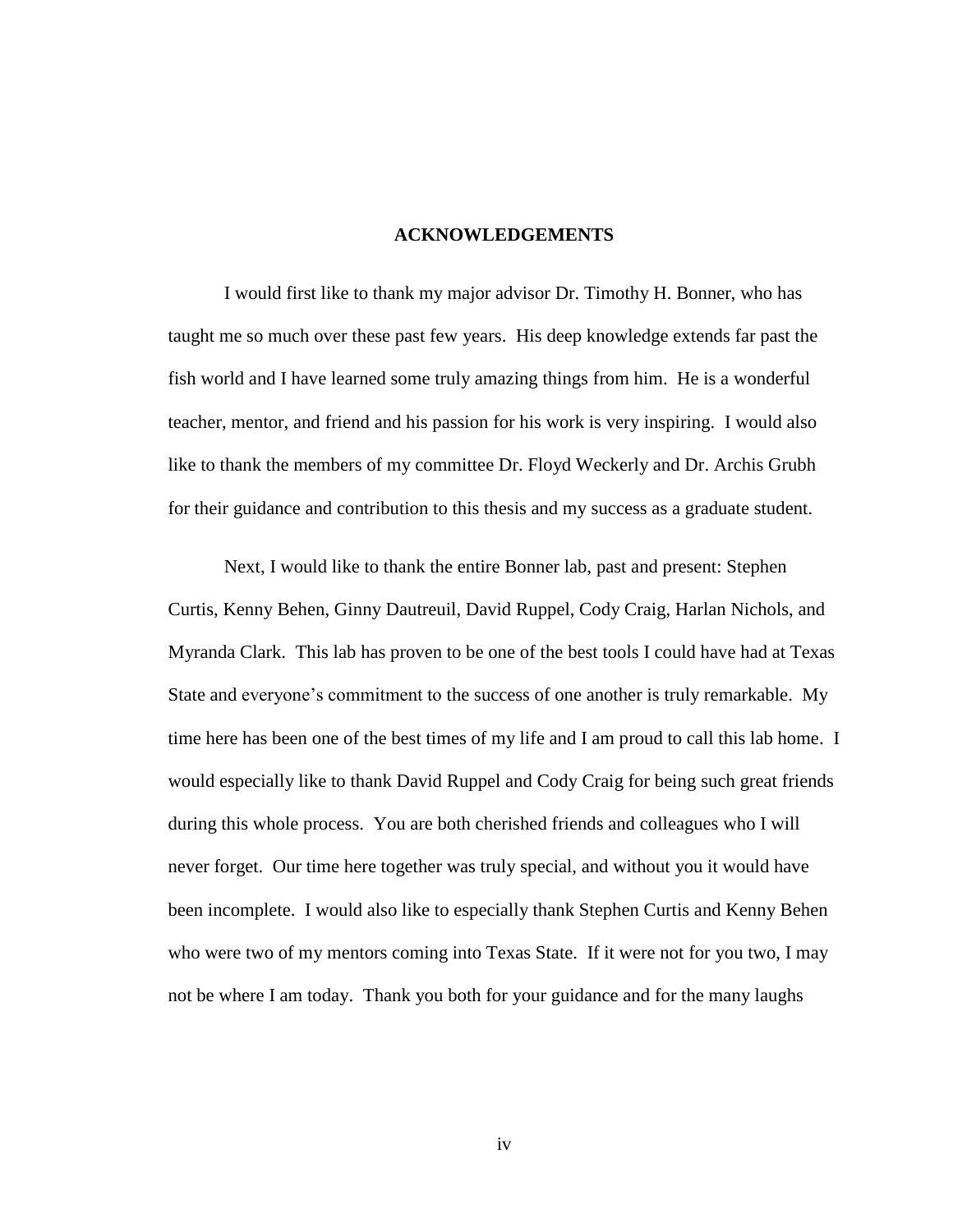#### **ACKNOWLEDGEMENTS**

I would first like to thank my major advisor Dr. Timothy H. Bonner, who has taught me so much over these past few years. His deep knowledge extends far past the fish world and I have learned some truly amazing things from him. He is a wonderful teacher, mentor, and friend and his passion for his work is very inspiring. I would also like to thank the members of my committee Dr. Floyd Weckerly and Dr. Archis Grubh for their guidance and contribution to this thesis and my success as a graduate student.

Next, I would like to thank the entire Bonner lab, past and present: Stephen Curtis, Kenny Behen, Ginny Dautreuil, David Ruppel, Cody Craig, Harlan Nichols, and Myranda Clark. This lab has proven to be one of the best tools I could have had at Texas State and everyone's commitment to the success of one another is truly remarkable. My time here has been one of the best times of my life and I am proud to call this lab home. I would especially like to thank David Ruppel and Cody Craig for being such great friends during this whole process. You are both cherished friends and colleagues who I will never forget. Our time here together was truly special, and without you it would have been incomplete. I would also like to especially thank Stephen Curtis and Kenny Behen who were two of my mentors coming into Texas State. If it were not for you two, I may not be where I am today. Thank you both for your guidance and for the many laughs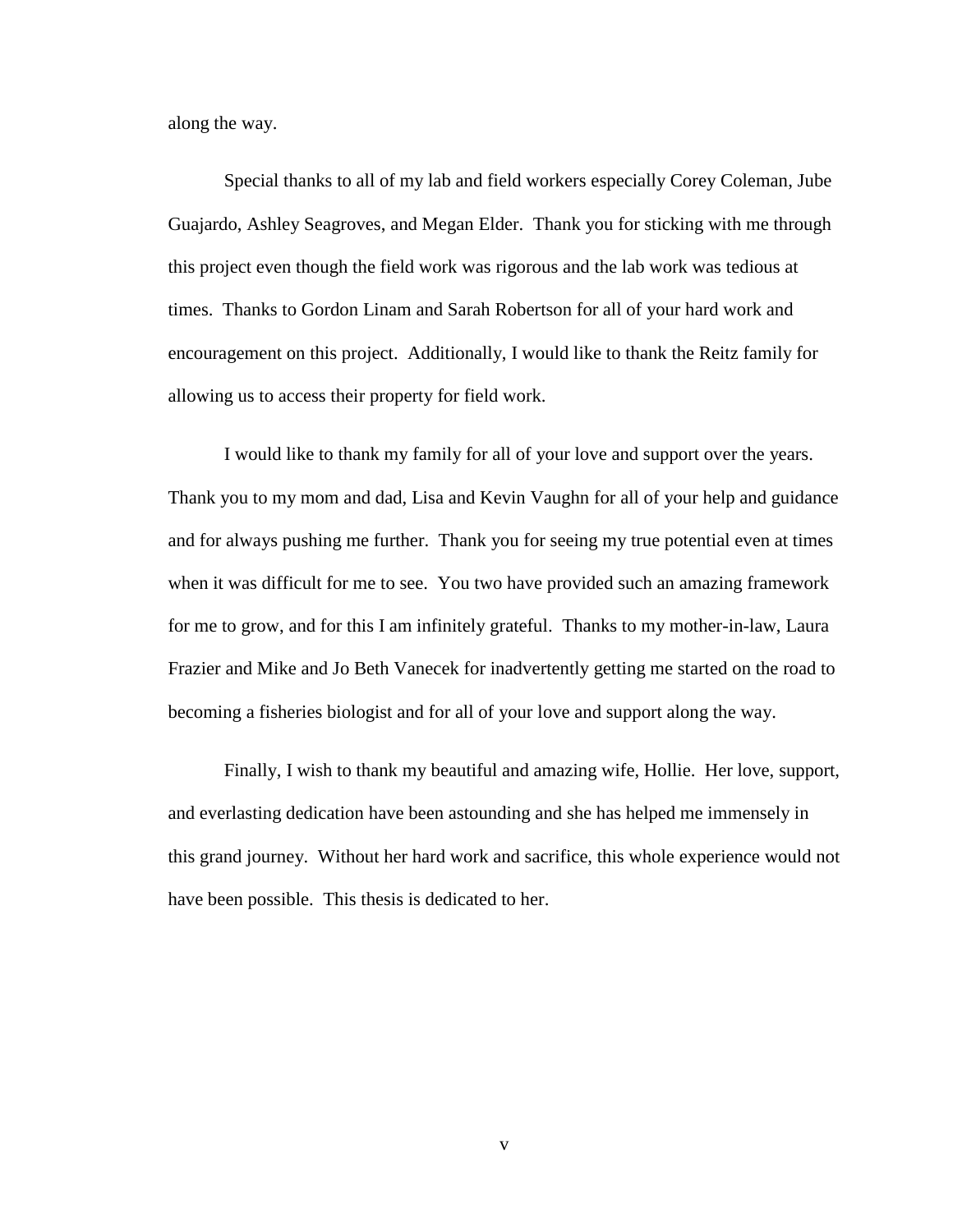along the way.

Special thanks to all of my lab and field workers especially Corey Coleman, Jube Guajardo, Ashley Seagroves, and Megan Elder. Thank you for sticking with me through this project even though the field work was rigorous and the lab work was tedious at times. Thanks to Gordon Linam and Sarah Robertson for all of your hard work and encouragement on this project. Additionally, I would like to thank the Reitz family for allowing us to access their property for field work.

I would like to thank my family for all of your love and support over the years. Thank you to my mom and dad, Lisa and Kevin Vaughn for all of your help and guidance and for always pushing me further. Thank you for seeing my true potential even at times when it was difficult for me to see. You two have provided such an amazing framework for me to grow, and for this I am infinitely grateful. Thanks to my mother-in-law, Laura Frazier and Mike and Jo Beth Vanecek for inadvertently getting me started on the road to becoming a fisheries biologist and for all of your love and support along the way.

Finally, I wish to thank my beautiful and amazing wife, Hollie. Her love, support, and everlasting dedication have been astounding and she has helped me immensely in this grand journey. Without her hard work and sacrifice, this whole experience would not have been possible. This thesis is dedicated to her.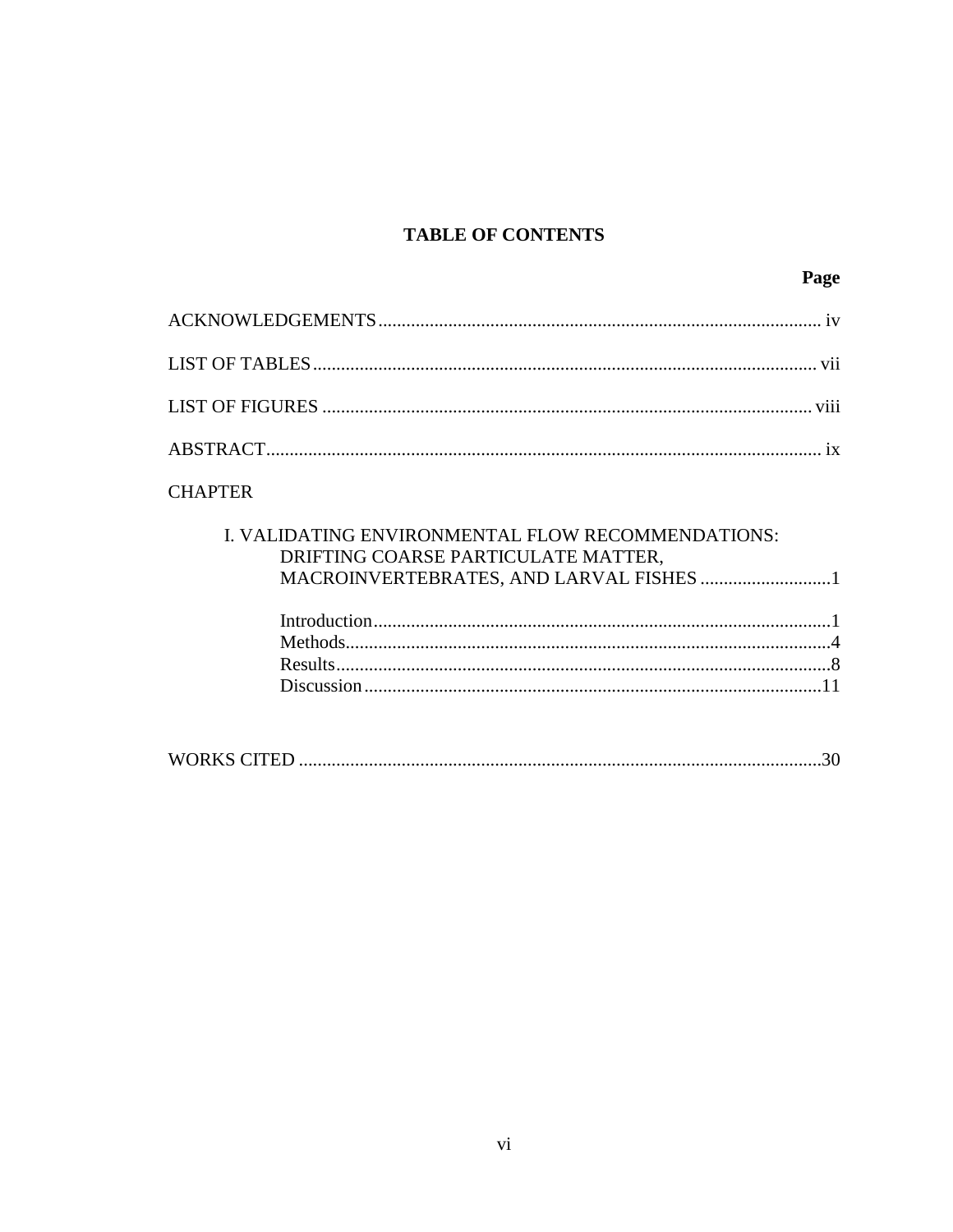# **TABLE OF CONTENTS**

|                | Page |
|----------------|------|
|                |      |
|                |      |
|                |      |
|                |      |
| <b>CUADTED</b> |      |

# **CHAPTER**

| I. VALIDATING ENVIRONMENTAL FLOW RECOMMENDATIONS: |  |
|---------------------------------------------------|--|
| DRIFTING COARSE PARTICULATE MATTER,               |  |
|                                                   |  |
|                                                   |  |
|                                                   |  |
|                                                   |  |
|                                                   |  |
|                                                   |  |
|                                                   |  |
|                                                   |  |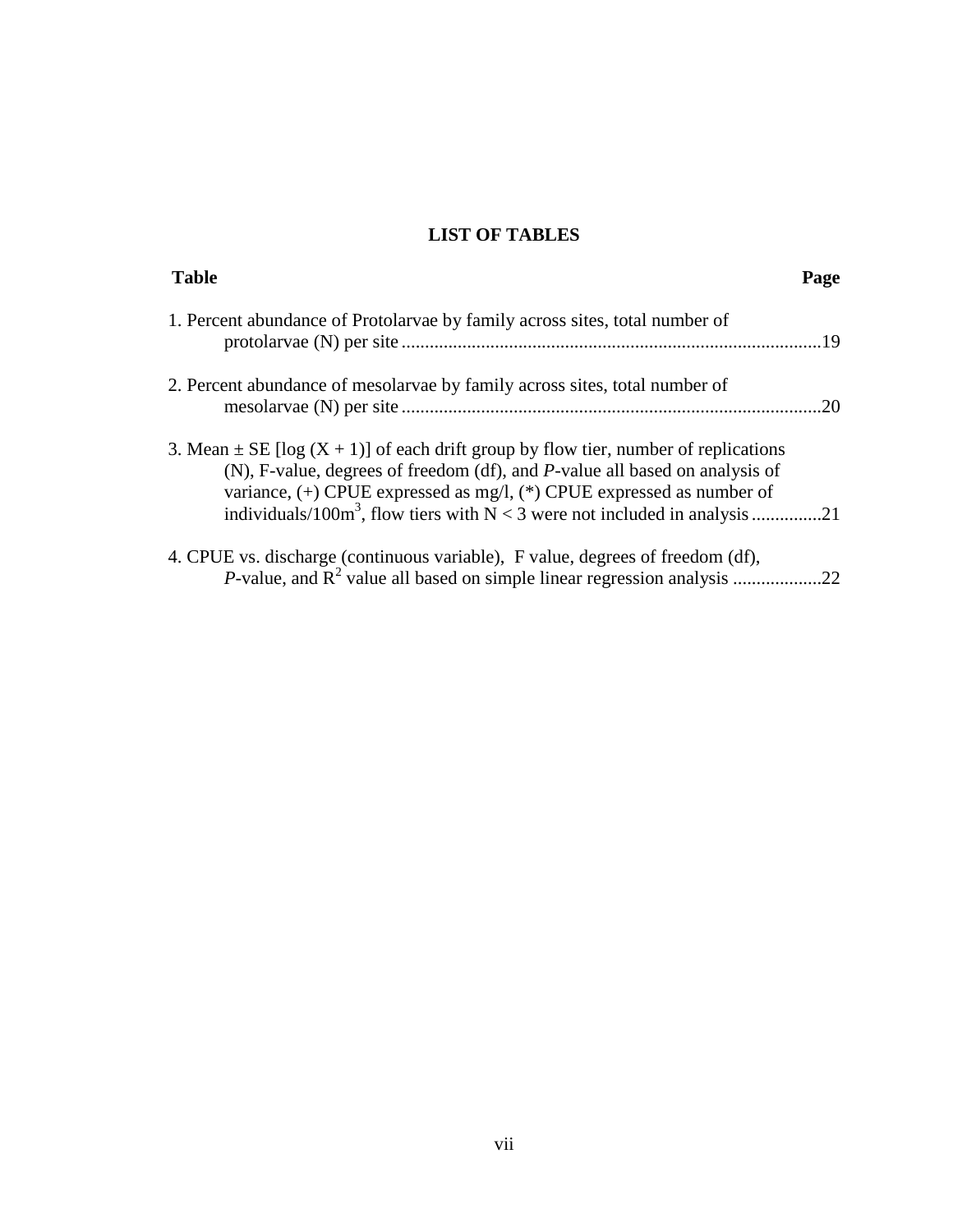# **LIST OF TABLES**

| <b>Table</b>                                                                                                                                                                                                                                        | Page |
|-----------------------------------------------------------------------------------------------------------------------------------------------------------------------------------------------------------------------------------------------------|------|
| 1. Percent abundance of Protolaryae by family across sites, total number of                                                                                                                                                                         | .19  |
| 2. Percent abundance of mesolary as by family across sites, total number of                                                                                                                                                                         | 20   |
| 3. Mean $\pm$ SE [log (X + 1)] of each drift group by flow tier, number of replications<br>(N), F-value, degrees of freedom (df), and P-value all based on analysis of<br>variance, $(+)$ CPUE expressed as mg/l, $(*)$ CPUE expressed as number of |      |
| 4. CPUE vs. discharge (continuous variable), F value, degrees of freedom (df),<br><i>P</i> -value, and $R^2$ value all based on simple linear regression analysis                                                                                   | 22.  |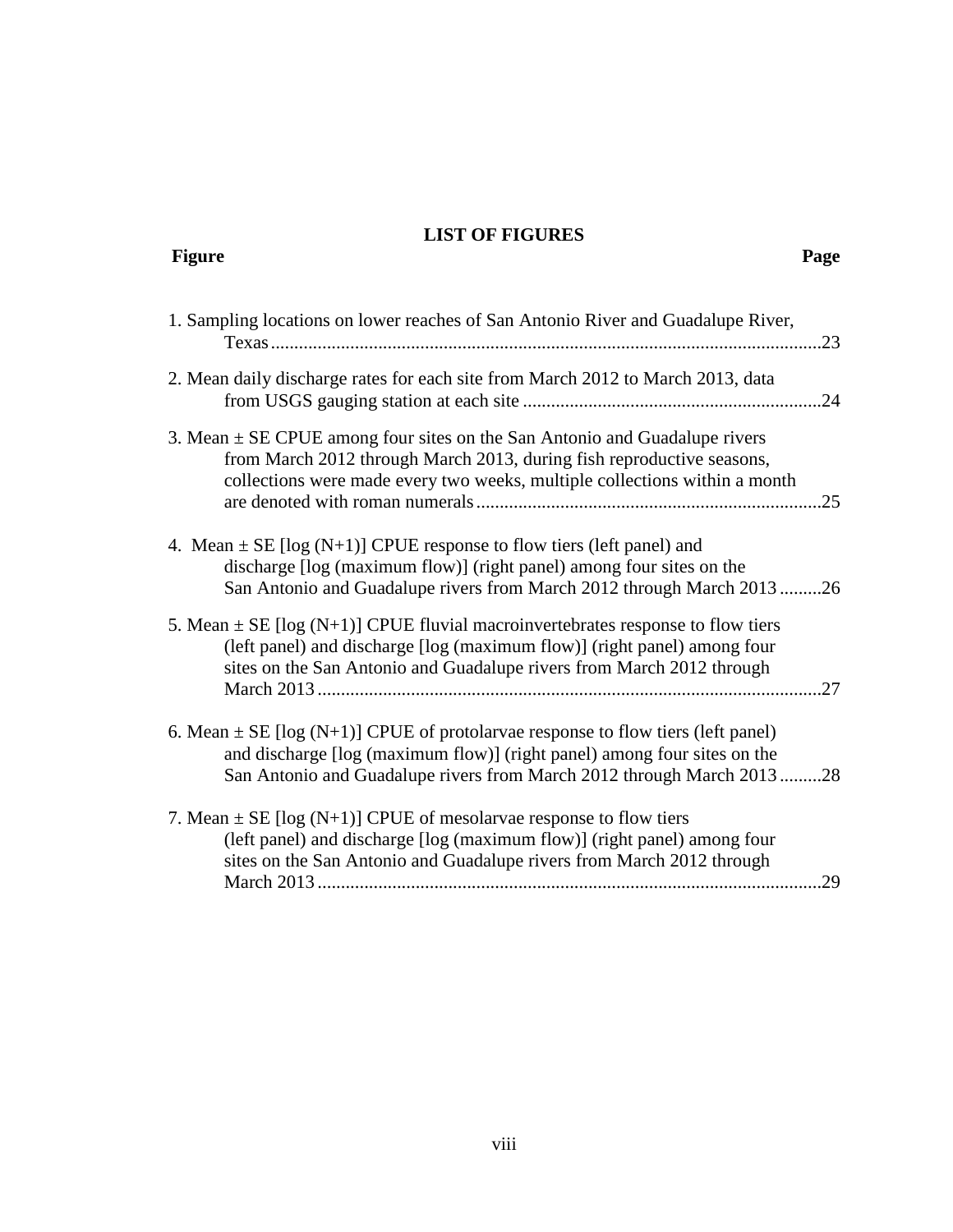## **LIST OF FIGURES**

| <b>Figure</b>                                                                                                                                                                                                                             | Page |
|-------------------------------------------------------------------------------------------------------------------------------------------------------------------------------------------------------------------------------------------|------|
| 1. Sampling locations on lower reaches of San Antonio River and Guadalupe River,                                                                                                                                                          | .23  |
| 2. Mean daily discharge rates for each site from March 2012 to March 2013, data                                                                                                                                                           |      |
| 3. Mean $\pm$ SE CPUE among four sites on the San Antonio and Guadalupe rivers<br>from March 2012 through March 2013, during fish reproductive seasons,<br>collections were made every two weeks, multiple collections within a month     | .25  |
| 4. Mean $\pm$ SE [log (N+1)] CPUE response to flow tiers (left panel) and<br>discharge [log (maximum flow)] (right panel) among four sites on the<br>San Antonio and Guadalupe rivers from March 2012 through March 201326                |      |
| 5. Mean $\pm$ SE [log (N+1)] CPUE fluvial macroinvertebrates response to flow tiers<br>(left panel) and discharge [log (maximum flow)] (right panel) among four<br>sites on the San Antonio and Guadalupe rivers from March 2012 through  | 27   |
| 6. Mean $\pm$ SE [log (N+1)] CPUE of protolarvae response to flow tiers (left panel)<br>and discharge [log (maximum flow)] (right panel) among four sites on the<br>San Antonio and Guadalupe rivers from March 2012 through March 201328 |      |
| 7. Mean $\pm$ SE [log (N+1)] CPUE of mesolary ae response to flow tiers<br>(left panel) and discharge [log (maximum flow)] (right panel) among four<br>sites on the San Antonio and Guadalupe rivers from March 2012 through              | .29  |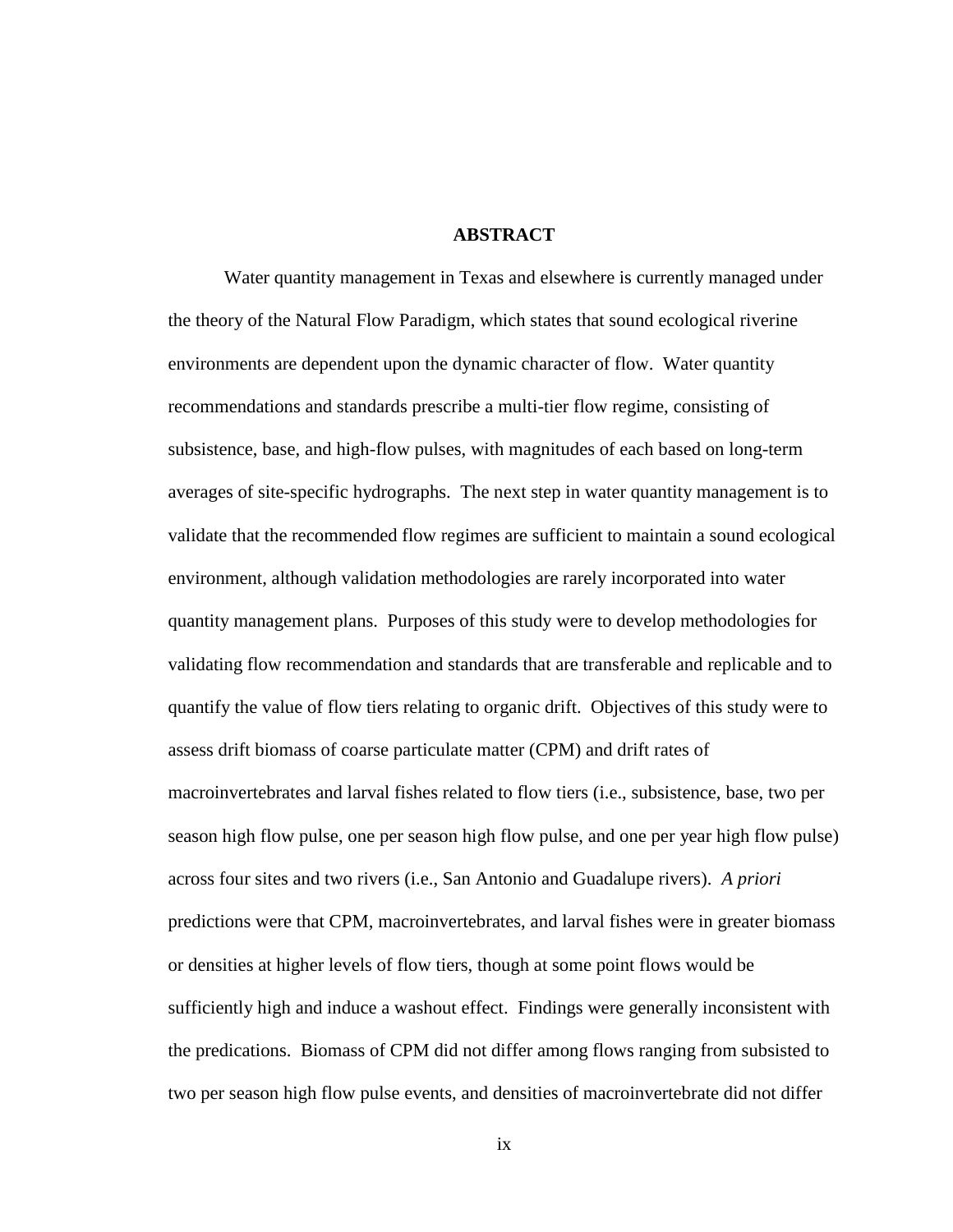#### **ABSTRACT**

Water quantity management in Texas and elsewhere is currently managed under the theory of the Natural Flow Paradigm, which states that sound ecological riverine environments are dependent upon the dynamic character of flow. Water quantity recommendations and standards prescribe a multi-tier flow regime, consisting of subsistence, base, and high-flow pulses, with magnitudes of each based on long-term averages of site-specific hydrographs. The next step in water quantity management is to validate that the recommended flow regimes are sufficient to maintain a sound ecological environment, although validation methodologies are rarely incorporated into water quantity management plans. Purposes of this study were to develop methodologies for validating flow recommendation and standards that are transferable and replicable and to quantify the value of flow tiers relating to organic drift. Objectives of this study were to assess drift biomass of coarse particulate matter (CPM) and drift rates of macroinvertebrates and larval fishes related to flow tiers (i.e., subsistence, base, two per season high flow pulse, one per season high flow pulse, and one per year high flow pulse) across four sites and two rivers (i.e., San Antonio and Guadalupe rivers). *A priori* predictions were that CPM, macroinvertebrates, and larval fishes were in greater biomass or densities at higher levels of flow tiers, though at some point flows would be sufficiently high and induce a washout effect. Findings were generally inconsistent with the predications. Biomass of CPM did not differ among flows ranging from subsisted to two per season high flow pulse events, and densities of macroinvertebrate did not differ

ix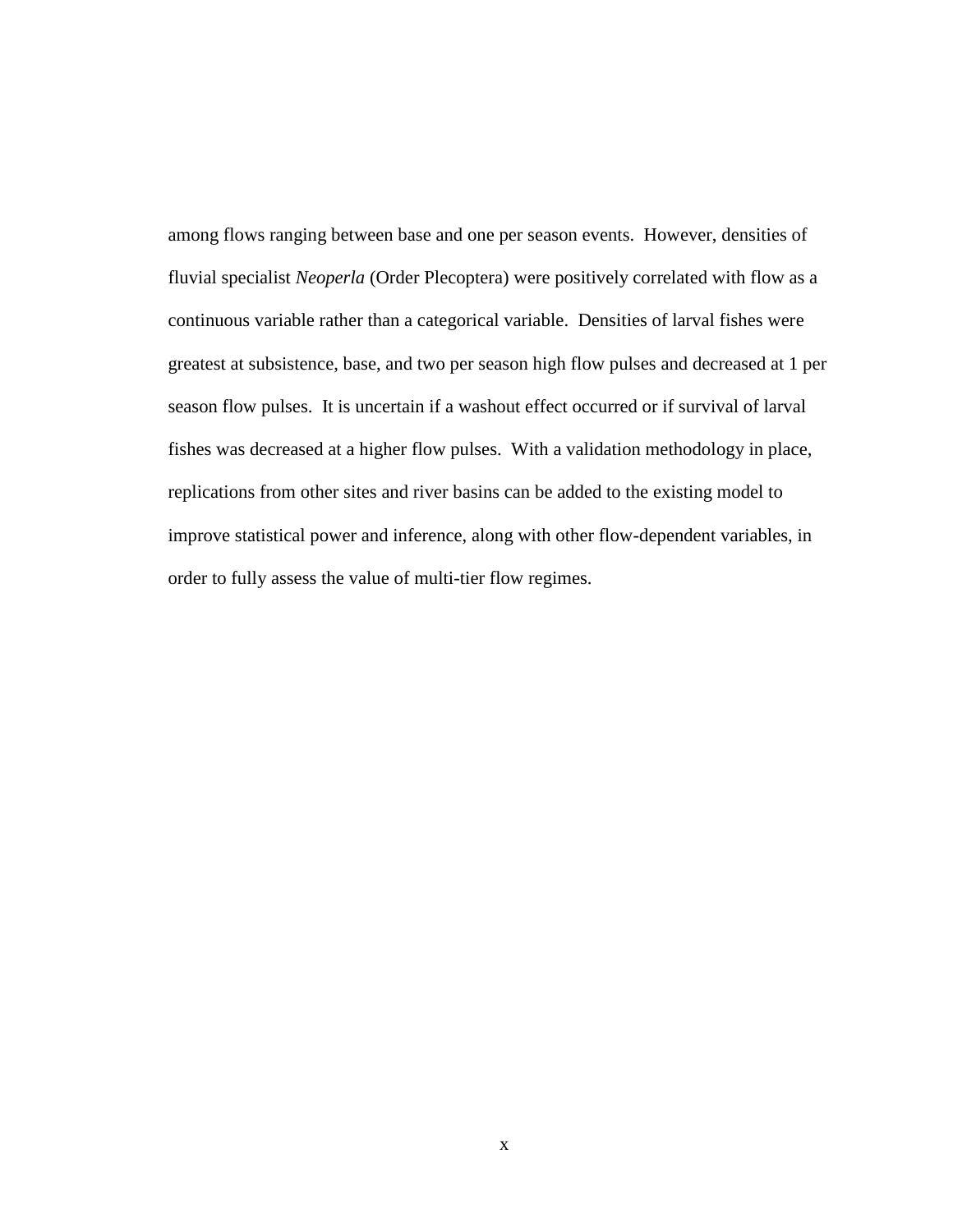among flows ranging between base and one per season events. However, densities of fluvial specialist *Neoperla* (Order Plecoptera) were positively correlated with flow as a continuous variable rather than a categorical variable. Densities of larval fishes were greatest at subsistence, base, and two per season high flow pulses and decreased at 1 per season flow pulses. It is uncertain if a washout effect occurred or if survival of larval fishes was decreased at a higher flow pulses. With a validation methodology in place, replications from other sites and river basins can be added to the existing model to improve statistical power and inference, along with other flow-dependent variables, in order to fully assess the value of multi-tier flow regimes.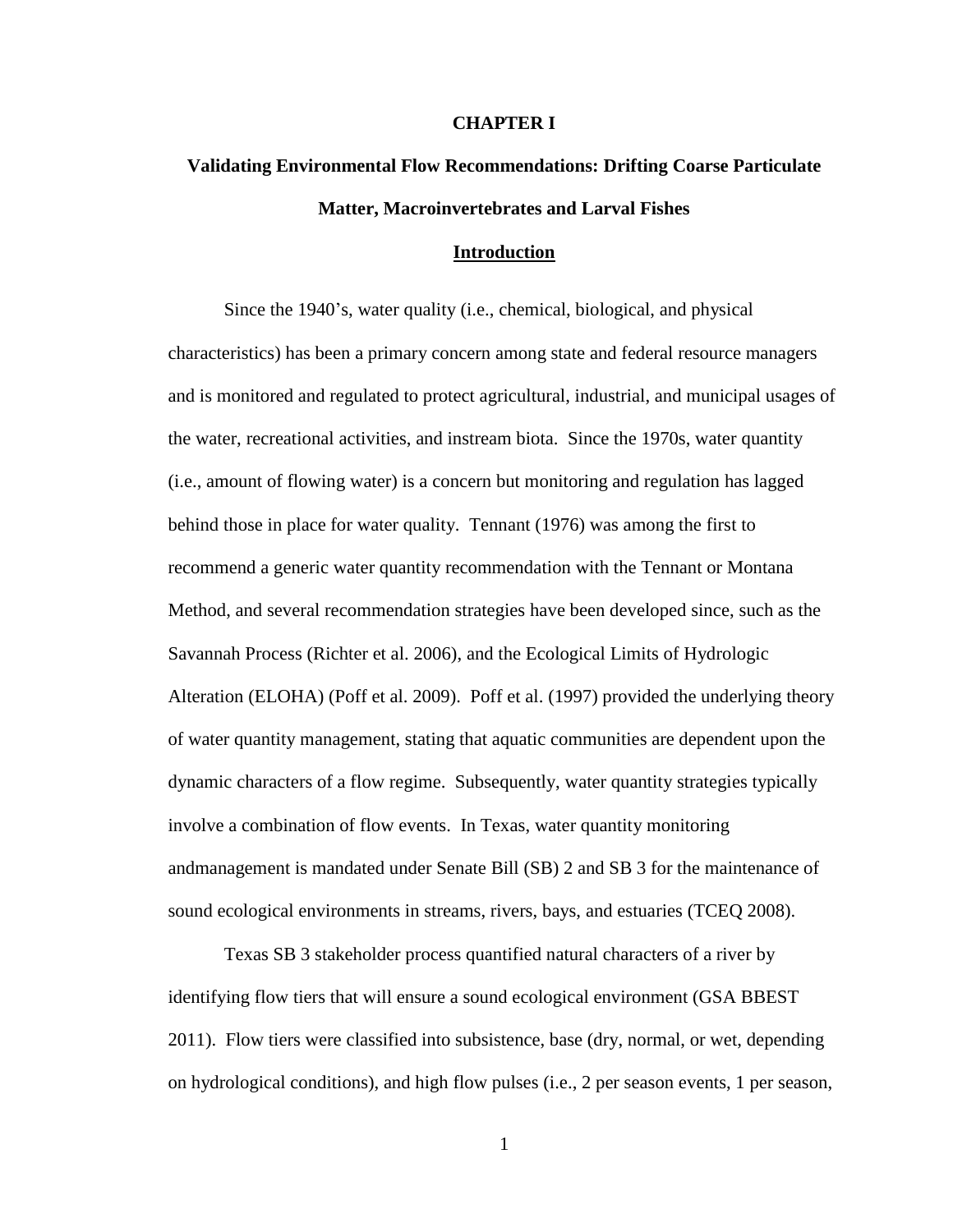#### **CHAPTER I**

# **Validating Environmental Flow Recommendations: Drifting Coarse Particulate Matter, Macroinvertebrates and Larval Fishes**

#### **Introduction**

Since the 1940's, water quality (i.e., chemical, biological, and physical characteristics) has been a primary concern among state and federal resource managers and is monitored and regulated to protect agricultural, industrial, and municipal usages of the water, recreational activities, and instream biota. Since the 1970s, water quantity (i.e., amount of flowing water) is a concern but monitoring and regulation has lagged behind those in place for water quality. Tennant (1976) was among the first to recommend a generic water quantity recommendation with the Tennant or Montana Method, and several recommendation strategies have been developed since, such as the Savannah Process (Richter et al. 2006), and the Ecological Limits of Hydrologic Alteration (ELOHA) (Poff et al. 2009). Poff et al. (1997) provided the underlying theory of water quantity management, stating that aquatic communities are dependent upon the dynamic characters of a flow regime. Subsequently, water quantity strategies typically involve a combination of flow events. In Texas, water quantity monitoring andmanagement is mandated under Senate Bill (SB) 2 and SB 3 for the maintenance of sound ecological environments in streams, rivers, bays, and estuaries (TCEQ 2008).

Texas SB 3 stakeholder process quantified natural characters of a river by identifying flow tiers that will ensure a sound ecological environment (GSA BBEST 2011). Flow tiers were classified into subsistence, base (dry, normal, or wet, depending on hydrological conditions), and high flow pulses (i.e., 2 per season events, 1 per season,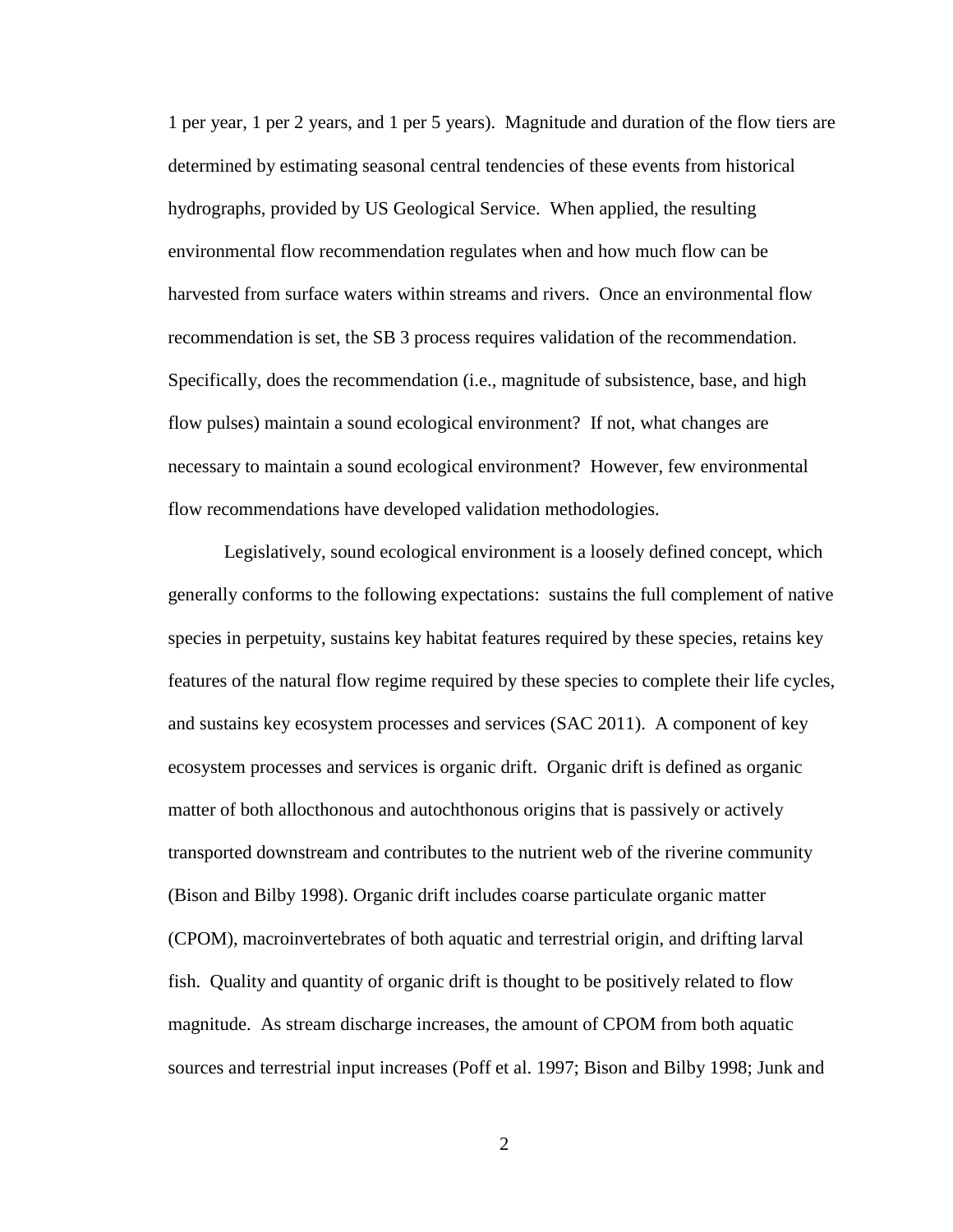1 per year, 1 per 2 years, and 1 per 5 years). Magnitude and duration of the flow tiers are determined by estimating seasonal central tendencies of these events from historical hydrographs, provided by US Geological Service. When applied, the resulting environmental flow recommendation regulates when and how much flow can be harvested from surface waters within streams and rivers. Once an environmental flow recommendation is set, the SB 3 process requires validation of the recommendation. Specifically, does the recommendation (i.e., magnitude of subsistence, base, and high flow pulses) maintain a sound ecological environment? If not, what changes are necessary to maintain a sound ecological environment? However, few environmental flow recommendations have developed validation methodologies.

Legislatively, sound ecological environment is a loosely defined concept, which generally conforms to the following expectations: sustains the full complement of native species in perpetuity, sustains key habitat features required by these species, retains key features of the natural flow regime required by these species to complete their life cycles, and sustains key ecosystem processes and services (SAC 2011). A component of key ecosystem processes and services is organic drift. Organic drift is defined as organic matter of both allocthonous and autochthonous origins that is passively or actively transported downstream and contributes to the nutrient web of the riverine community (Bison and Bilby 1998). Organic drift includes coarse particulate organic matter (CPOM), macroinvertebrates of both aquatic and terrestrial origin, and drifting larval fish. Quality and quantity of organic drift is thought to be positively related to flow magnitude. As stream discharge increases, the amount of CPOM from both aquatic sources and terrestrial input increases (Poff et al. 1997; Bison and Bilby 1998; Junk and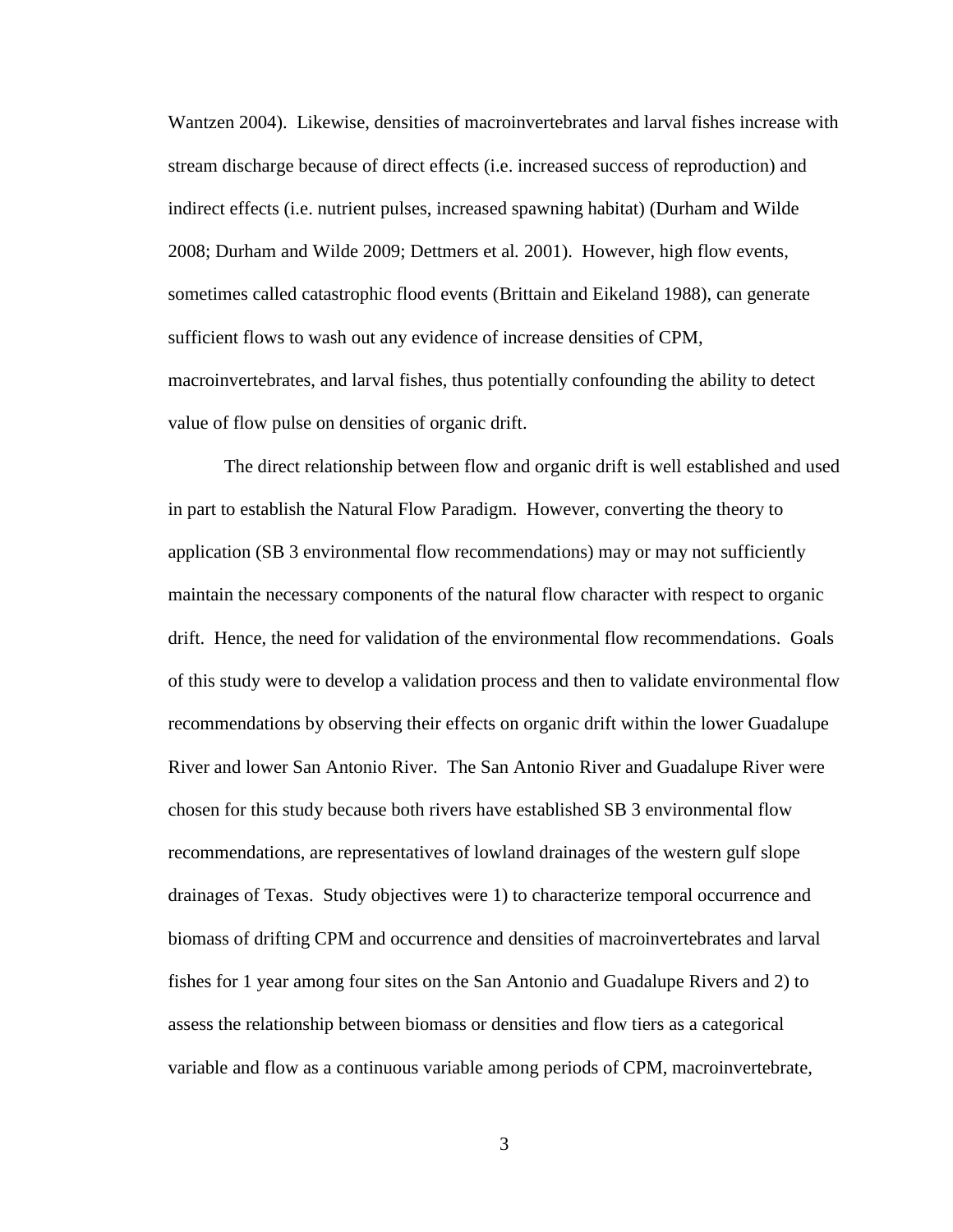Wantzen 2004). Likewise, densities of macroinvertebrates and larval fishes increase with stream discharge because of direct effects (i.e. increased success of reproduction) and indirect effects (i.e. nutrient pulses, increased spawning habitat) (Durham and Wilde 2008; Durham and Wilde 2009; Dettmers et al*.* 2001). However, high flow events, sometimes called catastrophic flood events (Brittain and Eikeland 1988), can generate sufficient flows to wash out any evidence of increase densities of CPM, macroinvertebrates, and larval fishes, thus potentially confounding the ability to detect value of flow pulse on densities of organic drift.

The direct relationship between flow and organic drift is well established and used in part to establish the Natural Flow Paradigm. However, converting the theory to application (SB 3 environmental flow recommendations) may or may not sufficiently maintain the necessary components of the natural flow character with respect to organic drift. Hence, the need for validation of the environmental flow recommendations. Goals of this study were to develop a validation process and then to validate environmental flow recommendations by observing their effects on organic drift within the lower Guadalupe River and lower San Antonio River. The San Antonio River and Guadalupe River were chosen for this study because both rivers have established SB 3 environmental flow recommendations, are representatives of lowland drainages of the western gulf slope drainages of Texas. Study objectives were 1) to characterize temporal occurrence and biomass of drifting CPM and occurrence and densities of macroinvertebrates and larval fishes for 1 year among four sites on the San Antonio and Guadalupe Rivers and 2) to assess the relationship between biomass or densities and flow tiers as a categorical variable and flow as a continuous variable among periods of CPM, macroinvertebrate,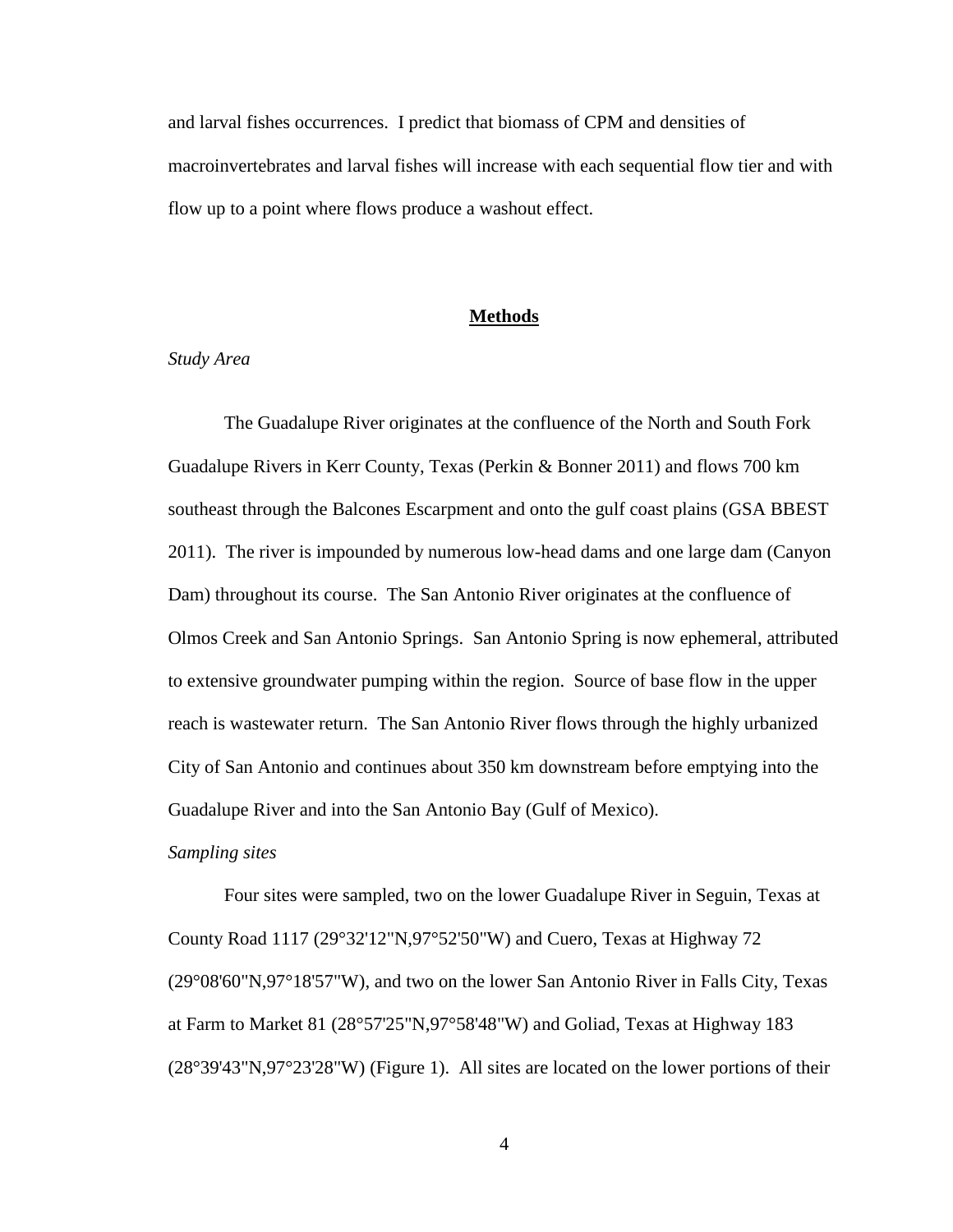and larval fishes occurrences. I predict that biomass of CPM and densities of macroinvertebrates and larval fishes will increase with each sequential flow tier and with flow up to a point where flows produce a washout effect.

## **Methods**

## *Study Area*

The Guadalupe River originates at the confluence of the North and South Fork Guadalupe Rivers in Kerr County, Texas (Perkin & Bonner 2011) and flows 700 km southeast through the Balcones Escarpment and onto the gulf coast plains (GSA BBEST 2011). The river is impounded by numerous low-head dams and one large dam (Canyon Dam) throughout its course. The San Antonio River originates at the confluence of Olmos Creek and San Antonio Springs. San Antonio Spring is now ephemeral, attributed to extensive groundwater pumping within the region. Source of base flow in the upper reach is wastewater return. The San Antonio River flows through the highly urbanized City of San Antonio and continues about 350 km downstream before emptying into the Guadalupe River and into the San Antonio Bay (Gulf of Mexico).

#### *Sampling sites*

Four sites were sampled, two on the lower Guadalupe River in Seguin, Texas at County Road 1117 (29°32'12"N,97°52'50"W) and Cuero, Texas at Highway 72 (29°08'60"N,97°18'57"W), and two on the lower San Antonio River in Falls City, Texas at Farm to Market 81 (28°57'25"N,97°58'48"W) and Goliad, Texas at Highway 183 (28°39'43"N,97°23'28"W) (Figure 1). All sites are located on the lower portions of their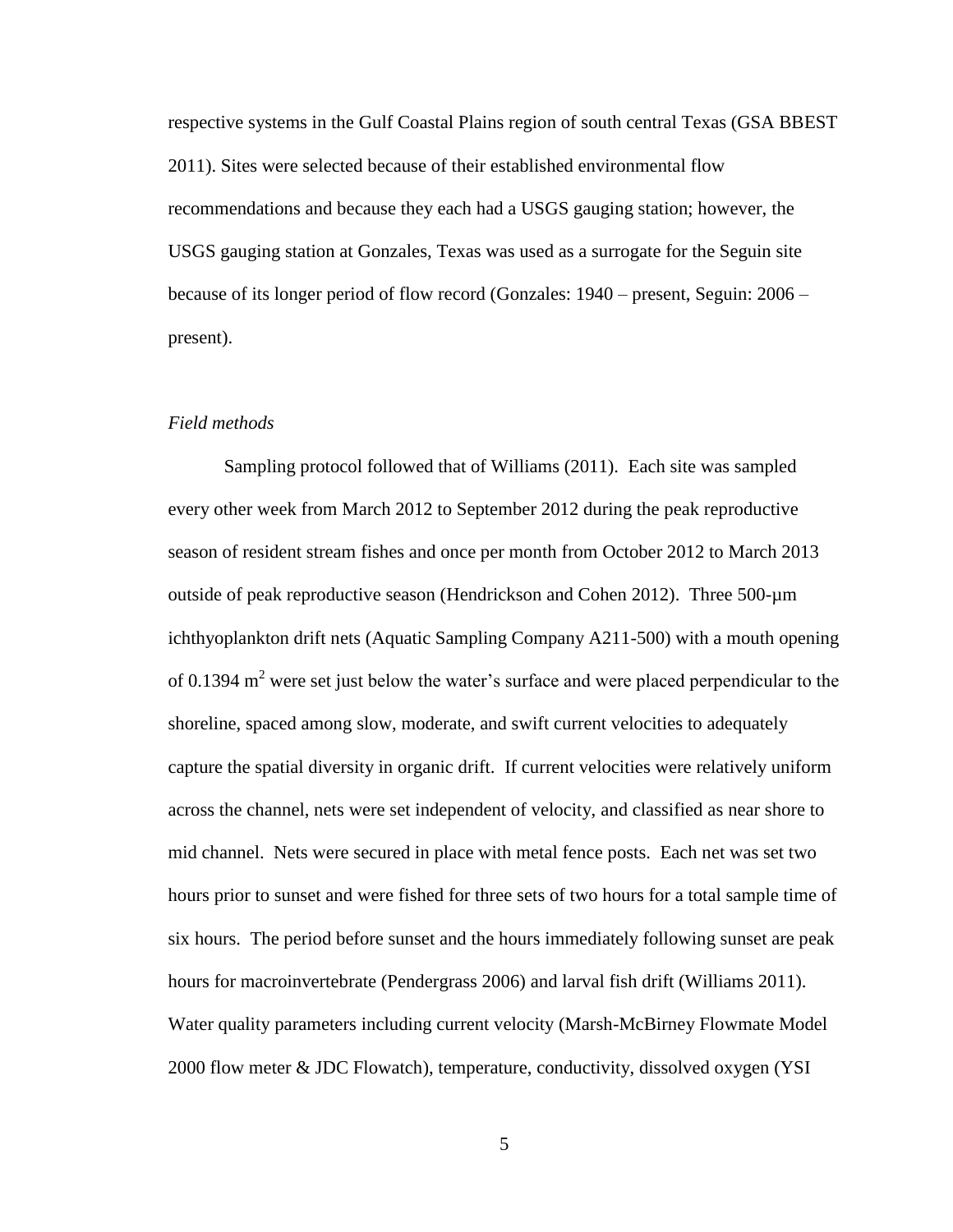respective systems in the Gulf Coastal Plains region of south central Texas (GSA BBEST 2011). Sites were selected because of their established environmental flow recommendations and because they each had a USGS gauging station; however, the USGS gauging station at Gonzales, Texas was used as a surrogate for the Seguin site because of its longer period of flow record (Gonzales: 1940 – present, Seguin: 2006 – present).

#### *Field methods*

Sampling protocol followed that of Williams (2011). Each site was sampled every other week from March 2012 to September 2012 during the peak reproductive season of resident stream fishes and once per month from October 2012 to March 2013 outside of peak reproductive season (Hendrickson and Cohen 2012). Three 500-µm ichthyoplankton drift nets (Aquatic Sampling Company A211-500) with a mouth opening of 0.1394  $m<sup>2</sup>$  were set just below the water's surface and were placed perpendicular to the shoreline, spaced among slow, moderate, and swift current velocities to adequately capture the spatial diversity in organic drift. If current velocities were relatively uniform across the channel, nets were set independent of velocity, and classified as near shore to mid channel. Nets were secured in place with metal fence posts. Each net was set two hours prior to sunset and were fished for three sets of two hours for a total sample time of six hours. The period before sunset and the hours immediately following sunset are peak hours for macroinvertebrate (Pendergrass 2006) and larval fish drift (Williams 2011). Water quality parameters including current velocity (Marsh-McBirney Flowmate Model 2000 flow meter & JDC Flowatch), temperature, conductivity, dissolved oxygen (YSI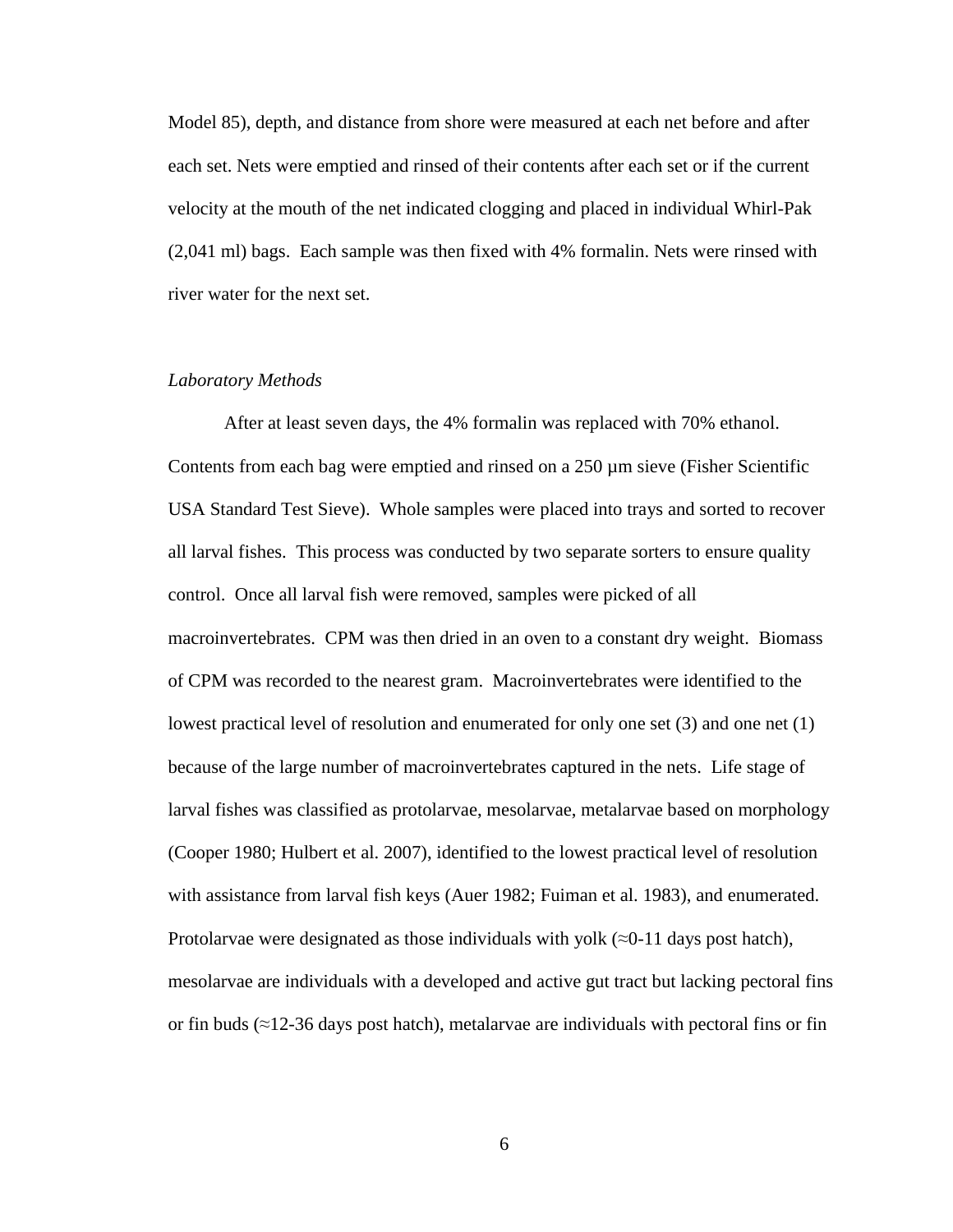Model 85), depth, and distance from shore were measured at each net before and after each set. Nets were emptied and rinsed of their contents after each set or if the current velocity at the mouth of the net indicated clogging and placed in individual Whirl-Pak (2,041 ml) bags. Each sample was then fixed with 4% formalin. Nets were rinsed with river water for the next set.

### *Laboratory Methods*

After at least seven days, the 4% formalin was replaced with 70% ethanol. Contents from each bag were emptied and rinsed on a 250 µm sieve (Fisher Scientific USA Standard Test Sieve). Whole samples were placed into trays and sorted to recover all larval fishes. This process was conducted by two separate sorters to ensure quality control. Once all larval fish were removed, samples were picked of all macroinvertebrates. CPM was then dried in an oven to a constant dry weight. Biomass of CPM was recorded to the nearest gram. Macroinvertebrates were identified to the lowest practical level of resolution and enumerated for only one set (3) and one net (1) because of the large number of macroinvertebrates captured in the nets. Life stage of larval fishes was classified as protolarvae, mesolarvae, metalarvae based on morphology (Cooper 1980; Hulbert et al. 2007), identified to the lowest practical level of resolution with assistance from larval fish keys (Auer 1982; Fuiman et al. 1983), and enumerated. Protolarvae were designated as those individuals with yolk  $(\approx 0-11)$  days post hatch), mesolarvae are individuals with a developed and active gut tract but lacking pectoral fins or fin buds ( $\approx$ 12-36 days post hatch), metalarvae are individuals with pectoral fins or fin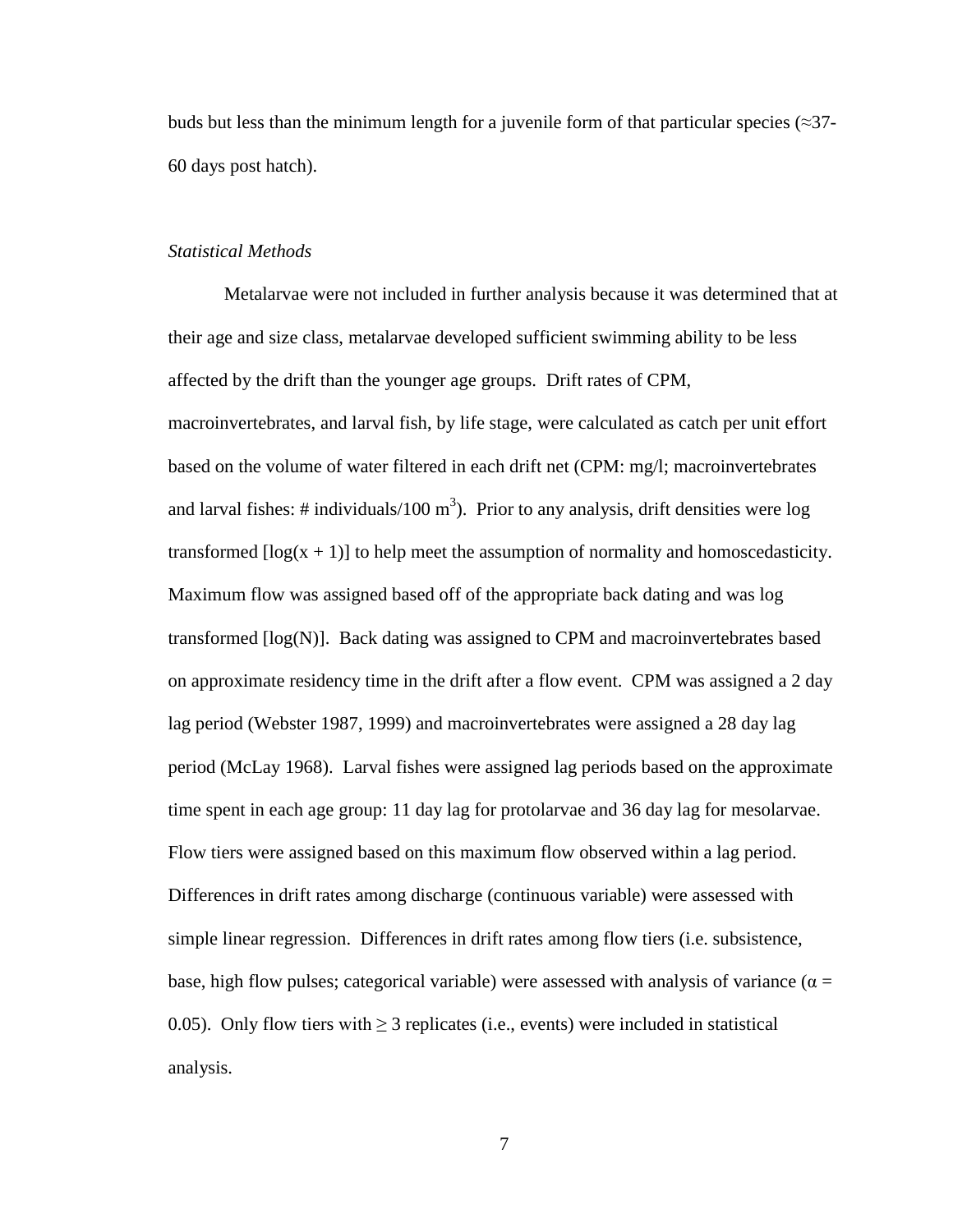buds but less than the minimum length for a juvenile form of that particular species ( $\approx$ 37-60 days post hatch).

#### *Statistical Methods*

Metalarvae were not included in further analysis because it was determined that at their age and size class, metalarvae developed sufficient swimming ability to be less affected by the drift than the younger age groups. Drift rates of CPM, macroinvertebrates, and larval fish, by life stage, were calculated as catch per unit effort based on the volume of water filtered in each drift net (CPM: mg/l; macroinvertebrates and larval fishes: # individuals/100  $m<sup>3</sup>$ ). Prior to any analysis, drift densities were log transformed  $\lceil \log(x + 1) \rceil$  to help meet the assumption of normality and homoscedasticity. Maximum flow was assigned based off of the appropriate back dating and was log transformed [log(N)]. Back dating was assigned to CPM and macroinvertebrates based on approximate residency time in the drift after a flow event. CPM was assigned a 2 day lag period (Webster 1987, 1999) and macroinvertebrates were assigned a 28 day lag period (McLay 1968). Larval fishes were assigned lag periods based on the approximate time spent in each age group: 11 day lag for protolarvae and 36 day lag for mesolarvae. Flow tiers were assigned based on this maximum flow observed within a lag period. Differences in drift rates among discharge (continuous variable) were assessed with simple linear regression. Differences in drift rates among flow tiers (i.e. subsistence, base, high flow pulses; categorical variable) were assessed with analysis of variance ( $\alpha =$ 0.05). Only flow tiers with  $\geq$  3 replicates (i.e., events) were included in statistical analysis.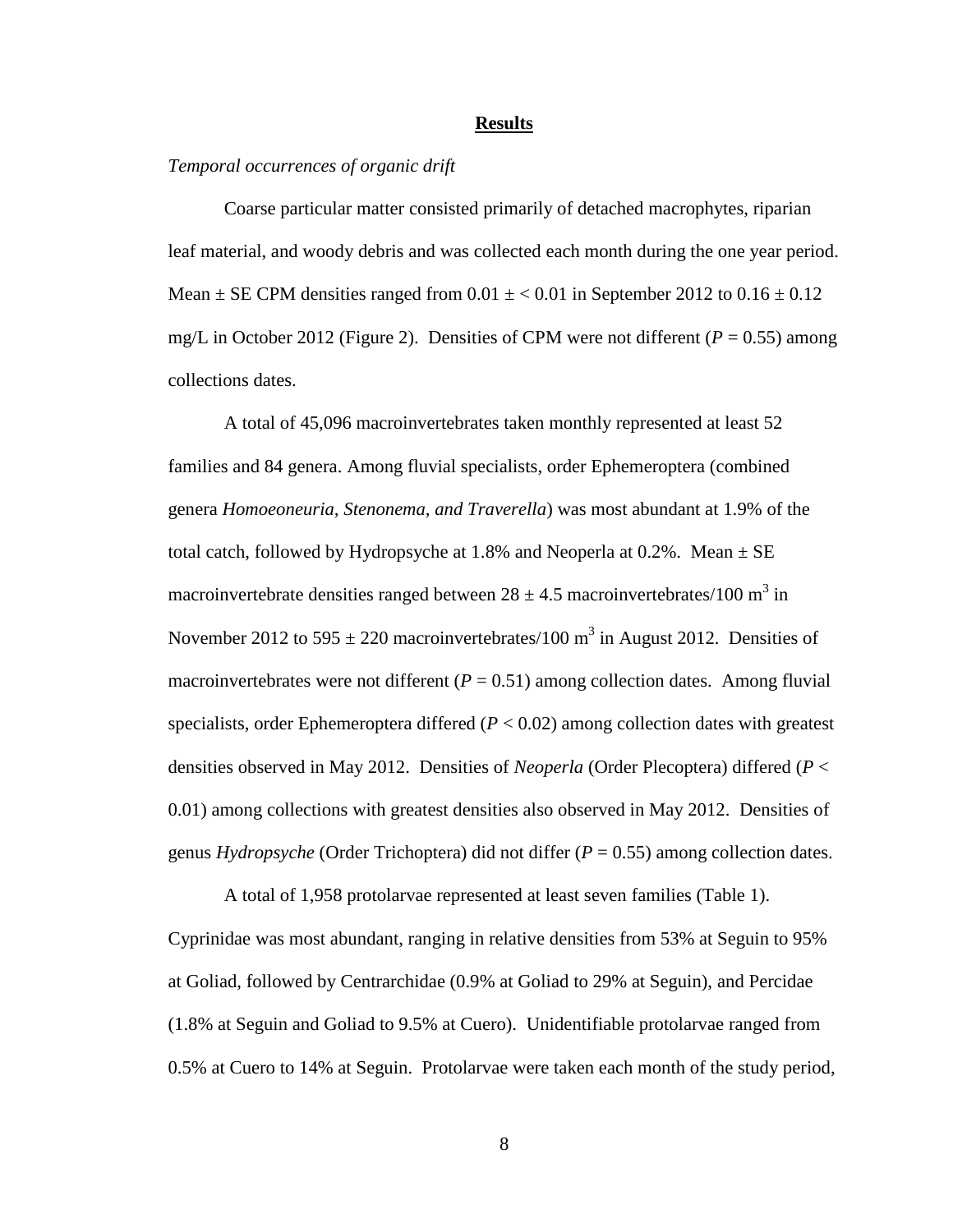#### **Results**

#### *Temporal occurrences of organic drift*

Coarse particular matter consisted primarily of detached macrophytes, riparian leaf material, and woody debris and was collected each month during the one year period. Mean  $\pm$  SE CPM densities ranged from 0.01  $\pm$  < 0.01 in September 2012 to 0.16  $\pm$  0.12 mg/L in October 2012 (Figure 2). Densities of CPM were not different ( $P = 0.55$ ) among collections dates.

A total of 45,096 macroinvertebrates taken monthly represented at least 52 families and 84 genera. Among fluvial specialists, order Ephemeroptera (combined genera *Homoeoneuria, Stenonema, and Traverella*) was most abundant at 1.9% of the total catch, followed by Hydropsyche at 1.8% and Neoperla at  $0.2\%$ . Mean  $\pm$  SE macroinvertebrate densities ranged between  $28 \pm 4.5$  macroinvertebrates/100 m<sup>3</sup> in November 2012 to 595  $\pm$  220 macroinvertebrates/100 m<sup>3</sup> in August 2012. Densities of macroinvertebrates were not different  $(P = 0.51)$  among collection dates. Among fluvial specialists, order Ephemeroptera differed  $(P < 0.02)$  among collection dates with greatest densities observed in May 2012. Densities of *Neoperla* (Order Plecoptera) differed (*P* < 0.01) among collections with greatest densities also observed in May 2012. Densities of genus *Hydropsyche* (Order Trichoptera) did not differ (*P* = 0.55) among collection dates.

A total of 1,958 protolarvae represented at least seven families (Table 1). Cyprinidae was most abundant, ranging in relative densities from 53% at Seguin to 95% at Goliad, followed by Centrarchidae (0.9% at Goliad to 29% at Seguin), and Percidae (1.8% at Seguin and Goliad to 9.5% at Cuero). Unidentifiable protolarvae ranged from 0.5% at Cuero to 14% at Seguin. Protolarvae were taken each month of the study period,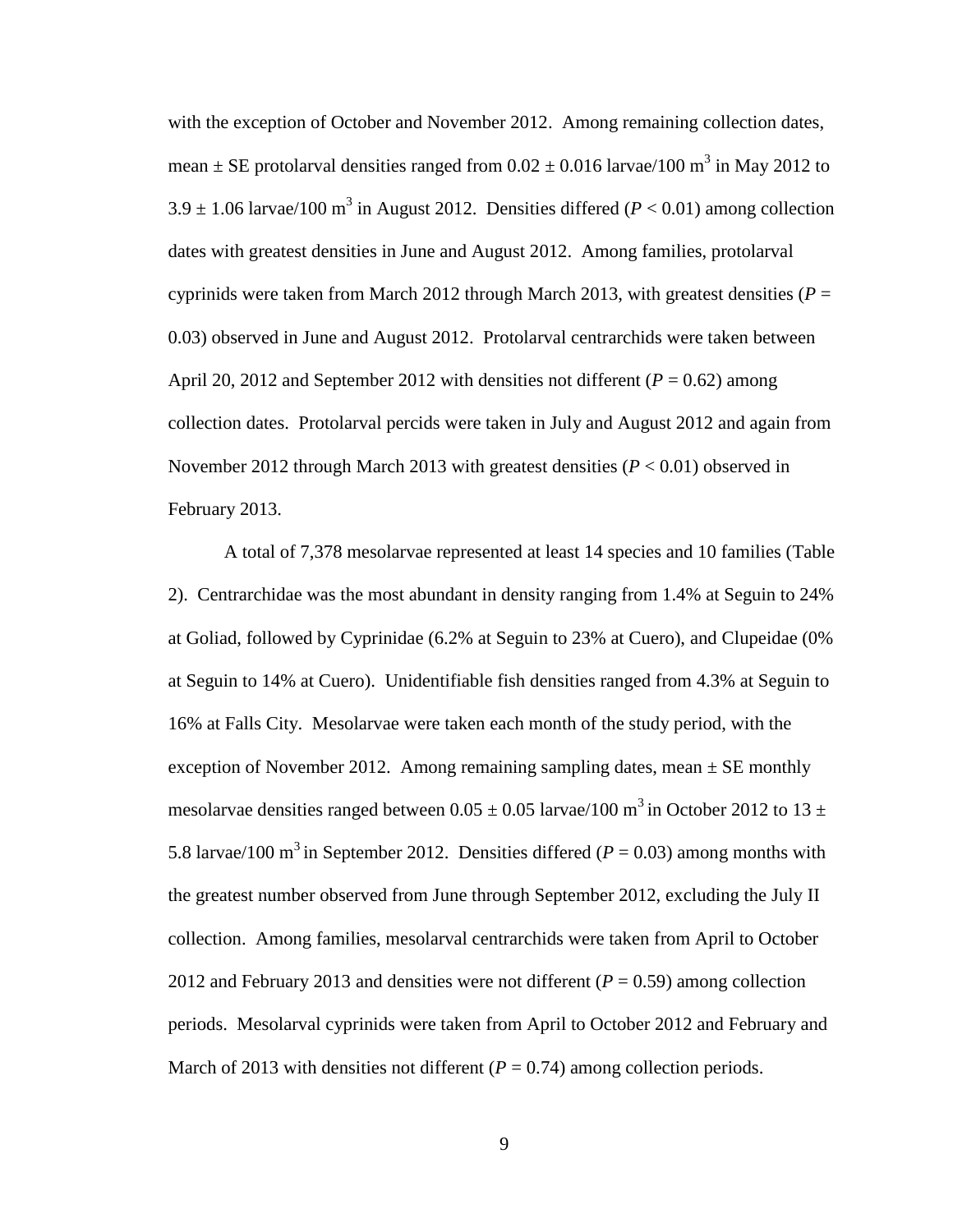with the exception of October and November 2012. Among remaining collection dates, mean  $\pm$  SE protolarval densities ranged from 0.02  $\pm$  0.016 larvae/100 m<sup>3</sup> in May 2012 to  $3.9 \pm 1.06$  larvae/100 m<sup>3</sup> in August 2012. Densities differed ( $P < 0.01$ ) among collection dates with greatest densities in June and August 2012. Among families, protolarval cyprinids were taken from March 2012 through March 2013, with greatest densities ( $P =$ 0.03) observed in June and August 2012. Protolarval centrarchids were taken between April 20, 2012 and September 2012 with densities not different ( $P = 0.62$ ) among collection dates. Protolarval percids were taken in July and August 2012 and again from November 2012 through March 2013 with greatest densities (*P* < 0.01) observed in February 2013.

A total of 7,378 mesolarvae represented at least 14 species and 10 families (Table 2). Centrarchidae was the most abundant in density ranging from 1.4% at Seguin to 24% at Goliad, followed by Cyprinidae (6.2% at Seguin to 23% at Cuero), and Clupeidae (0% at Seguin to 14% at Cuero). Unidentifiable fish densities ranged from 4.3% at Seguin to 16% at Falls City. Mesolarvae were taken each month of the study period, with the exception of November 2012. Among remaining sampling dates, mean  $\pm$  SE monthly mesolarvae densities ranged between  $0.05 \pm 0.05$  larvae/100 m<sup>3</sup> in October 2012 to 13  $\pm$ 5.8 larvae/100 m<sup>3</sup> in September 2012. Densities differed ( $P = 0.03$ ) among months with the greatest number observed from June through September 2012, excluding the July II collection. Among families, mesolarval centrarchids were taken from April to October 2012 and February 2013 and densities were not different  $(P = 0.59)$  among collection periods. Mesolarval cyprinids were taken from April to October 2012 and February and March of 2013 with densities not different  $(P = 0.74)$  among collection periods.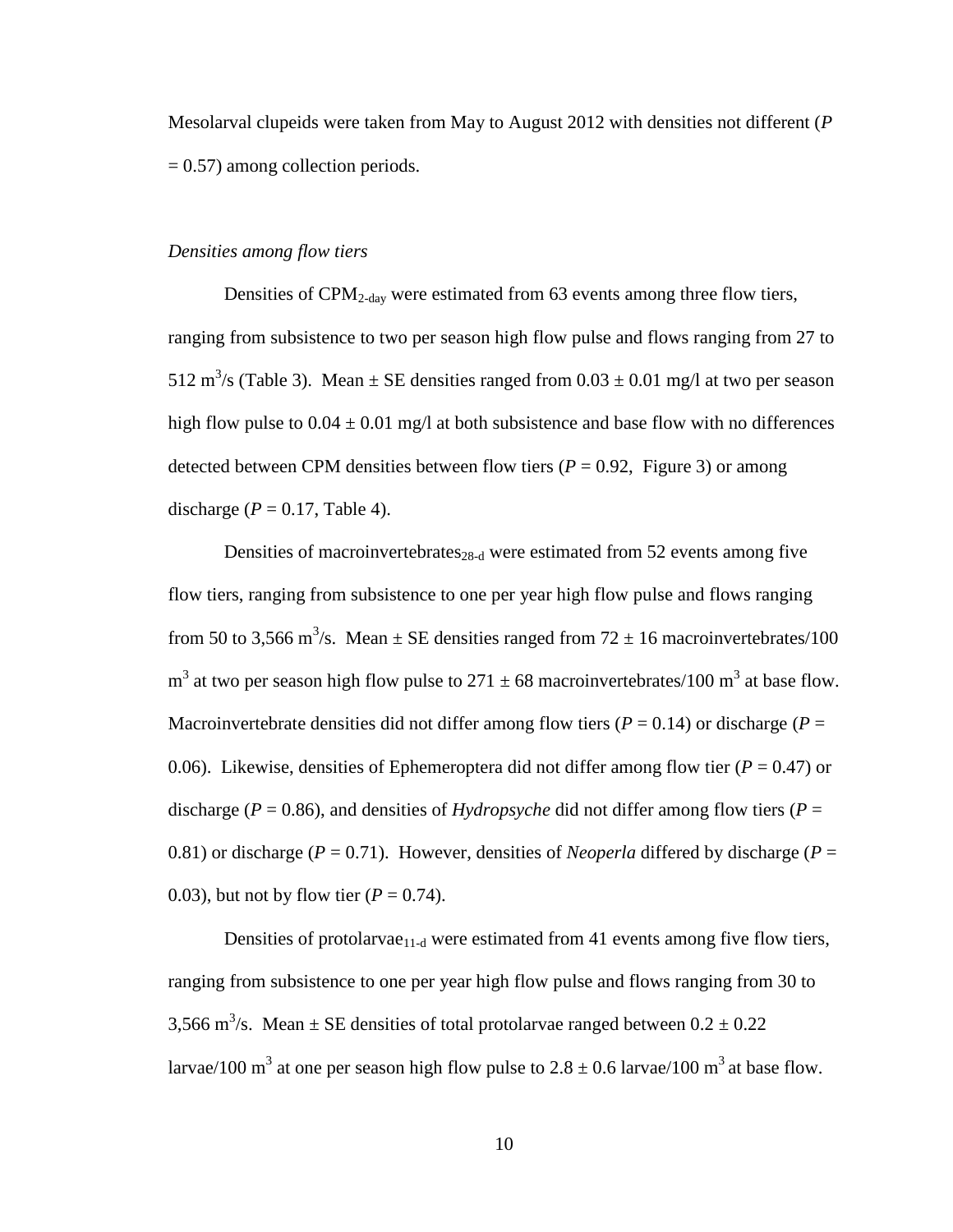Mesolarval clupeids were taken from May to August 2012 with densities not different (*P*  $= 0.57$ ) among collection periods.

#### *Densities among flow tiers*

Densities of CPM2-day were estimated from 63 events among three flow tiers, ranging from subsistence to two per season high flow pulse and flows ranging from 27 to 512 m<sup>3</sup>/s (Table 3). Mean  $\pm$  SE densities ranged from 0.03  $\pm$  0.01 mg/l at two per season high flow pulse to  $0.04 \pm 0.01$  mg/l at both subsistence and base flow with no differences detected between CPM densities between flow tiers  $(P = 0.92,$  Figure 3) or among discharge ( $P = 0.17$ , Table 4).

Densities of macroinvertebrates<sub>28-d</sub> were estimated from 52 events among five flow tiers, ranging from subsistence to one per year high flow pulse and flows ranging from 50 to 3,566 m<sup>3</sup>/s. Mean  $\pm$  SE densities ranged from 72  $\pm$  16 macroinvertebrates/100  $m<sup>3</sup>$  at two per season high flow pulse to 271  $\pm$  68 macroinvertebrates/100 m<sup>3</sup> at base flow. Macroinvertebrate densities did not differ among flow tiers ( $P = 0.14$ ) or discharge ( $P =$ 0.06). Likewise, densities of Ephemeroptera did not differ among flow tier ( $P = 0.47$ ) or discharge ( $P = 0.86$ ), and densities of *Hydropsyche* did not differ among flow tiers ( $P =$ 0.81) or discharge ( $P = 0.71$ ). However, densities of *Neoperla* differed by discharge ( $P =$ 0.03), but not by flow tier  $(P = 0.74)$ .

Densities of protolarvae $_{11-d}$  were estimated from 41 events among five flow tiers, ranging from subsistence to one per year high flow pulse and flows ranging from 30 to 3,566 m<sup>3</sup>/s. Mean  $\pm$  SE densities of total protolarvae ranged between  $0.2 \pm 0.22$ larvae/100 m<sup>3</sup> at one per season high flow pulse to  $2.8 \pm 0.6$  larvae/100 m<sup>3</sup> at base flow.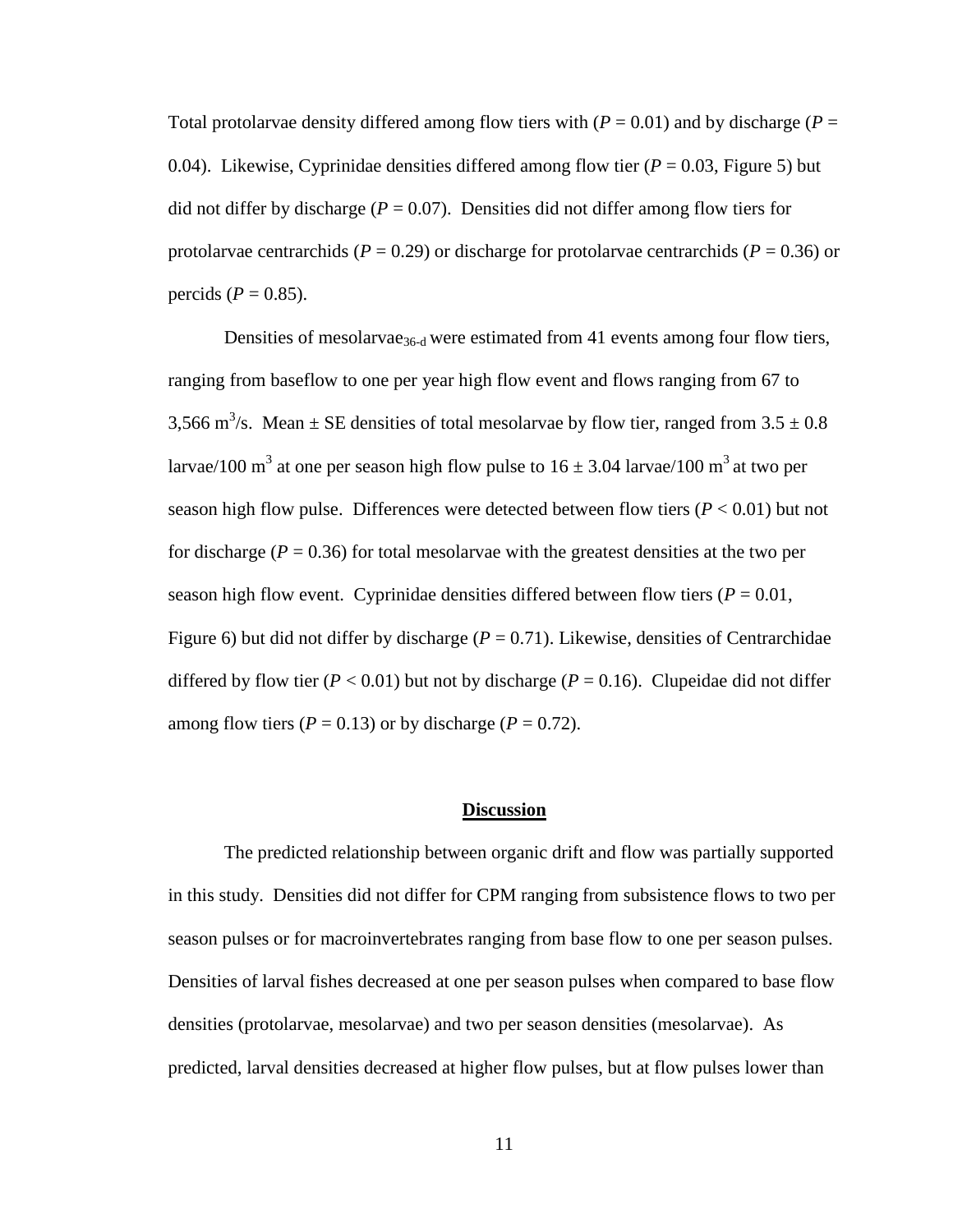Total protolarvae density differed among flow tiers with  $(P = 0.01)$  and by discharge  $(P = 0.01)$ 0.04). Likewise, Cyprinidae densities differed among flow tier  $(P = 0.03,$  Figure 5) but did not differ by discharge ( $P = 0.07$ ). Densities did not differ among flow tiers for protolarvae centrarchids ( $P = 0.29$ ) or discharge for protolarvae centrarchids ( $P = 0.36$ ) or percids ( $P = 0.85$ ).

Densities of mesolarvae<sub>36-d</sub> were estimated from 41 events among four flow tiers, ranging from baseflow to one per year high flow event and flows ranging from 67 to 3,566 m<sup>3</sup>/s. Mean  $\pm$  SE densities of total mesolarvae by flow tier, ranged from 3.5  $\pm$  0.8 larvae/100 m<sup>3</sup> at one per season high flow pulse to  $16 \pm 3.04$  larvae/100 m<sup>3</sup> at two per season high flow pulse. Differences were detected between flow tiers  $(P < 0.01)$  but not for discharge  $(P = 0.36)$  for total mesolarvae with the greatest densities at the two per season high flow event. Cyprinidae densities differed between flow tiers  $(P = 0.01$ , Figure 6) but did not differ by discharge  $(P = 0.71)$ . Likewise, densities of Centrarchidae differed by flow tier ( $P < 0.01$ ) but not by discharge ( $P = 0.16$ ). Clupeidae did not differ among flow tiers ( $P = 0.13$ ) or by discharge ( $P = 0.72$ ).

#### **Discussion**

The predicted relationship between organic drift and flow was partially supported in this study. Densities did not differ for CPM ranging from subsistence flows to two per season pulses or for macroinvertebrates ranging from base flow to one per season pulses. Densities of larval fishes decreased at one per season pulses when compared to base flow densities (protolarvae, mesolarvae) and two per season densities (mesolarvae). As predicted, larval densities decreased at higher flow pulses, but at flow pulses lower than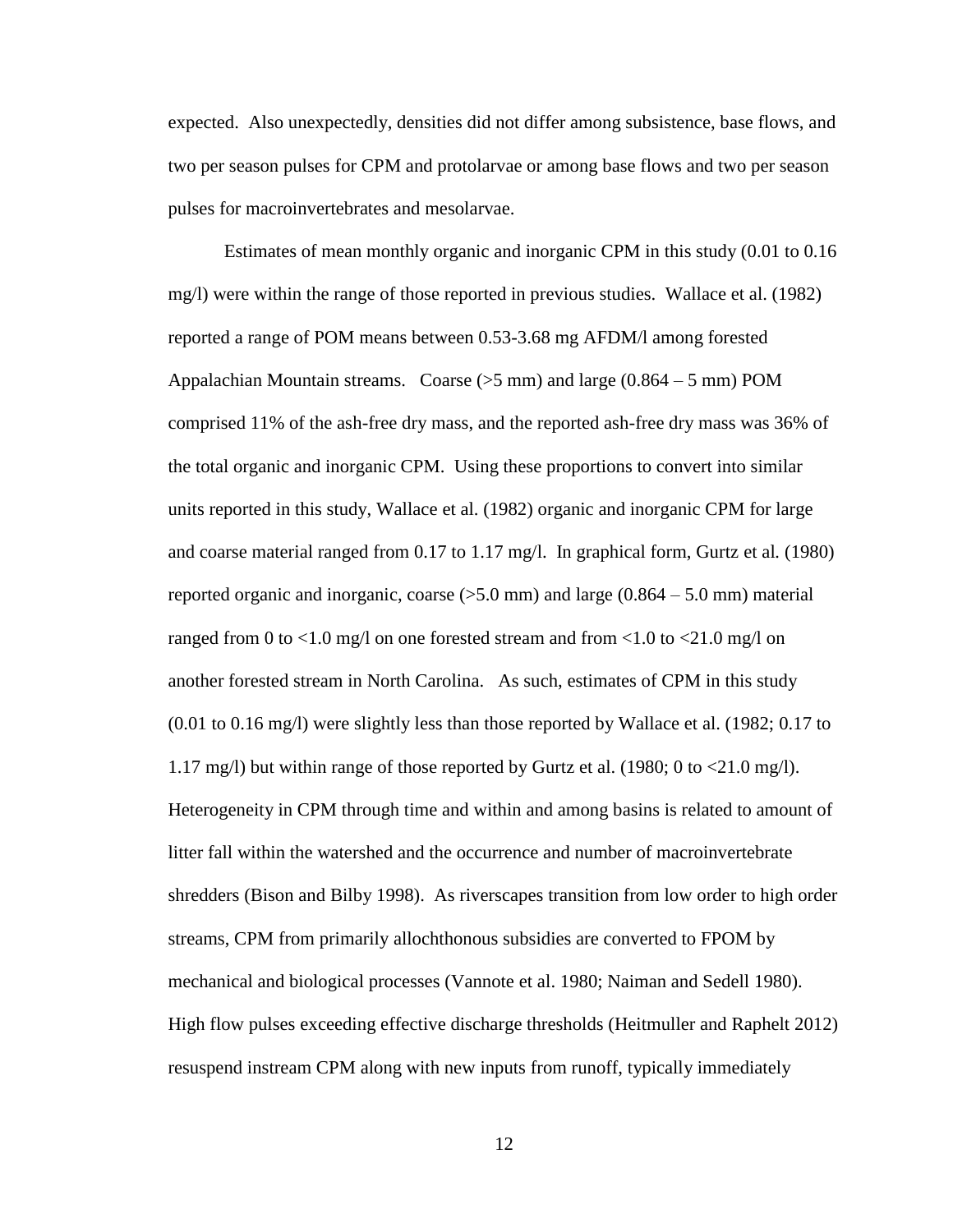expected. Also unexpectedly, densities did not differ among subsistence, base flows, and two per season pulses for CPM and protolarvae or among base flows and two per season pulses for macroinvertebrates and mesolarvae.

Estimates of mean monthly organic and inorganic CPM in this study (0.01 to 0.16 mg/l) were within the range of those reported in previous studies. Wallace et al. (1982) reported a range of POM means between 0.53-3.68 mg AFDM/l among forested Appalachian Mountain streams. Coarse  $(55 \text{ mm})$  and large  $(0.864 - 5 \text{ mm})$  POM comprised 11% of the ash-free dry mass, and the reported ash-free dry mass was 36% of the total organic and inorganic CPM. Using these proportions to convert into similar units reported in this study, Wallace et al. (1982) organic and inorganic CPM for large and coarse material ranged from 0.17 to 1.17 mg/l. In graphical form, Gurtz et al*.* (1980) reported organic and inorganic, coarse  $(5.0 \text{ mm})$  and large  $(0.864 - 5.0 \text{ mm})$  material ranged from 0 to  $<$ 1.0 mg/l on one forested stream and from  $<$ 1.0 to  $<$ 21.0 mg/l on another forested stream in North Carolina. As such, estimates of CPM in this study (0.01 to 0.16 mg/l) were slightly less than those reported by Wallace et al. (1982; 0.17 to 1.17 mg/l) but within range of those reported by Gurtz et al. (1980; 0 to  $\langle 21.0 \text{ mg/l}}$ ). Heterogeneity in CPM through time and within and among basins is related to amount of litter fall within the watershed and the occurrence and number of macroinvertebrate shredders (Bison and Bilby 1998). As riverscapes transition from low order to high order streams, CPM from primarily allochthonous subsidies are converted to FPOM by mechanical and biological processes (Vannote et al. 1980; Naiman and Sedell 1980). High flow pulses exceeding effective discharge thresholds (Heitmuller and Raphelt 2012) resuspend instream CPM along with new inputs from runoff, typically immediately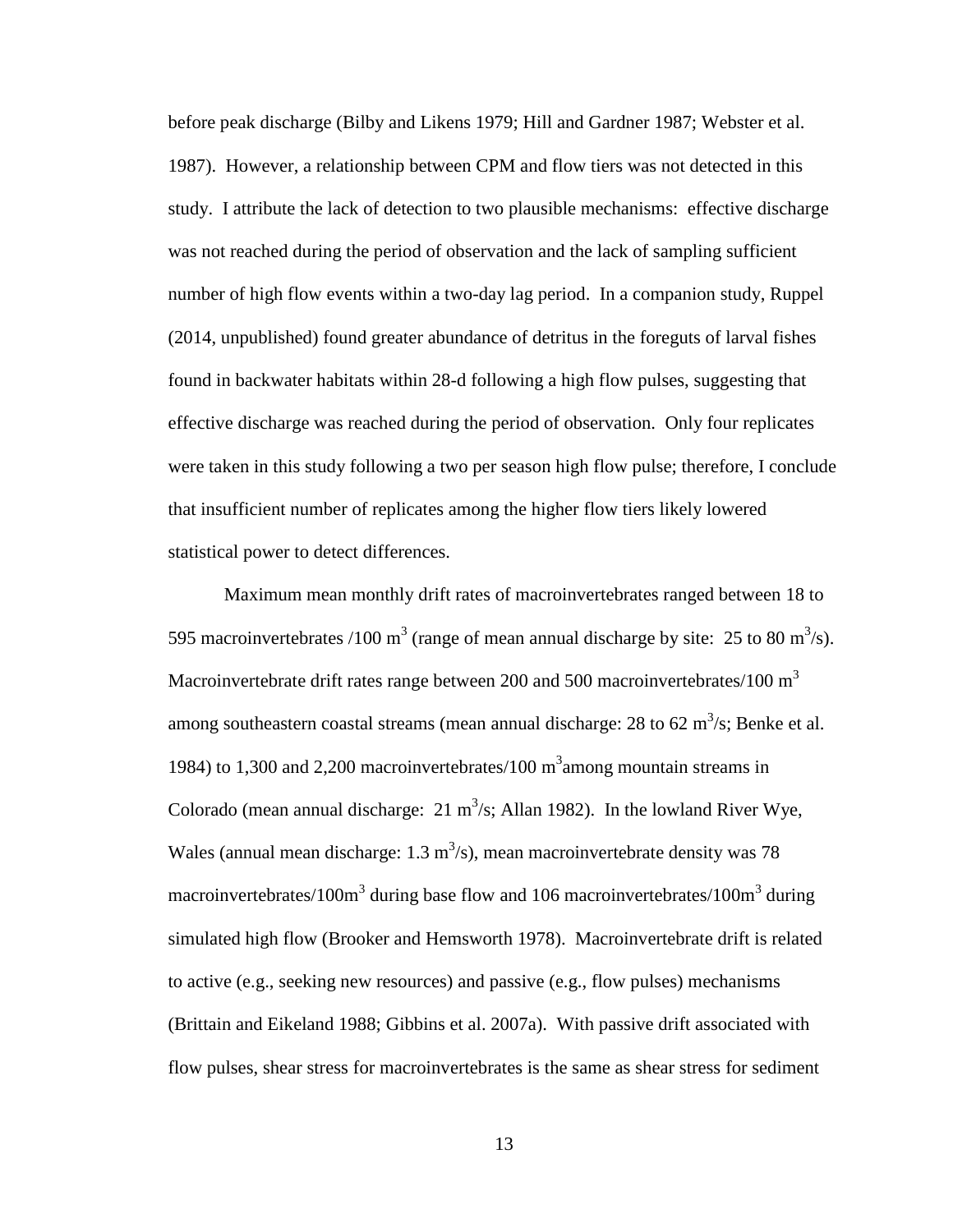before peak discharge (Bilby and Likens 1979; Hill and Gardner 1987; Webster et al. 1987). However, a relationship between CPM and flow tiers was not detected in this study. I attribute the lack of detection to two plausible mechanisms: effective discharge was not reached during the period of observation and the lack of sampling sufficient number of high flow events within a two-day lag period. In a companion study, Ruppel (2014, unpublished) found greater abundance of detritus in the foreguts of larval fishes found in backwater habitats within 28-d following a high flow pulses, suggesting that effective discharge was reached during the period of observation. Only four replicates were taken in this study following a two per season high flow pulse; therefore, I conclude that insufficient number of replicates among the higher flow tiers likely lowered statistical power to detect differences.

Maximum mean monthly drift rates of macroinvertebrates ranged between 18 to 595 macroinvertebrates /100 m<sup>3</sup> (range of mean annual discharge by site: 25 to 80 m<sup>3</sup>/s). Macroinvertebrate drift rates range between 200 and 500 macroinvertebrates/100  $m^3$ among southeastern coastal streams (mean annual discharge: 28 to 62 m<sup>3</sup>/s; Benke et al. 1984) to 1,300 and 2,200 macroinvertebrates/100  $m<sup>3</sup>$  among mountain streams in Colorado (mean annual discharge:  $21 \text{ m}^3/\text{s}$ ; Allan 1982). In the lowland River Wye, Wales (annual mean discharge:  $1.3 \text{ m}^3/\text{s}$ ), mean macroinvertebrate density was 78 macroinvertebrates/100 $m<sup>3</sup>$  during base flow and 106 macroinvertebrates/100 $m<sup>3</sup>$  during simulated high flow (Brooker and Hemsworth 1978). Macroinvertebrate drift is related to active (e.g., seeking new resources) and passive (e.g., flow pulses) mechanisms (Brittain and Eikeland 1988; Gibbins et al. 2007a). With passive drift associated with flow pulses, shear stress for macroinvertebrates is the same as shear stress for sediment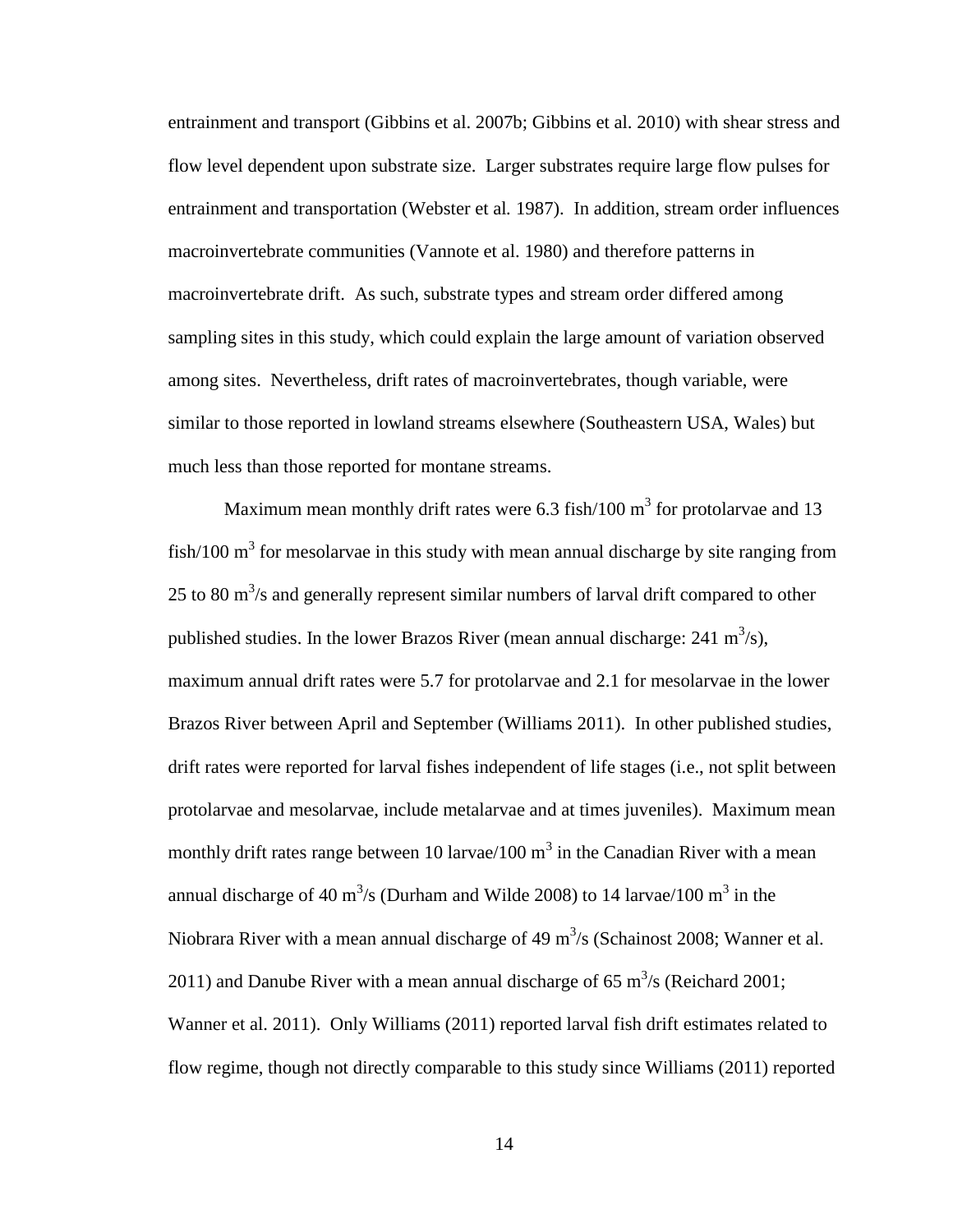entrainment and transport (Gibbins et al. 2007b; Gibbins et al. 2010) with shear stress and flow level dependent upon substrate size. Larger substrates require large flow pulses for entrainment and transportation (Webster et al*.* 1987). In addition, stream order influences macroinvertebrate communities (Vannote et al. 1980) and therefore patterns in macroinvertebrate drift. As such, substrate types and stream order differed among sampling sites in this study, which could explain the large amount of variation observed among sites. Nevertheless, drift rates of macroinvertebrates, though variable, were similar to those reported in lowland streams elsewhere (Southeastern USA, Wales) but much less than those reported for montane streams.

Maximum mean monthly drift rates were 6.3 fish/100  $m<sup>3</sup>$  for protolarvae and 13 fish/100  $m<sup>3</sup>$  for mesolarvae in this study with mean annual discharge by site ranging from 25 to 80  $\text{m}^3$ /s and generally represent similar numbers of larval drift compared to other published studies. In the lower Brazos River (mean annual discharge:  $241 \text{ m}^3/\text{s}$ ), maximum annual drift rates were 5.7 for protolarvae and 2.1 for mesolarvae in the lower Brazos River between April and September (Williams 2011). In other published studies, drift rates were reported for larval fishes independent of life stages (i.e., not split between protolarvae and mesolarvae, include metalarvae and at times juveniles). Maximum mean monthly drift rates range between 10 larvae/100  $m<sup>3</sup>$  in the Canadian River with a mean annual discharge of 40 m<sup>3</sup>/s (Durham and Wilde 2008) to 14 larvae/100 m<sup>3</sup> in the Niobrara River with a mean annual discharge of 49  $\text{m}^3\text{/s}$  (Schainost 2008; Wanner et al. 2011) and Danube River with a mean annual discharge of 65  $\text{m}^3\text{/s}$  (Reichard 2001; Wanner et al. 2011). Only Williams (2011) reported larval fish drift estimates related to flow regime, though not directly comparable to this study since Williams (2011) reported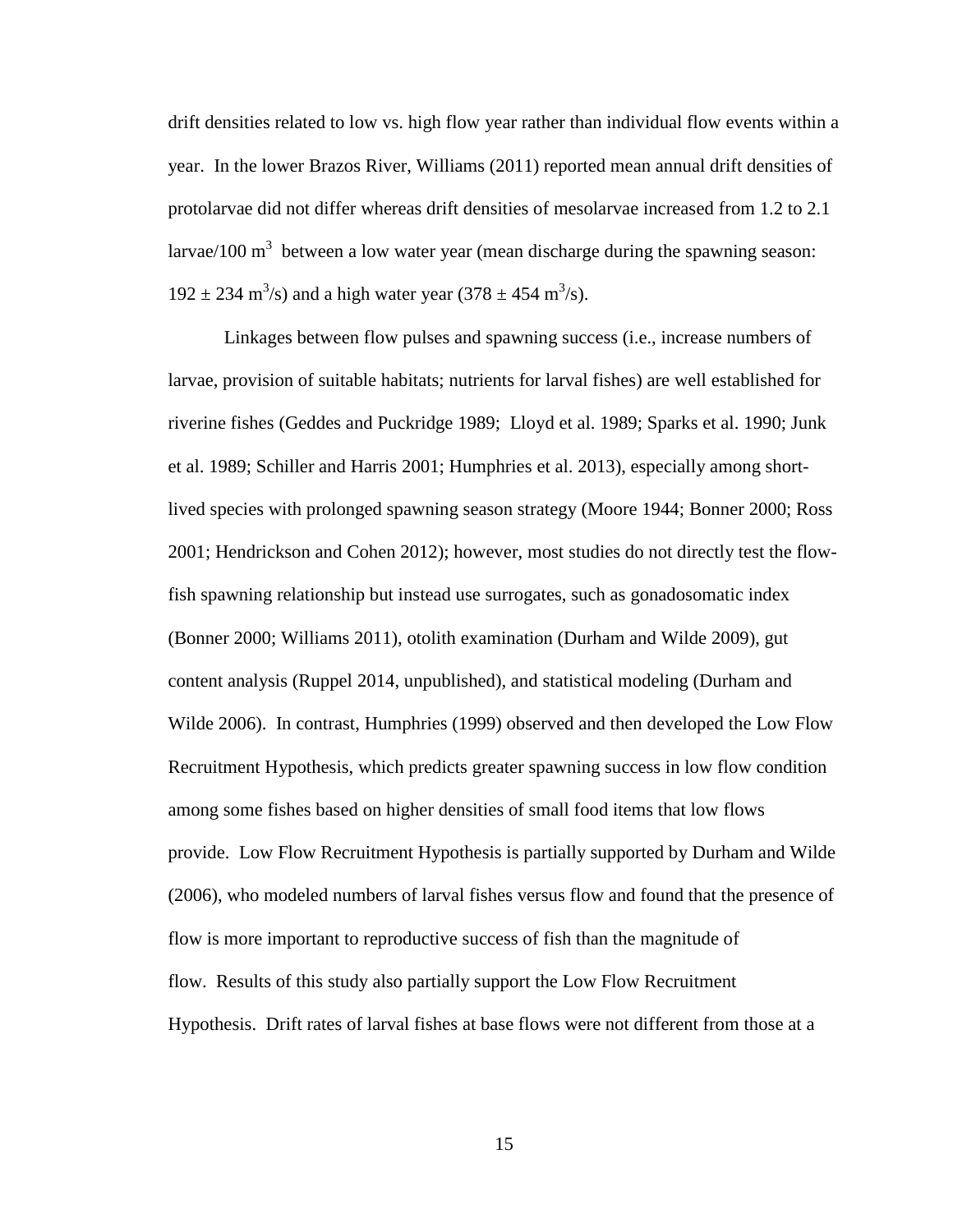drift densities related to low vs. high flow year rather than individual flow events within a year. In the lower Brazos River, Williams (2011) reported mean annual drift densities of protolarvae did not differ whereas drift densities of mesolarvae increased from 1.2 to 2.1 larvae/100 m<sup>3</sup> between a low water year (mean discharge during the spawning season:  $192 \pm 234$  m<sup>3</sup>/s) and a high water year (378  $\pm$  454 m<sup>3</sup>/s).

Linkages between flow pulses and spawning success (i.e., increase numbers of larvae, provision of suitable habitats; nutrients for larval fishes) are well established for riverine fishes (Geddes and Puckridge 1989; Lloyd et al. 1989; Sparks et al. 1990; Junk et al. 1989; Schiller and Harris 2001; Humphries et al. 2013), especially among shortlived species with prolonged spawning season strategy (Moore 1944; Bonner 2000; Ross 2001; Hendrickson and Cohen 2012); however, most studies do not directly test the flowfish spawning relationship but instead use surrogates, such as gonadosomatic index (Bonner 2000; Williams 2011), otolith examination (Durham and Wilde 2009), gut content analysis (Ruppel 2014, unpublished), and statistical modeling (Durham and Wilde 2006). In contrast, Humphries (1999) observed and then developed the Low Flow Recruitment Hypothesis, which predicts greater spawning success in low flow condition among some fishes based on higher densities of small food items that low flows provide. Low Flow Recruitment Hypothesis is partially supported by Durham and Wilde (2006), who modeled numbers of larval fishes versus flow and found that the presence of flow is more important to reproductive success of fish than the magnitude of flow. Results of this study also partially support the Low Flow Recruitment Hypothesis. Drift rates of larval fishes at base flows were not different from those at a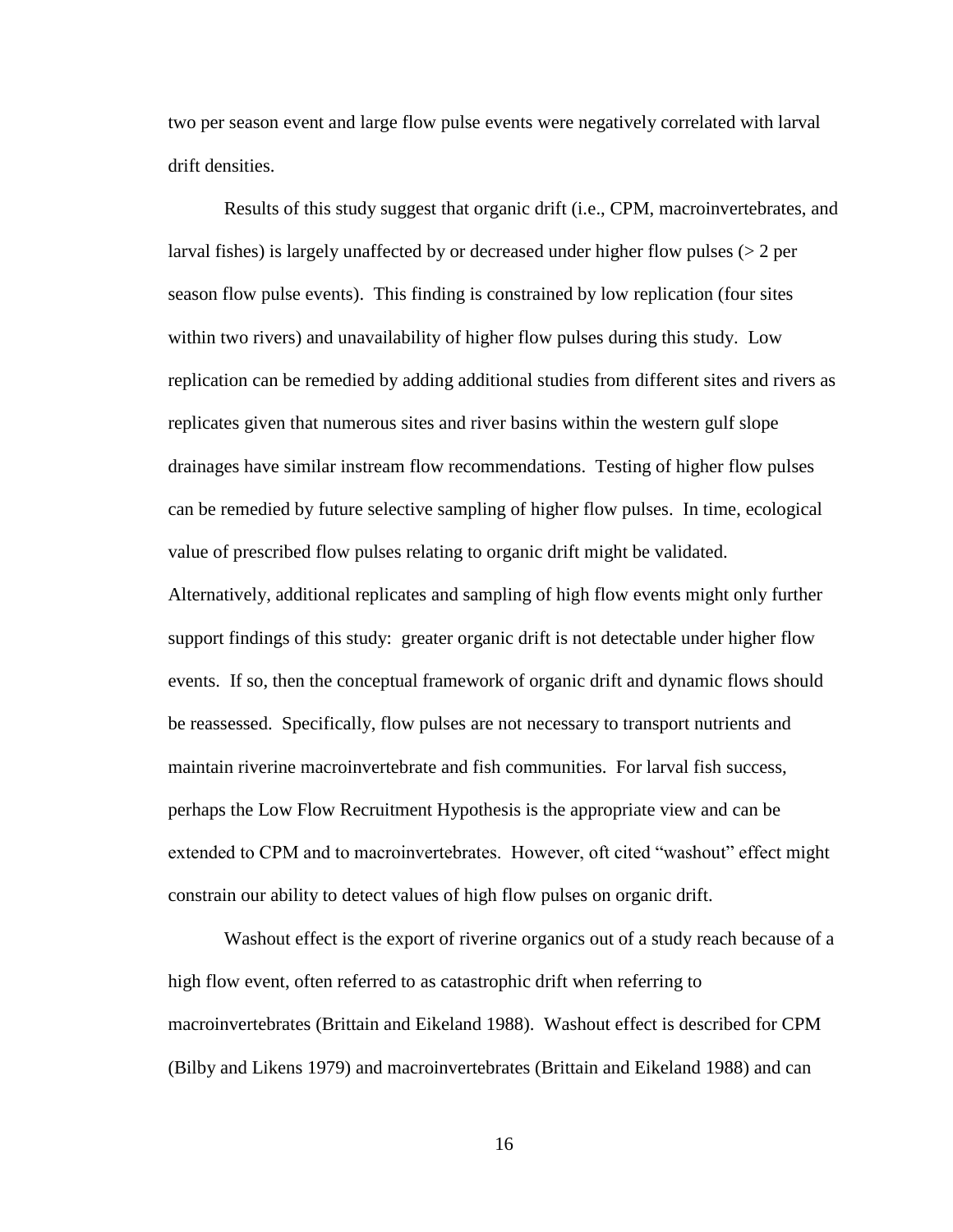two per season event and large flow pulse events were negatively correlated with larval drift densities.

Results of this study suggest that organic drift (i.e., CPM, macroinvertebrates, and larval fishes) is largely unaffected by or decreased under higher flow pulses (> 2 per season flow pulse events). This finding is constrained by low replication (four sites within two rivers) and unavailability of higher flow pulses during this study. Low replication can be remedied by adding additional studies from different sites and rivers as replicates given that numerous sites and river basins within the western gulf slope drainages have similar instream flow recommendations. Testing of higher flow pulses can be remedied by future selective sampling of higher flow pulses. In time, ecological value of prescribed flow pulses relating to organic drift might be validated. Alternatively, additional replicates and sampling of high flow events might only further support findings of this study: greater organic drift is not detectable under higher flow events. If so, then the conceptual framework of organic drift and dynamic flows should be reassessed. Specifically, flow pulses are not necessary to transport nutrients and maintain riverine macroinvertebrate and fish communities. For larval fish success,

perhaps the Low Flow Recruitment Hypothesis is the appropriate view and can be extended to CPM and to macroinvertebrates. However, oft cited "washout" effect might constrain our ability to detect values of high flow pulses on organic drift.

Washout effect is the export of riverine organics out of a study reach because of a high flow event, often referred to as catastrophic drift when referring to macroinvertebrates (Brittain and Eikeland 1988). Washout effect is described for CPM (Bilby and Likens 1979) and macroinvertebrates (Brittain and Eikeland 1988) and can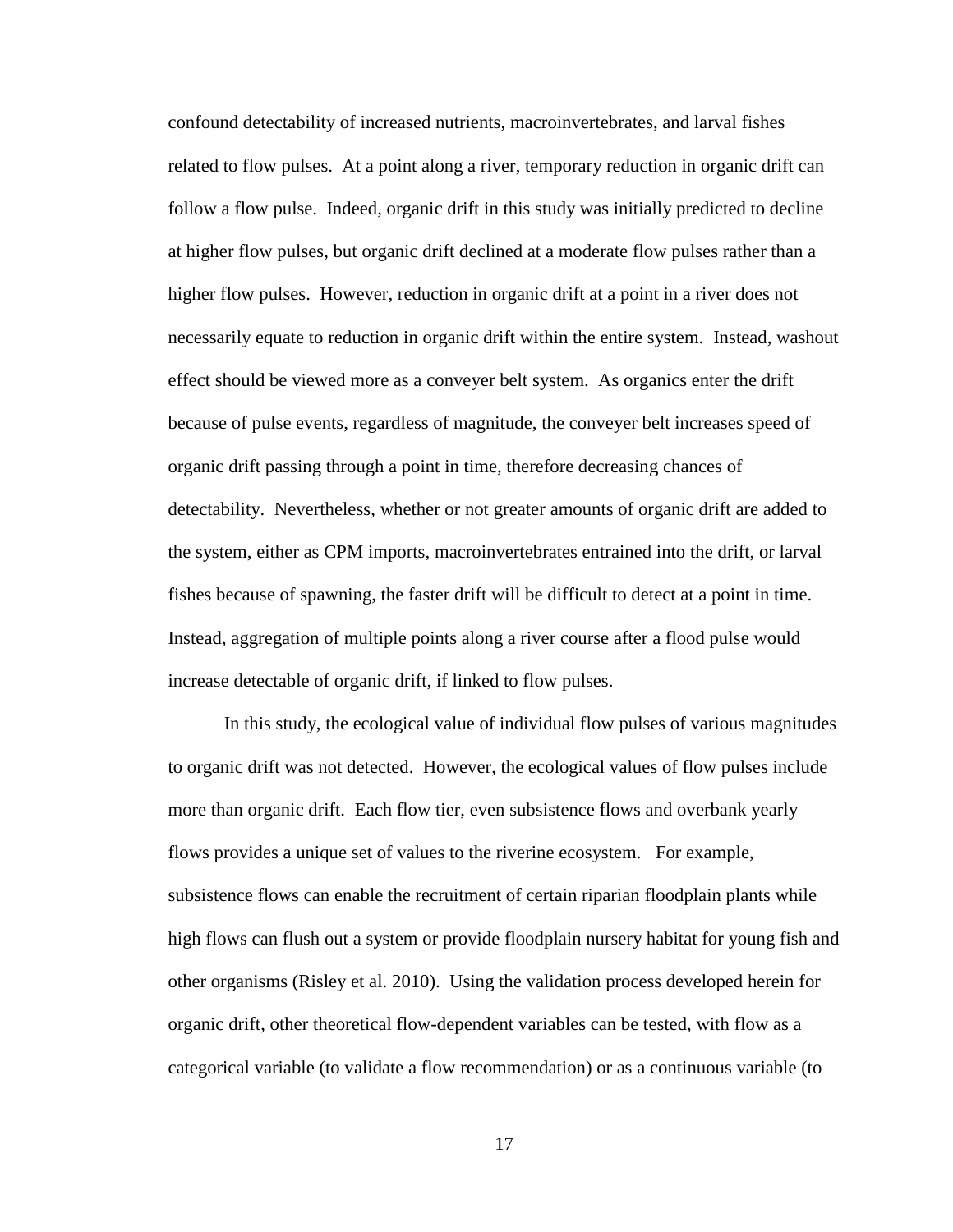confound detectability of increased nutrients, macroinvertebrates, and larval fishes related to flow pulses. At a point along a river, temporary reduction in organic drift can follow a flow pulse. Indeed, organic drift in this study was initially predicted to decline at higher flow pulses, but organic drift declined at a moderate flow pulses rather than a higher flow pulses. However, reduction in organic drift at a point in a river does not necessarily equate to reduction in organic drift within the entire system. Instead, washout effect should be viewed more as a conveyer belt system. As organics enter the drift because of pulse events, regardless of magnitude, the conveyer belt increases speed of organic drift passing through a point in time, therefore decreasing chances of detectability. Nevertheless, whether or not greater amounts of organic drift are added to the system, either as CPM imports, macroinvertebrates entrained into the drift, or larval fishes because of spawning, the faster drift will be difficult to detect at a point in time. Instead, aggregation of multiple points along a river course after a flood pulse would increase detectable of organic drift, if linked to flow pulses.

In this study, the ecological value of individual flow pulses of various magnitudes to organic drift was not detected. However, the ecological values of flow pulses include more than organic drift. Each flow tier, even subsistence flows and overbank yearly flows provides a unique set of values to the riverine ecosystem. For example, subsistence flows can enable the recruitment of certain riparian floodplain plants while high flows can flush out a system or provide floodplain nursery habitat for young fish and other organisms (Risley et al. 2010). Using the validation process developed herein for organic drift, other theoretical flow-dependent variables can be tested, with flow as a categorical variable (to validate a flow recommendation) or as a continuous variable (to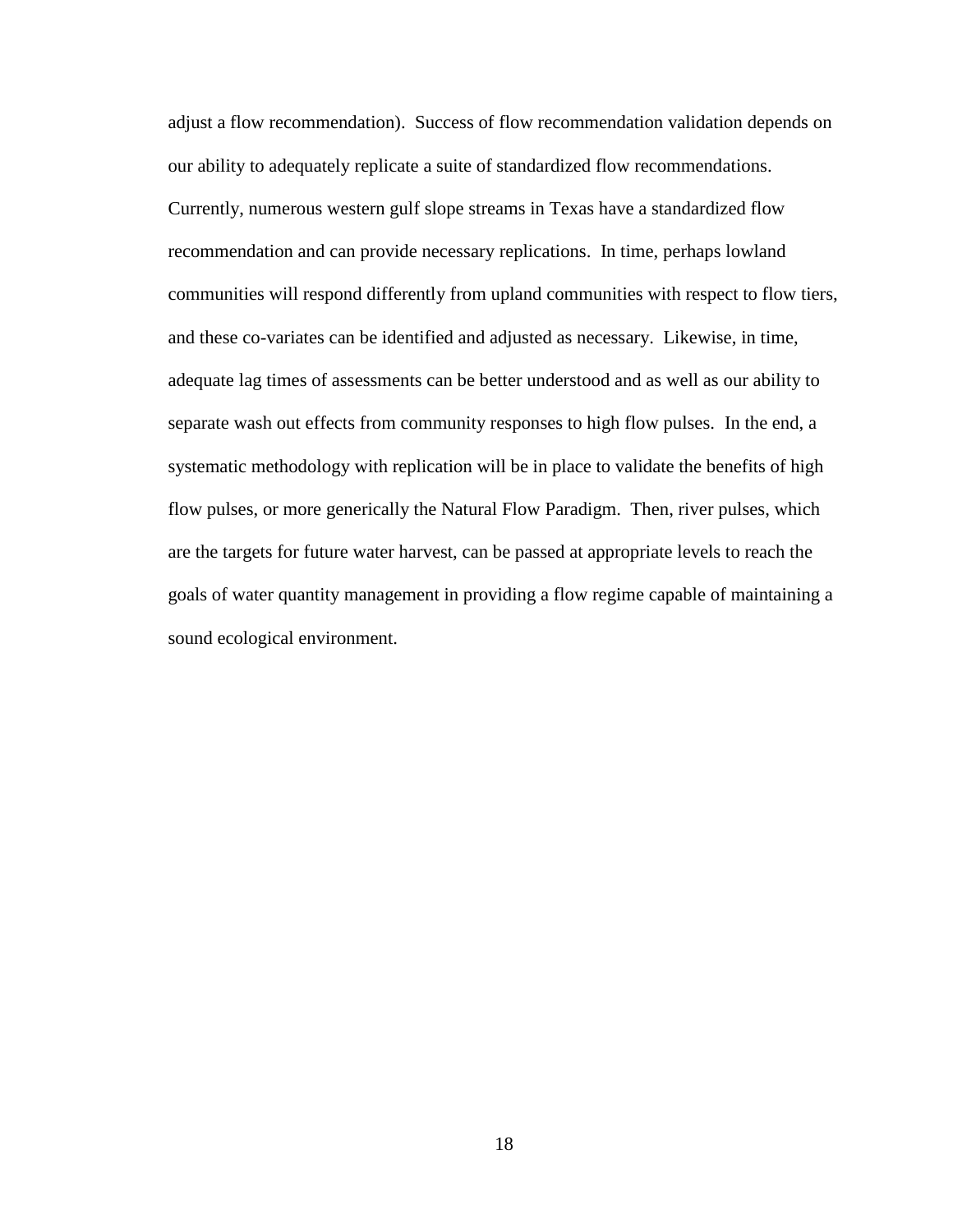adjust a flow recommendation). Success of flow recommendation validation depends on our ability to adequately replicate a suite of standardized flow recommendations. Currently, numerous western gulf slope streams in Texas have a standardized flow recommendation and can provide necessary replications. In time, perhaps lowland communities will respond differently from upland communities with respect to flow tiers, and these co-variates can be identified and adjusted as necessary. Likewise, in time, adequate lag times of assessments can be better understood and as well as our ability to separate wash out effects from community responses to high flow pulses. In the end, a systematic methodology with replication will be in place to validate the benefits of high flow pulses, or more generically the Natural Flow Paradigm. Then, river pulses, which are the targets for future water harvest, can be passed at appropriate levels to reach the goals of water quantity management in providing a flow regime capable of maintaining a sound ecological environment.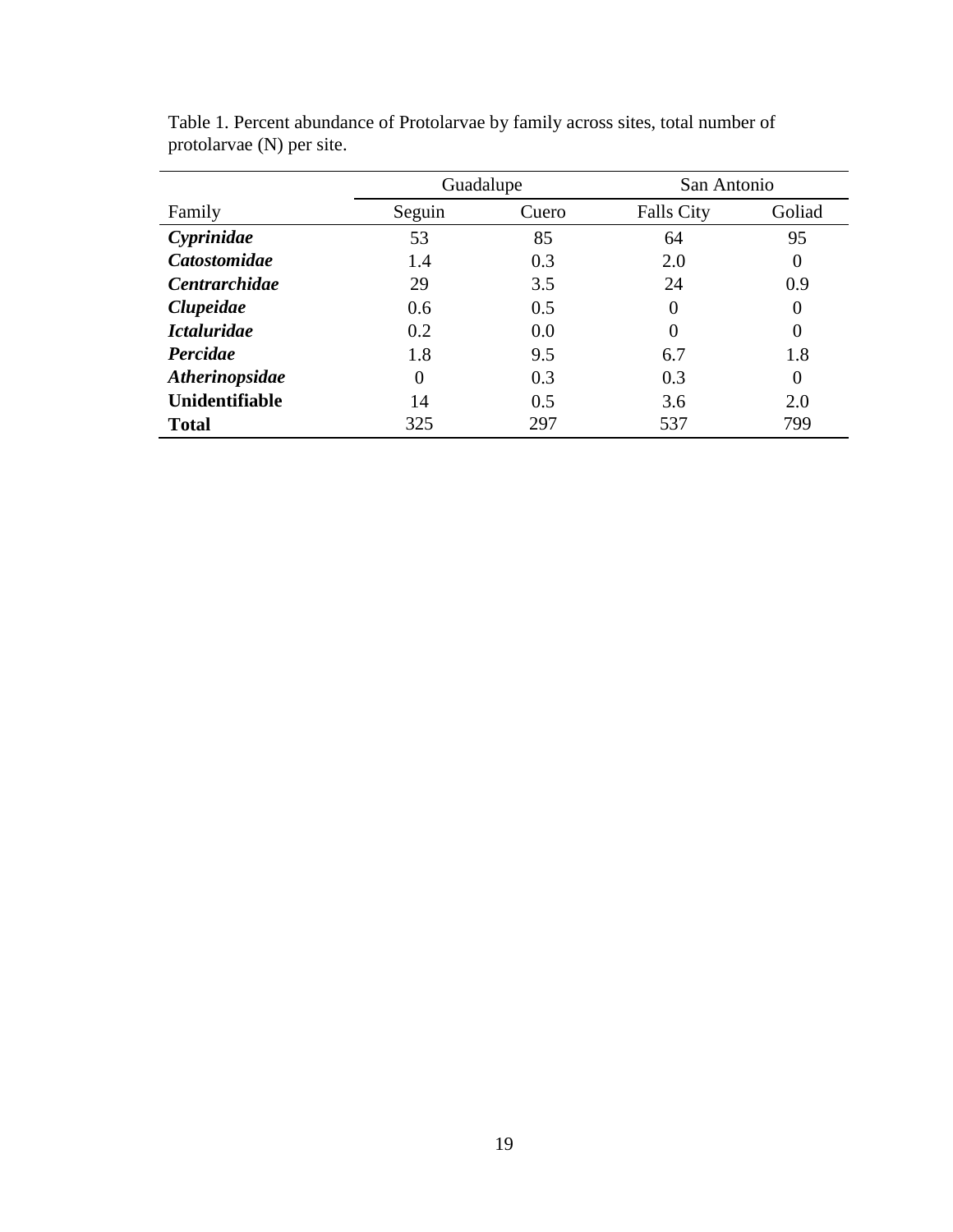|                      |          | Guadalupe | San Antonio       |          |
|----------------------|----------|-----------|-------------------|----------|
| Family               | Seguin   | Cuero     | <b>Falls City</b> | Goliad   |
| Cyprinidae           | 53       | 85        | 64                | 95       |
| <b>Catostomidae</b>  | 1.4      | 0.3       | 2.0               | $\Omega$ |
| <b>Centrarchidae</b> | 29       | 3.5       | 24                | 0.9      |
| Clupeidae            | 0.6      | 0.5       | 0                 | $\theta$ |
| <b>Ictaluridae</b>   | 0.2      | 0.0       | 0                 | $\Omega$ |
| Percidae             | 1.8      | 9.5       | 6.7               | 1.8      |
| Atherinopsidae       | $\theta$ | 0.3       | 0.3               | $\Omega$ |
| Unidentifiable       | 14       | 0.5       | 3.6               | 2.0      |
| <b>Total</b>         | 325      | 297       | 537               | 799      |

Table 1. Percent abundance of Protolarvae by family across sites, total number of protolarvae (N) per site.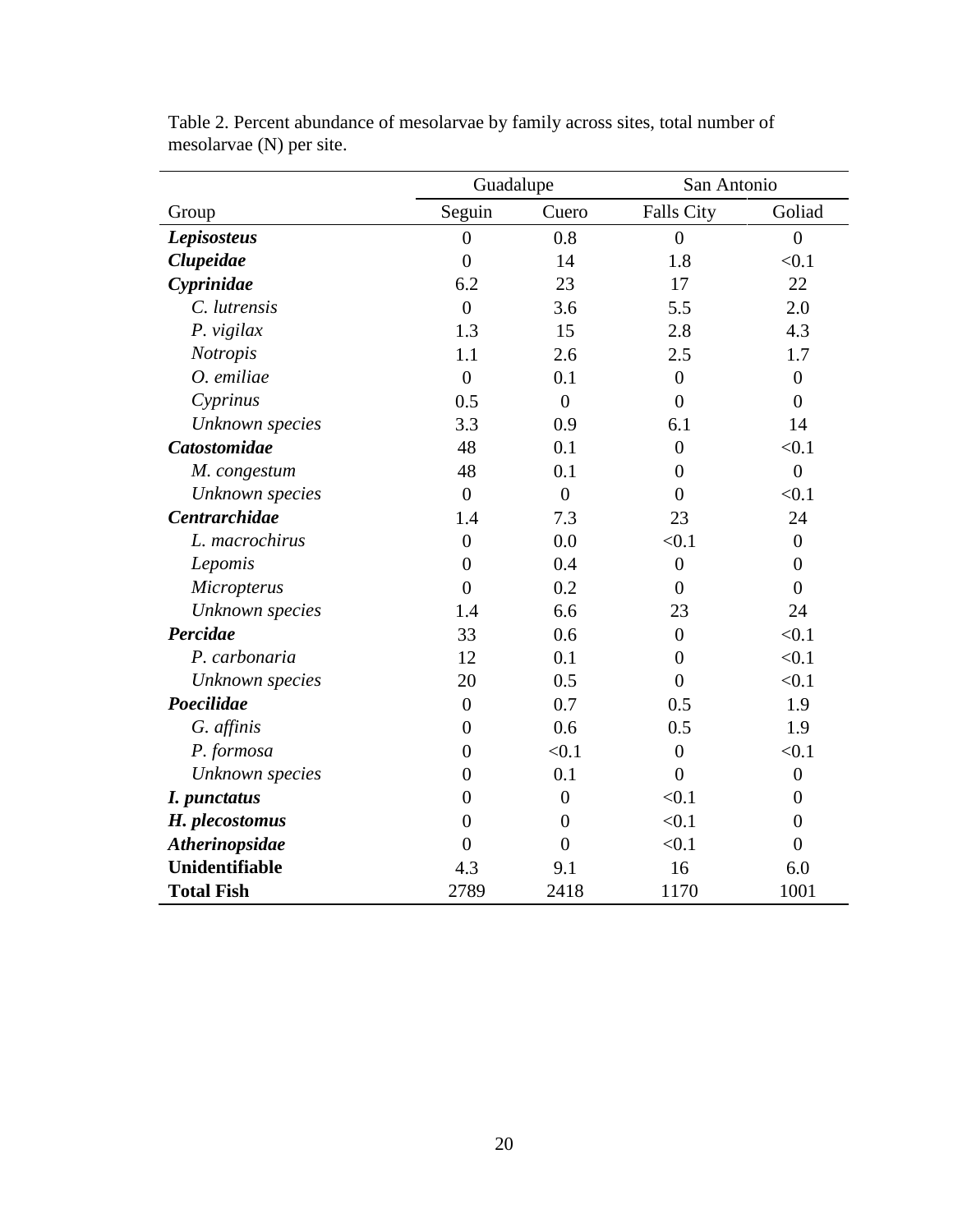|                      | Guadalupe      |                  | San Antonio       |                  |  |
|----------------------|----------------|------------------|-------------------|------------------|--|
| Group                | Seguin         | Cuero            | <b>Falls City</b> | Goliad           |  |
| <b>Lepisosteus</b>   | $\overline{0}$ | 0.8              | $\overline{0}$    | $\overline{0}$   |  |
| Clupeidae            | $\overline{0}$ | 14               | 1.8               | < 0.1            |  |
| Cyprinidae           | 6.2            | 23               | 17                | 22               |  |
| C. lutrensis         | $\overline{0}$ | 3.6              | 5.5               | 2.0              |  |
| P. vigilax           | 1.3            | 15               | 2.8               | 4.3              |  |
| Notropis             | 1.1            | 2.6              | 2.5               | 1.7              |  |
| O. emiliae           | $\overline{0}$ | 0.1              | $\overline{0}$    | $\boldsymbol{0}$ |  |
| Cyprinus             | 0.5            | $\overline{0}$   | $\overline{0}$    | $\overline{0}$   |  |
| Unknown species      | 3.3            | 0.9              | 6.1               | 14               |  |
| <b>Catostomidae</b>  | 48             | 0.1              | $\overline{0}$    | < 0.1            |  |
| M. congestum         | 48             | 0.1              | $\overline{0}$    | $\overline{0}$   |  |
| Unknown species      | $\overline{0}$ | $\overline{0}$   | $\overline{0}$    | < 0.1            |  |
| <b>Centrarchidae</b> | 1.4            | 7.3              | 23                | 24               |  |
| L. macrochirus       | $\overline{0}$ | 0.0              | < 0.1             | $\boldsymbol{0}$ |  |
| Lepomis              | $\overline{0}$ | 0.4              | $\boldsymbol{0}$  | $\overline{0}$   |  |
| Micropterus          | $\overline{0}$ | 0.2              | $\overline{0}$    | $\overline{0}$   |  |
| Unknown species      | 1.4            | 6.6              | 23                | 24               |  |
| Percidae             | 33             | 0.6              | $\overline{0}$    | < 0.1            |  |
| P. carbonaria        | 12             | 0.1              | $\overline{0}$    | < 0.1            |  |
| Unknown species      | 20             | 0.5              | $\overline{0}$    | < 0.1            |  |
| Poecilidae           | $\overline{0}$ | 0.7              | 0.5               | 1.9              |  |
| G. affinis           | $\overline{0}$ | 0.6              | 0.5               | 1.9              |  |
| P. formosa           | $\overline{0}$ | < 0.1            | $\boldsymbol{0}$  | < 0.1            |  |
| Unknown species      | $\overline{0}$ | 0.1              | $\overline{0}$    | $\boldsymbol{0}$ |  |
| I. punctatus         | $\theta$       | $\boldsymbol{0}$ | < 0.1             | $\theta$         |  |
| H. plecostomus       | $\overline{0}$ | $\overline{0}$   | < 0.1             | $\overline{0}$   |  |
| Atherinopsidae       | $\overline{0}$ | $\overline{0}$   | < 0.1             | $\overline{0}$   |  |
| Unidentifiable       | 4.3            | 9.1              | 16                | 6.0              |  |
| <b>Total Fish</b>    | 2789           | 2418             | 1170              | 1001             |  |

Table 2. Percent abundance of mesolarvae by family across sites, total number of mesolarvae (N) per site.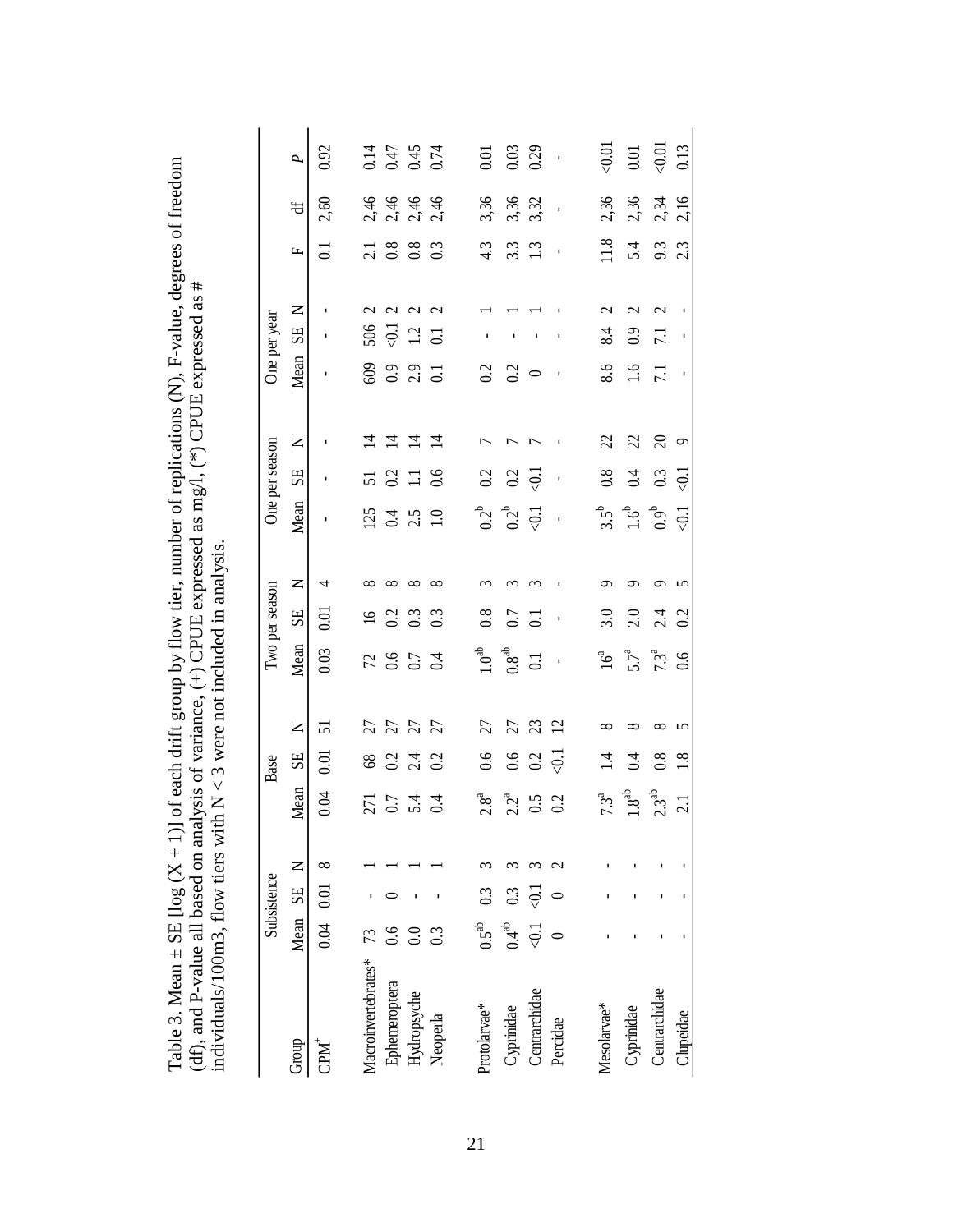| individuals/100m3, flow tiers with $N < 3$ were not included in analysis. |                     |                    |   |                     |                     |                                    |                  |                |            |                                |                     |                |                  |                  |                                                         |                               |                    |
|---------------------------------------------------------------------------|---------------------|--------------------|---|---------------------|---------------------|------------------------------------|------------------|----------------|------------|--------------------------------|---------------------|----------------|------------------|------------------|---------------------------------------------------------|-------------------------------|--------------------|
|                                                                           |                     | Subsistence        |   |                     | Base                |                                    |                  | Two per season |            |                                | One per season      |                |                  | One per year     |                                                         |                               |                    |
| Group                                                                     | Mean SE N           |                    |   | Mean                | 5E                  | $\mathsf{z}$                       | Mean             | SE             | Z          | Mean                           | SE                  | $\square$      | Mean             | SE               | Щ<br>$\square$                                          | $\ddot{a}$                    | P                  |
| $CDM^+$                                                                   | $0.04$ 0.01         |                    | ∞ | 0.04                | 0.01                | 51                                 | 0.03             | 0.01           | 4          |                                |                     |                |                  | ٠                | $\Xi$                                                   | 2,60                          | 0.92               |
| Macroinvertebrates*                                                       |                     |                    |   |                     |                     |                                    |                  | $\frac{6}{1}$  |            |                                | 51                  | ᅼ              |                  | 506              | $\mathcal{L}$                                           |                               |                    |
| Ephemeroptera                                                             | 6.6                 |                    |   | $\overline{271}$    | 68<br>0.2           |                                    | $72$ 0.6         | 0.2            | $\infty$   |                                | 0.2                 | $\overline{4}$ | 60<br>0.9        | $\overline{0}$   | $\frac{21}{0.8}$<br>$\mathbf{\sim}$                     |                               |                    |
| Hydropsyche                                                               | $\overline{0.0}$    |                    |   | $54$ $4$            | $\frac{4}{2}$ 3     | <b>ដ ដ ដ</b> ដ                     | 0.7              | 0.3            | $\infty$   | $125$<br>$0.4$<br>$1.0$        | $\frac{11}{6}$      | $\overline{4}$ | 2.9              | 1.2              | $0.\overline{8}$<br>$0.\overline{3}$<br>$\mathbf{\sim}$ | 4 4 4 4<br>2 4 4 4<br>2 4 4 5 | 14<br>0.45<br>0.74 |
| Neoperla                                                                  | 0.3                 |                    |   |                     |                     |                                    | $\ddot{0}$       | 0.3            | $^{\circ}$ |                                |                     | $\overline{4}$ | $\overline{c}$   | $\overline{0}$ . | $\mathbf{\sim}$                                         |                               |                    |
| Protolarvae*                                                              | 0.5 <sup>ab</sup>   | 0.3                |   | $2.8^{\circ}$       | 0.6                 | 27                                 | $1.0^{ab}$       | 0.8            |            | $0.2^b$                        | 0.2                 |                | 0.2              |                  | 4.3                                                     | 3,36                          | $\overline{0.0}$   |
| Cyprinidae                                                                | $0.4$ <sup>ab</sup> | 0.3                |   |                     |                     | 27                                 | $0.8^{ab}$       | 0.7            |            | $0.2^{\mathrm{b}}$             | 0.2                 |                | 0.2              |                  | 3.3                                                     |                               | 0.03               |
| Centrarchidae                                                             | $\ddot{\phi}$       | $\overline{\odot}$ |   | $\frac{2^{a}}{0.5}$ | $0.6$<br>0.2        | $\mathfrak{L}% _{0}^{\alpha\beta}$ | $\overline{0}$   | $\overline{c}$ | ç          | $\overline{5}$                 | $\overline{\Theta}$ |                | $\circ$          |                  | 1.3                                                     | 3,32                          | 0.29               |
| Percidae                                                                  |                     |                    |   | 0.2                 | $\overline{\Theta}$ | 12                                 | $\blacksquare$   |                |            | $\mathbf{I}$                   |                     |                |                  |                  |                                                         |                               |                    |
| Mesolarvae*                                                               |                     |                    |   | $7.3^a$             | $\vec{r}$           | ∞                                  | $16^a$           | 3.0            |            |                                | $0.8\,$             | 22             | 8.6              | 8.4              | 11.8<br>$\mathbin{\sim}$                                | 2,36                          | 0.01               |
| Cyprinidae                                                                |                     |                    |   | $1.8^{ab}$          | $\overline{0.4}$    | ∞                                  | $5.7^a$          | 2.0            | ᡋ          | $3.5^{\circ}$<br>$1.6^{\circ}$ | 0.4                 | 22             | 1.6              | 0.9              | 5.4<br>$\mathrel{\sim}$                                 | 2,36                          | $0.01\,$           |
| Centrarchidae                                                             |                     |                    |   | 2.3 <sup>ab</sup>   | 0.8                 | ${}^{\circ}$                       | $7.3^{\text{a}}$ | 2.4            | ᢒ          | $0.9^{\rm b}$                  | 0.3                 | $\infty$       | $\overline{7.1}$ | 7.1              | 9.3<br>$\mathbf 2$                                      | 2,34                          | $\leq 0.01$        |
| Clupeidae                                                                 |                     |                    |   | $\overline{c}$      | 1.8                 | 5                                  | 0.6              | 0.2            | 5          | $\leq 0.1$                     | $\overline{\odot}$  | $\circ$        |                  |                  | 2.3                                                     | 2,16                          | 0.13               |

Table 3. Mean  $\pm$  SE [log (X + 1)] of each drift group by flow tier, number of replications (N), F-value, degrees of freedom (df), and P-value all based on analysis of variance, (+) CPUE expressed as mg/l, (\*) CPUE expre Table 3. Mean ± SE [log (X + 1)] of each drift group by flow tier, number of replications (N), F-value, degrees of freedom (df), and P-value all based on analysis of variance,  $(+)$  CPUE expressed as mg/l,  $(*)$  CPUE expressed as #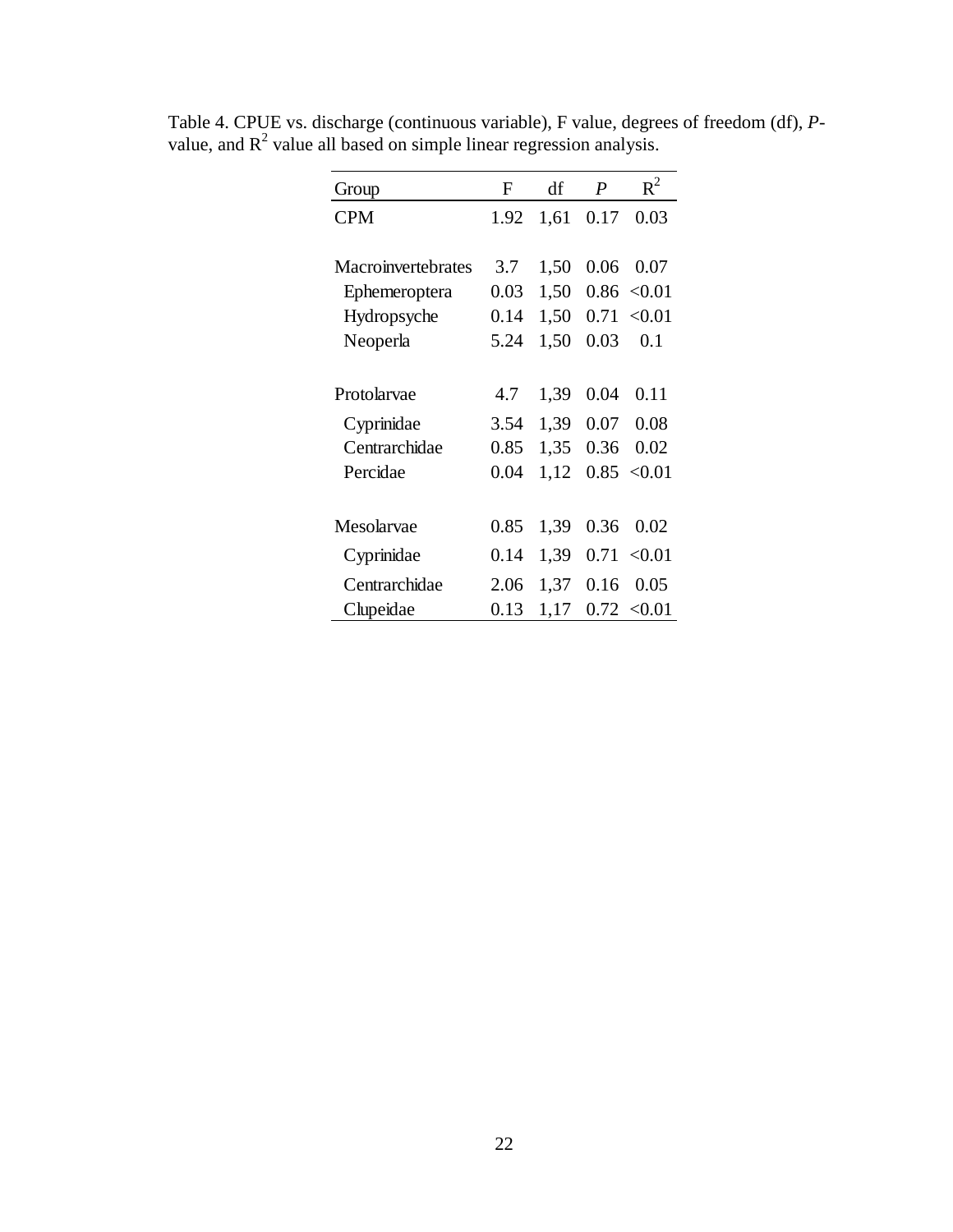| Group              | F    | df   | $\boldsymbol{P}$ | $R^2$  |
|--------------------|------|------|------------------|--------|
| <b>CPM</b>         | 1.92 | 1,61 | 0.17             | 0.03   |
|                    |      |      |                  |        |
| Macroinvertebrates | 3.7  | 1,50 | 0.06             | 0.07   |
| Ephemeroptera      | 0.03 | 1,50 | 0.86             | < 0.01 |
| Hydropsyche        | 0.14 | 1,50 | 0.71             | < 0.01 |
| Neoperla           | 5.24 | 1,50 | 0.03             | 0.1    |
|                    |      |      |                  |        |
| Protolarvae        | 4.7  | 1,39 | 0.04             | 0.11   |
| Cyprinidae         | 3.54 | 1,39 | 0.07             | 0.08   |
| Centrarchidae      | 0.85 | 1,35 | 0.36             | 0.02   |
| Percidae           | 0.04 | 1,12 | 0.85             | < 0.01 |
|                    |      |      |                  |        |
| Mesolarvae         | 0.85 | 1,39 | 0.36             | 0.02   |
| Cyprinidae         | 0.14 | 1,39 | 0.71             | < 0.01 |
| Centrarchidae      | 2.06 | 1,37 | 0.16             | 0.05   |
| Clupeidae          | 0.13 | 1,17 | 0.72             | < 0.01 |

Table 4. CPUE vs. discharge (continuous variable), F value, degrees of freedom (df), *P*value, and  $R^2$  value all based on simple linear regression analysis.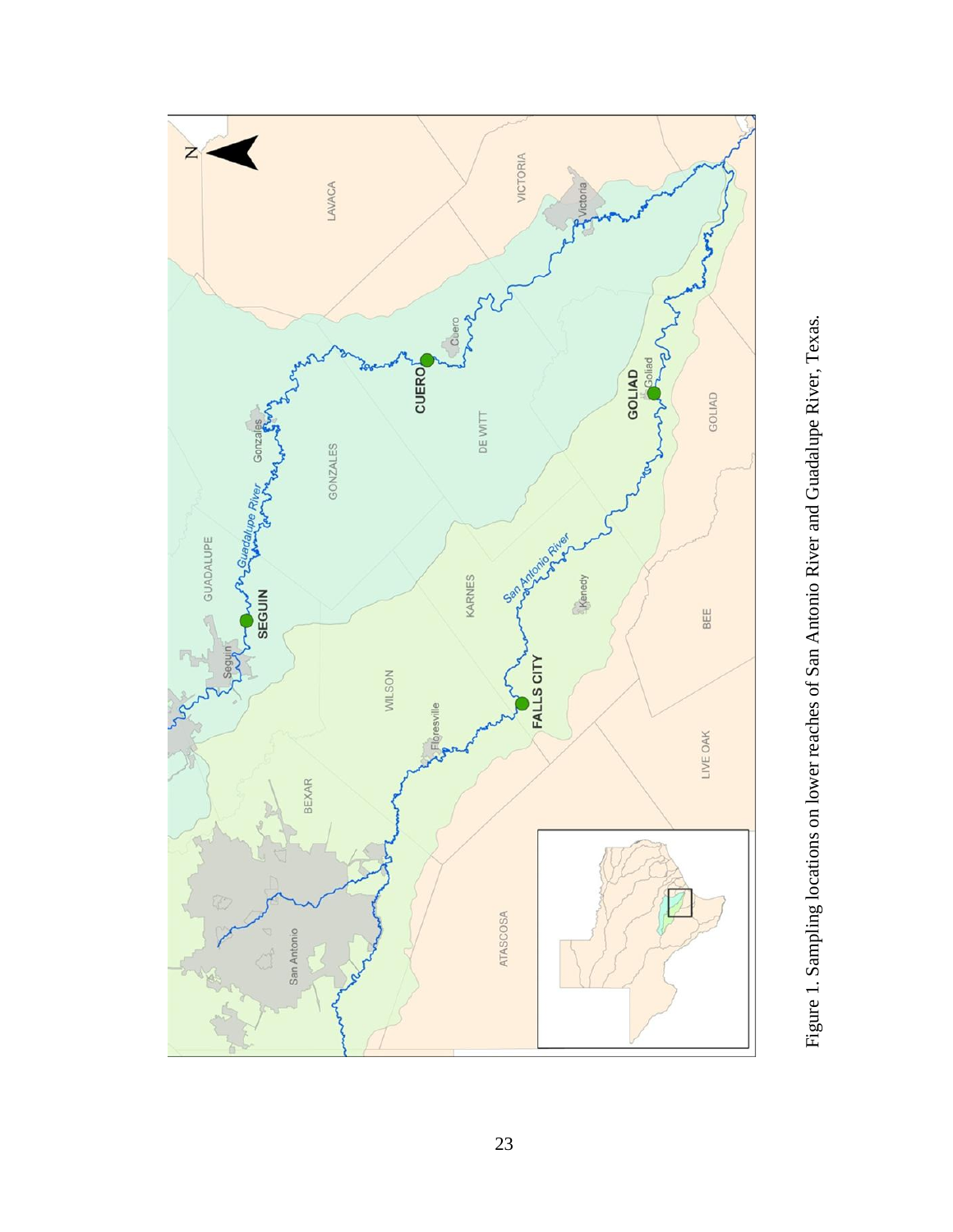

Figure 1. Sampling locations on lower reaches of San Antonio River and Guadalupe River, Texas. Figure 1. Sampling locations on lower reaches of San Antonio River and Guadalupe River, Texas.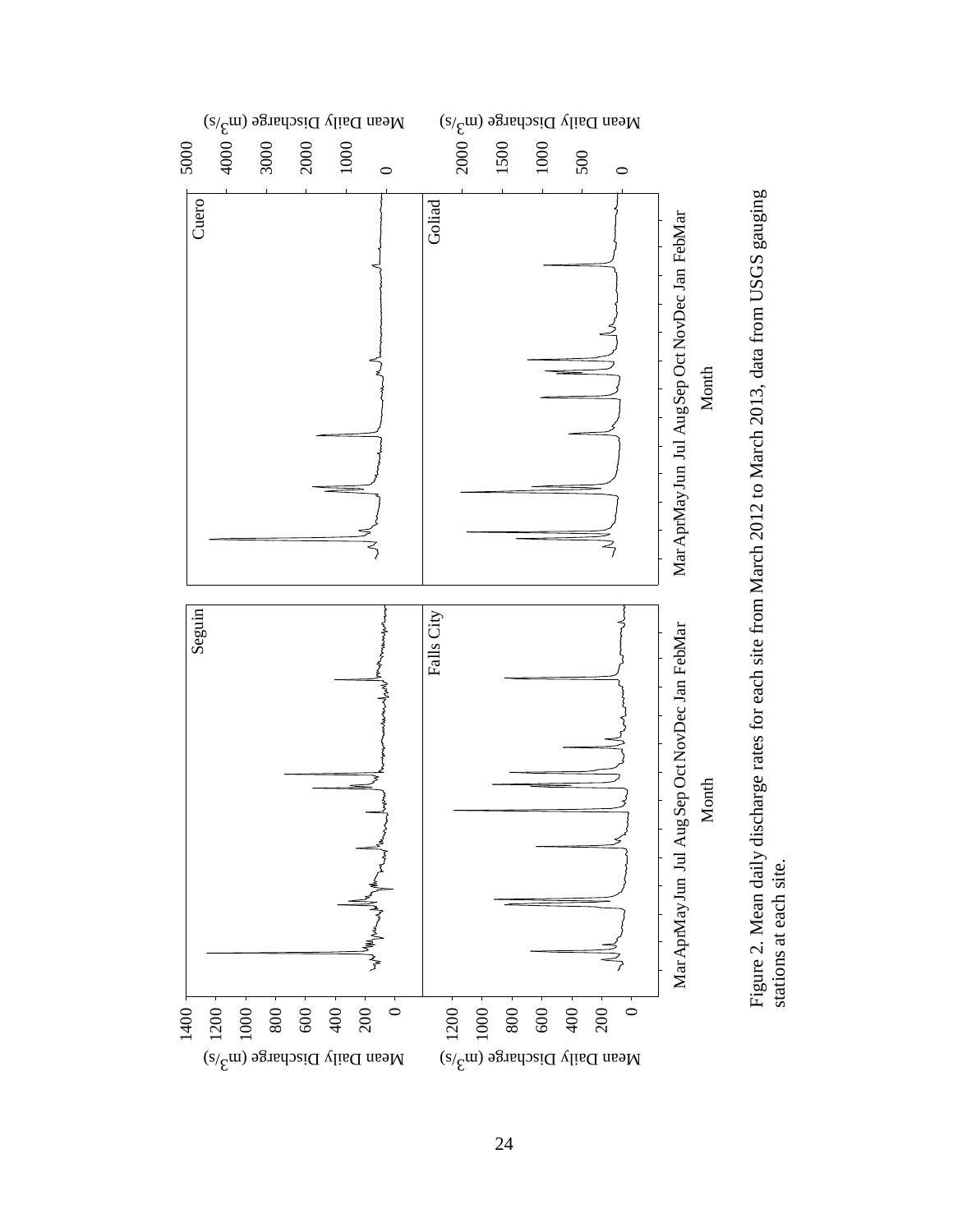

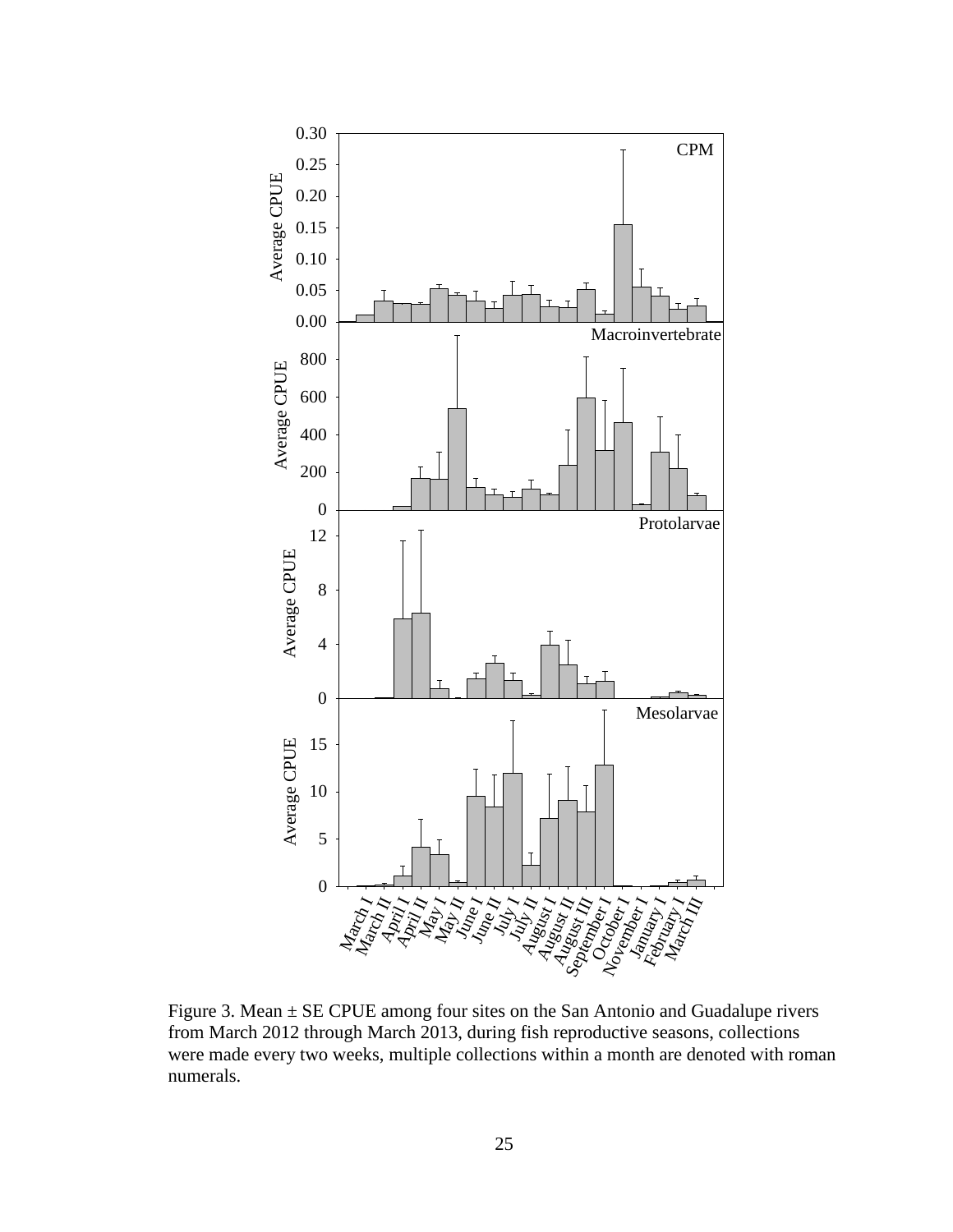

Figure 3. Mean  $\pm$  SE CPUE among four sites on the San Antonio and Guadalupe rivers from March 2012 through March 2013, during fish reproductive seasons, collections were made every two weeks, multiple collections within a month are denoted with roman numerals.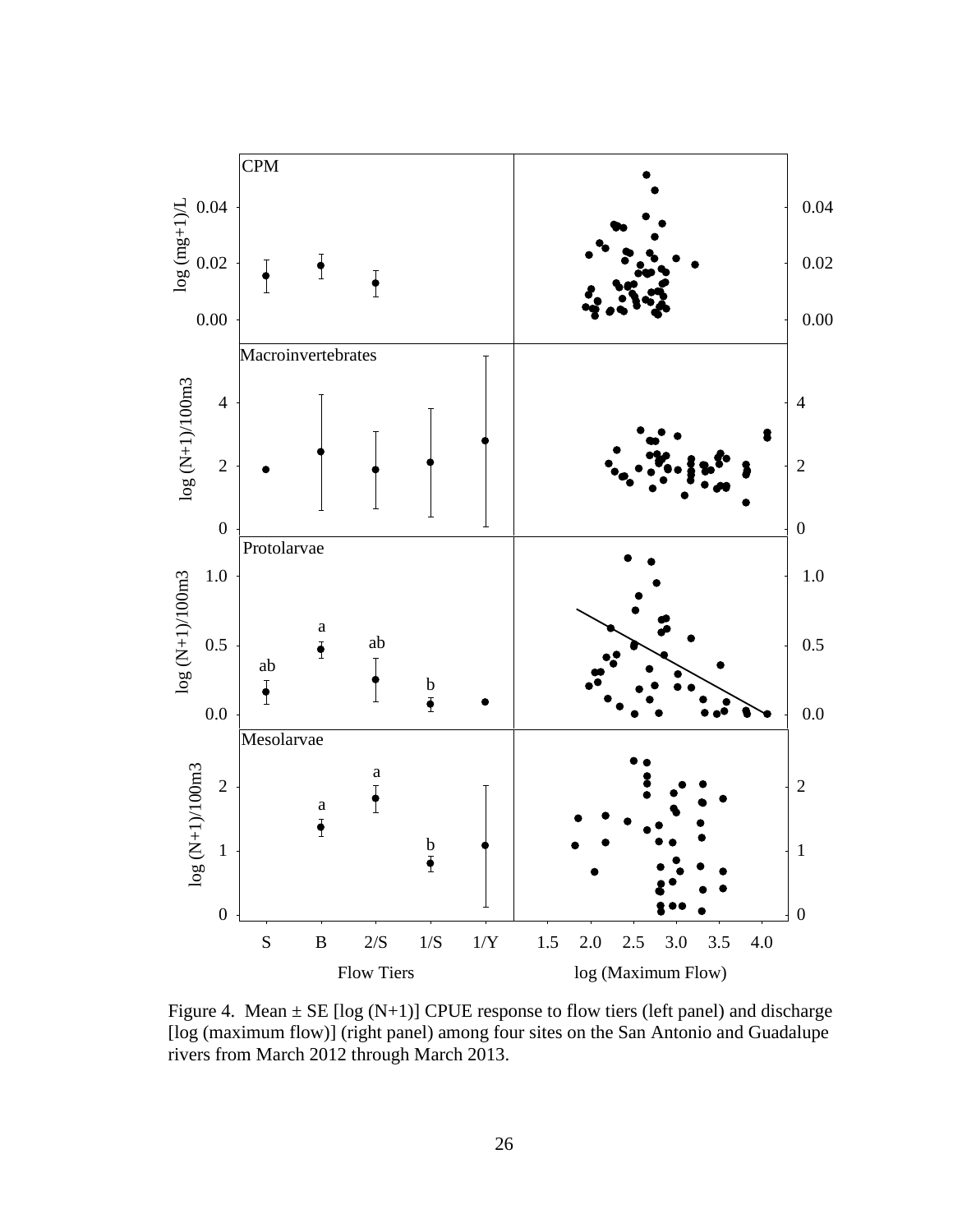

Figure 4. Mean  $\pm$  SE [log (N+1)] CPUE response to flow tiers (left panel) and discharge [log (maximum flow)] (right panel) among four sites on the San Antonio and Guadalupe rivers from March 2012 through March 2013.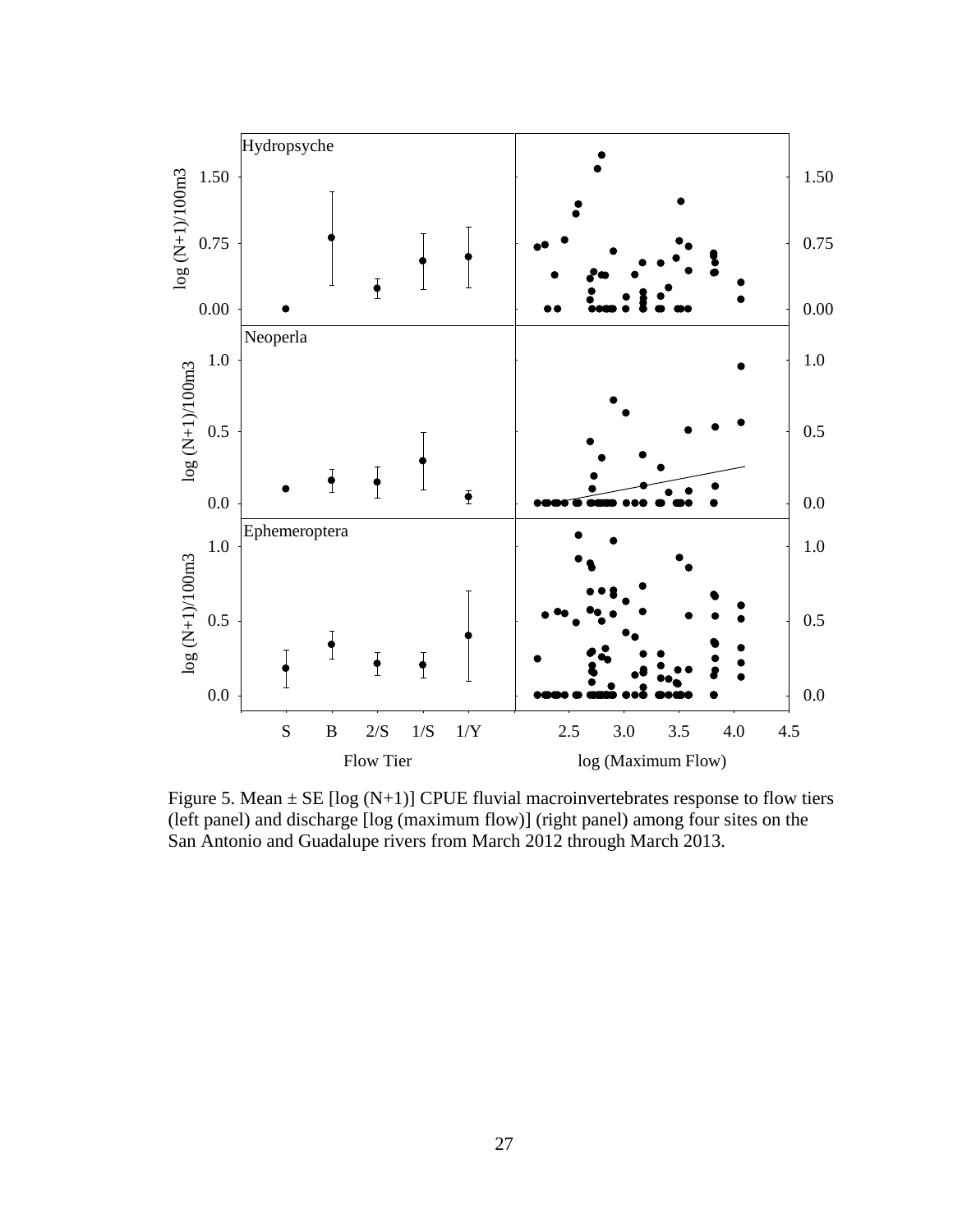

Figure 5. Mean  $\pm$  SE [log (N+1)] CPUE fluvial macroinvertebrates response to flow tiers (left panel) and discharge [log (maximum flow)] (right panel) among four sites on the San Antonio and Guadalupe rivers from March 2012 through March 2013.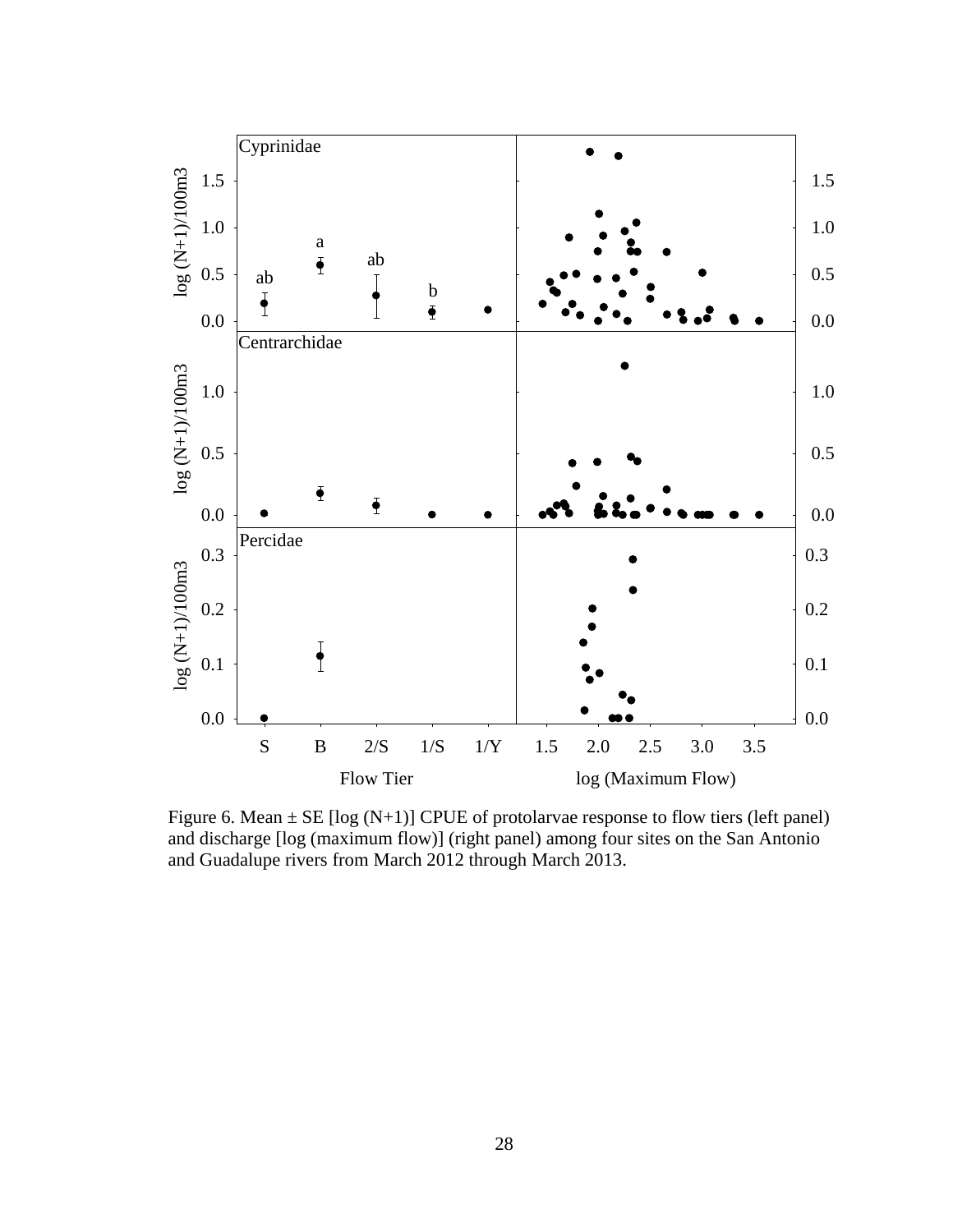

Figure 6. Mean  $\pm$  SE [log (N+1)] CPUE of protolarvae response to flow tiers (left panel) and discharge [log (maximum flow)] (right panel) among four sites on the San Antonio and Guadalupe rivers from March 2012 through March 2013.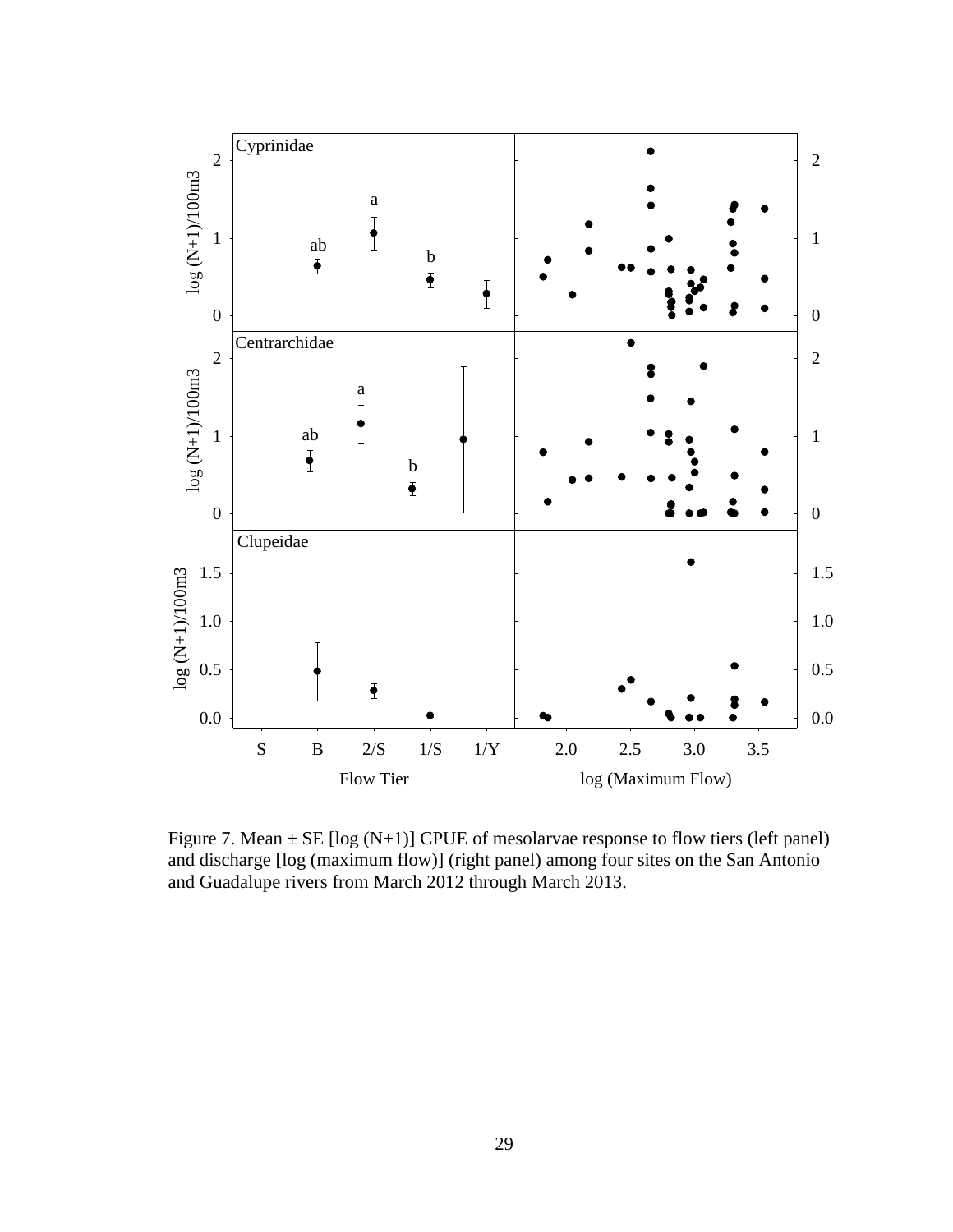

Figure 7. Mean  $\pm$  SE [log (N+1)] CPUE of mesolarvae response to flow tiers (left panel) and discharge [log (maximum flow)] (right panel) among four sites on the San Antonio and Guadalupe rivers from March 2012 through March 2013.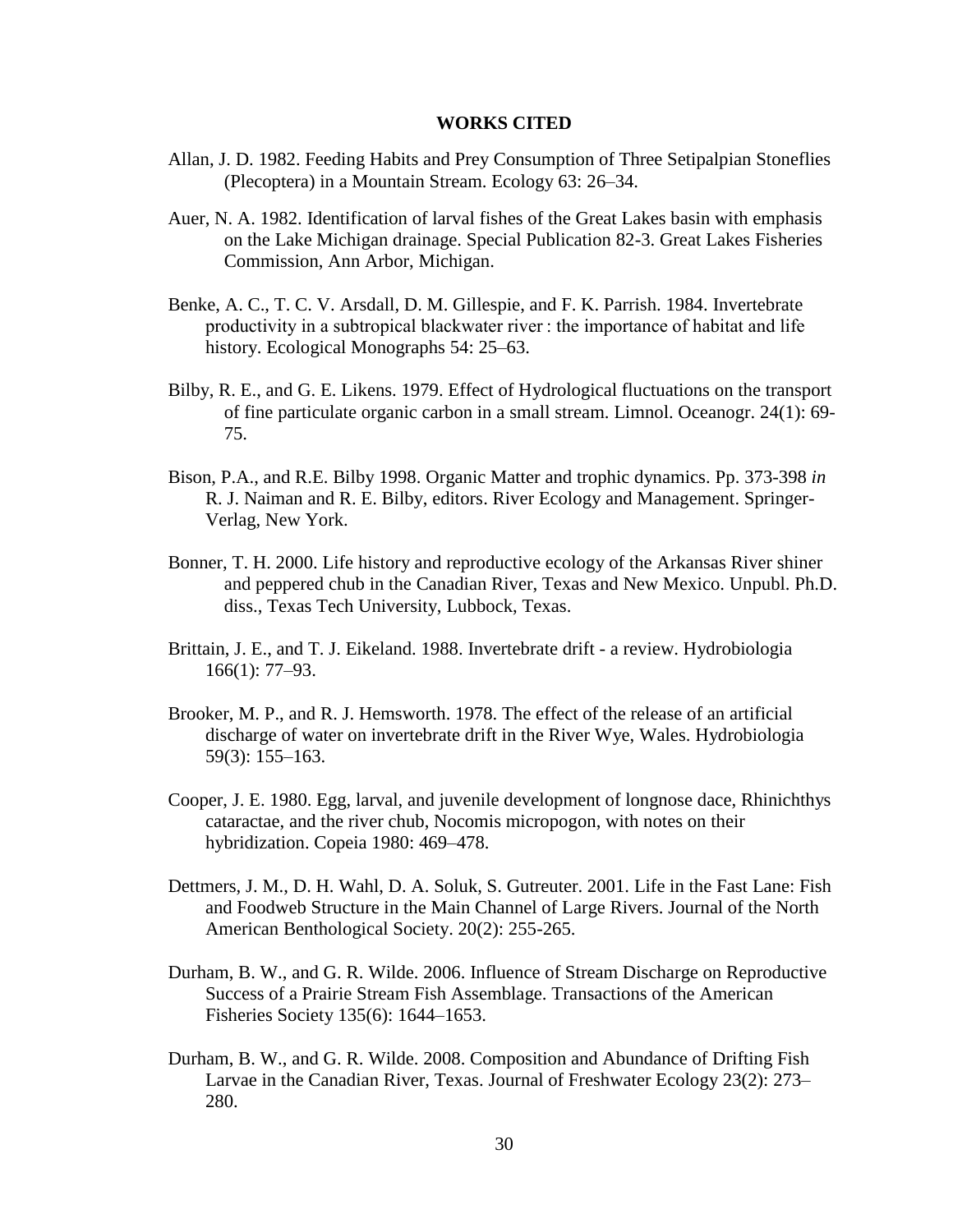#### **WORKS CITED**

- Allan, J. D. 1982. Feeding Habits and Prey Consumption of Three Setipalpian Stoneflies (Plecoptera) in a Mountain Stream. Ecology 63: 26–34.
- Auer, N. A. 1982. Identification of larval fishes of the Great Lakes basin with emphasis on the Lake Michigan drainage. Special Publication 82-3. Great Lakes Fisheries Commission, Ann Arbor, Michigan.
- Benke, A. C., T. C. V. Arsdall, D. M. Gillespie, and F. K. Parrish. 1984. Invertebrate productivity in a subtropical blackwater river : the importance of habitat and life history. Ecological Monographs 54: 25–63.
- Bilby, R. E., and G. E. Likens. 1979. Effect of Hydrological fluctuations on the transport of fine particulate organic carbon in a small stream. Limnol. Oceanogr. 24(1): 69- 75.
- Bison, P.A., and R.E. Bilby 1998. Organic Matter and trophic dynamics. Pp. 373-398 *in* R. J. Naiman and R. E. Bilby, editors. River Ecology and Management. Springer-Verlag, New York.
- Bonner, T. H. 2000. Life history and reproductive ecology of the Arkansas River shiner and peppered chub in the Canadian River, Texas and New Mexico. Unpubl. Ph.D. diss., Texas Tech University, Lubbock, Texas.
- Brittain, J. E., and T. J. Eikeland. 1988. Invertebrate drift a review. Hydrobiologia 166(1): 77–93.
- Brooker, M. P., and R. J. Hemsworth. 1978. The effect of the release of an artificial discharge of water on invertebrate drift in the River Wye, Wales. Hydrobiologia 59(3): 155–163.
- Cooper, J. E. 1980. Egg, larval, and juvenile development of longnose dace, Rhinichthys cataractae, and the river chub, Nocomis micropogon, with notes on their hybridization. Copeia 1980: 469–478.
- Dettmers, J. M., D. H. Wahl, D. A. Soluk, S. Gutreuter. 2001. Life in the Fast Lane: Fish and Foodweb Structure in the Main Channel of Large Rivers. Journal of the North American Benthological Society. 20(2): 255-265.
- Durham, B. W., and G. R. Wilde. 2006. Influence of Stream Discharge on Reproductive Success of a Prairie Stream Fish Assemblage. Transactions of the American Fisheries Society 135(6): 1644–1653.
- Durham, B. W., and G. R. Wilde. 2008. Composition and Abundance of Drifting Fish Larvae in the Canadian River, Texas. Journal of Freshwater Ecology 23(2): 273– 280.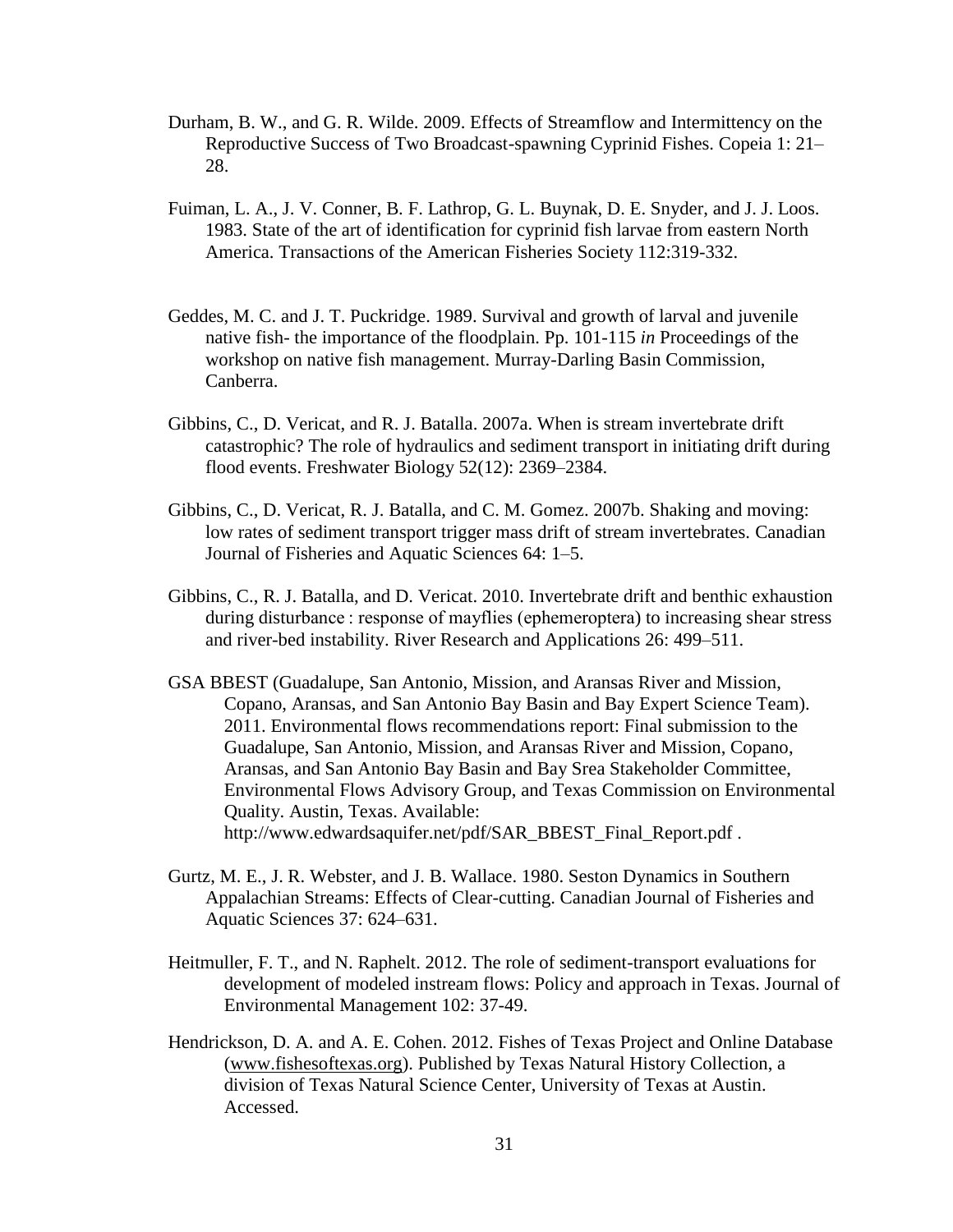- Durham, B. W., and G. R. Wilde. 2009. Effects of Streamflow and Intermittency on the Reproductive Success of Two Broadcast-spawning Cyprinid Fishes. Copeia 1: 21– 28.
- Fuiman, L. A., J. V. Conner, B. F. Lathrop, G. L. Buynak, D. E. Snyder, and J. J. Loos. 1983. State of the art of identification for cyprinid fish larvae from eastern North America. Transactions of the American Fisheries Society 112:319-332.
- Geddes, M. C. and J. T. Puckridge. 1989. Survival and growth of larval and juvenile native fish- the importance of the floodplain. Pp. 101-115 *in* Proceedings of the workshop on native fish management. Murray-Darling Basin Commission, Canberra.
- Gibbins, C., D. Vericat, and R. J. Batalla. 2007a. When is stream invertebrate drift catastrophic? The role of hydraulics and sediment transport in initiating drift during flood events. Freshwater Biology 52(12): 2369–2384.
- Gibbins, C., D. Vericat, R. J. Batalla, and C. M. Gomez. 2007b. Shaking and moving: low rates of sediment transport trigger mass drift of stream invertebrates. Canadian Journal of Fisheries and Aquatic Sciences 64: 1–5.
- Gibbins, C., R. J. Batalla, and D. Vericat. 2010. Invertebrate drift and benthic exhaustion during disturbance : response of mayflies (ephemeroptera) to increasing shear stress and river-bed instability. River Research and Applications 26: 499–511.
- GSA BBEST (Guadalupe, San Antonio, Mission, and Aransas River and Mission, Copano, Aransas, and San Antonio Bay Basin and Bay Expert Science Team). 2011. Environmental flows recommendations report: Final submission to the Guadalupe, San Antonio, Mission, and Aransas River and Mission, Copano, Aransas, and San Antonio Bay Basin and Bay Srea Stakeholder Committee, Environmental Flows Advisory Group, and Texas Commission on Environmental Quality. Austin, Texas. Available: http://www.edwardsaquifer.net/pdf/SAR\_BBEST\_Final\_Report.pdf .
- Gurtz, M. E., J. R. Webster, and J. B. Wallace. 1980. Seston Dynamics in Southern Appalachian Streams: Effects of Clear-cutting. Canadian Journal of Fisheries and Aquatic Sciences 37: 624–631.
- Heitmuller, F. T., and N. Raphelt. 2012. The role of sediment-transport evaluations for development of modeled instream flows: Policy and approach in Texas. Journal of Environmental Management 102: 37-49.
- Hendrickson, D. A. and A. E. Cohen. 2012. Fishes of Texas Project and Online Database [\(www.fishesoftexas.org\)](http://www.fishesoftexas.org/home). Published by Texas Natural History Collection, a division of Texas Natural Science Center, University of Texas at Austin. Accessed.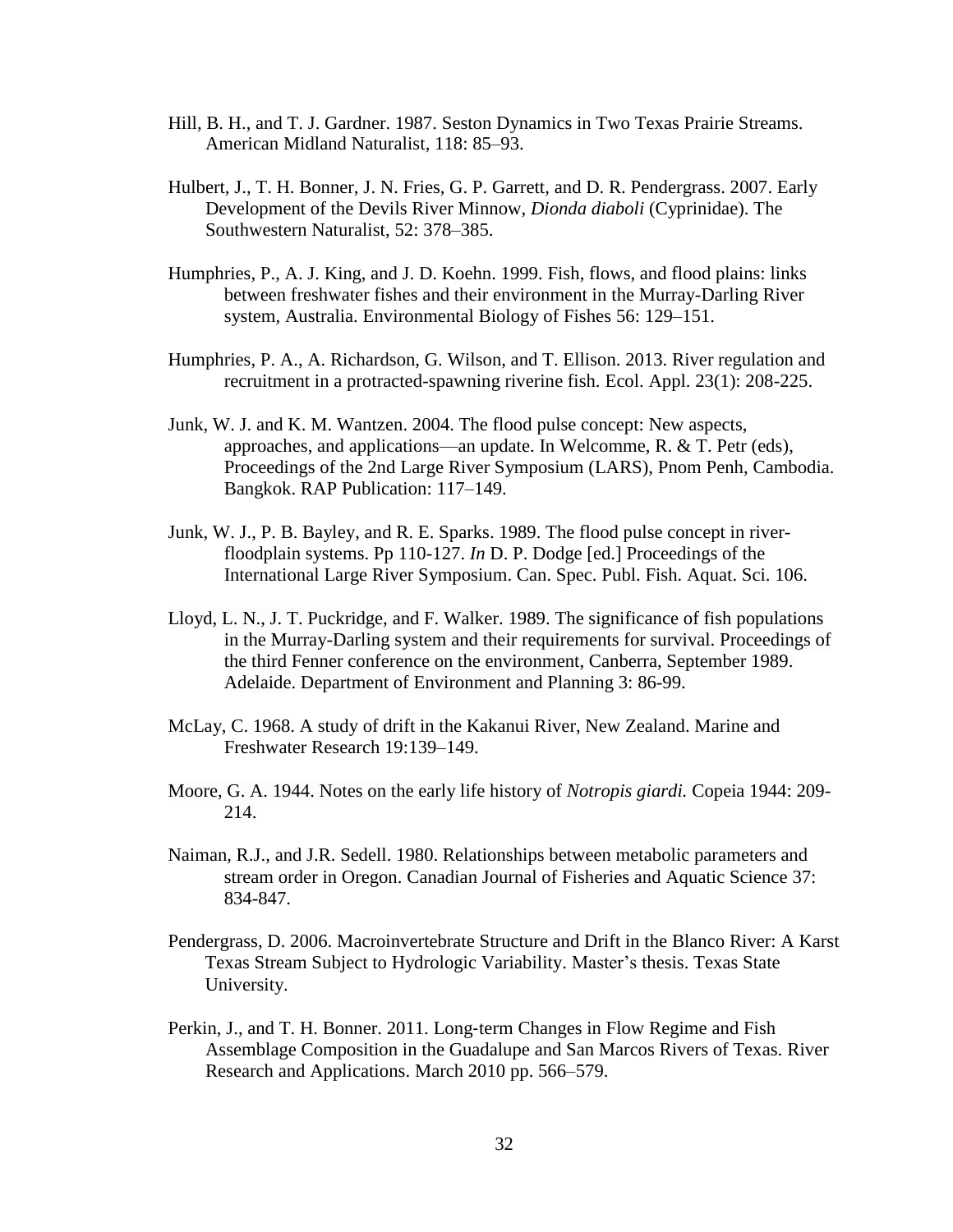- Hill, B. H., and T. J. Gardner. 1987. Seston Dynamics in Two Texas Prairie Streams. American Midland Naturalist, 118: 85–93.
- Hulbert, J., T. H. Bonner, J. N. Fries, G. P. Garrett, and D. R. Pendergrass. 2007. Early Development of the Devils River Minnow, *Dionda diaboli* (Cyprinidae). The Southwestern Naturalist, 52: 378–385.
- Humphries, P., A. J. King, and J. D. Koehn. 1999. Fish, flows, and flood plains: links between freshwater fishes and their environment in the Murray-Darling River system, Australia. Environmental Biology of Fishes 56: 129–151.
- Humphries, P. A., A. Richardson, G. Wilson, and T. Ellison. 2013. River regulation and recruitment in a protracted-spawning riverine fish. Ecol. Appl. 23(1): 208-225.
- Junk, W. J. and K. M. Wantzen. 2004. The flood pulse concept: New aspects, approaches, and applications—an update. In Welcomme, R. & T. Petr (eds), Proceedings of the 2nd Large River Symposium (LARS), Pnom Penh, Cambodia. Bangkok. RAP Publication: 117–149.
- Junk, W. J., P. B. Bayley, and R. E. Sparks. 1989. The flood pulse concept in riverfloodplain systems. Pp 110-127. *In* D. P. Dodge [ed.] Proceedings of the International Large River Symposium. Can. Spec. Publ. Fish. Aquat. Sci. 106.
- Lloyd, L. N., J. T. Puckridge, and F. Walker. 1989. The significance of fish populations in the Murray-Darling system and their requirements for survival. Proceedings of the third Fenner conference on the environment, Canberra, September 1989. Adelaide. Department of Environment and Planning 3: 86-99.
- McLay, C. 1968. A study of drift in the Kakanui River, New Zealand. Marine and Freshwater Research 19:139–149.
- Moore, G. A. 1944. Notes on the early life history of *Notropis giardi.* Copeia 1944: 209- 214.
- Naiman, R.J., and J.R. Sedell. 1980. Relationships between metabolic parameters and stream order in Oregon. Canadian Journal of Fisheries and Aquatic Science 37: 834-847.
- Pendergrass, D. 2006. Macroinvertebrate Structure and Drift in the Blanco River: A Karst Texas Stream Subject to Hydrologic Variability. Master's thesis. Texas State University.
- Perkin, J., and T. H. Bonner. 2011. Long-term Changes in Flow Regime and Fish Assemblage Composition in the Guadalupe and San Marcos Rivers of Texas. River Research and Applications. March 2010 pp. 566–579.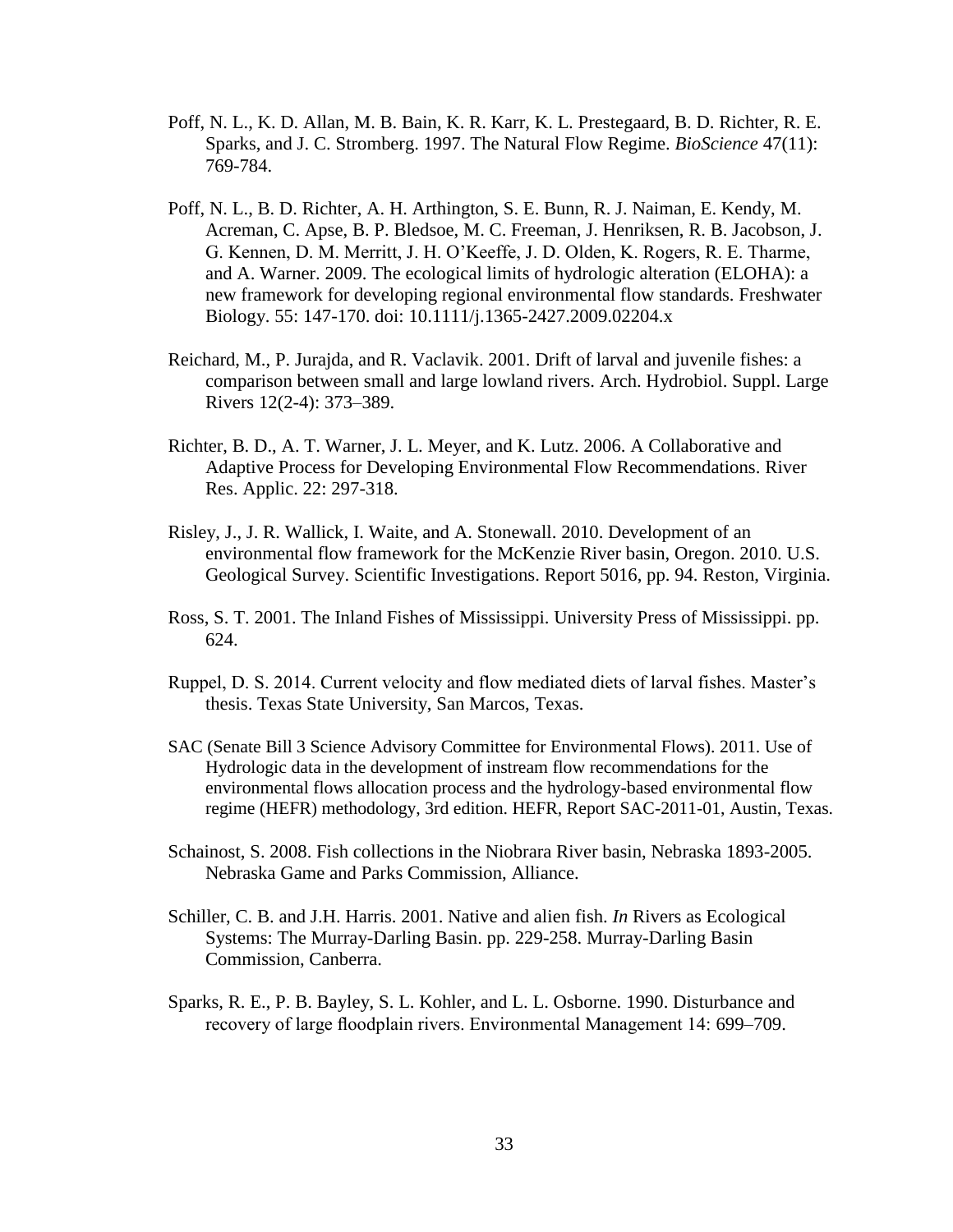- Poff, N. L., K. D. Allan, M. B. Bain, K. R. Karr, K. L. Prestegaard, B. D. Richter, R. E. Sparks, and J. C. Stromberg. 1997. The Natural Flow Regime. *BioScience* 47(11): 769-784.
- Poff, N. L., B. D. Richter, A. H. Arthington, S. E. Bunn, R. J. Naiman, E. Kendy, M. Acreman, C. Apse, B. P. Bledsoe, M. C. Freeman, J. Henriksen, R. B. Jacobson, J. G. Kennen, D. M. Merritt, J. H. O'Keeffe, J. D. Olden, K. Rogers, R. E. Tharme, and A. Warner. 2009. The ecological limits of hydrologic alteration (ELOHA): a new framework for developing regional environmental flow standards. Freshwater Biology. 55: 147-170. doi: 10.1111/j.1365-2427.2009.02204.x
- Reichard, M., P. Jurajda, and R. Vaclavik. 2001. Drift of larval and juvenile fishes: a comparison between small and large lowland rivers. Arch. Hydrobiol. Suppl. Large Rivers 12(2-4): 373–389.
- Richter, B. D., A. T. Warner, J. L. Meyer, and K. Lutz. 2006. A Collaborative and Adaptive Process for Developing Environmental Flow Recommendations. River Res. Applic. 22: 297-318.
- Risley, J., J. R. Wallick, I. Waite, and A. Stonewall. 2010. Development of an environmental flow framework for the McKenzie River basin, Oregon. 2010. U.S. Geological Survey. Scientific Investigations. Report 5016, pp. 94. Reston, Virginia.
- Ross, S. T. 2001. The Inland Fishes of Mississippi. University Press of Mississippi. pp. 624.
- Ruppel, D. S. 2014. Current velocity and flow mediated diets of larval fishes. Master's thesis. Texas State University, San Marcos, Texas.
- SAC (Senate Bill 3 Science Advisory Committee for Environmental Flows). 2011. Use of Hydrologic data in the development of instream flow recommendations for the environmental flows allocation process and the hydrology-based environmental flow regime (HEFR) methodology, 3rd edition. HEFR, Report SAC-2011-01, Austin, Texas.
- Schainost, S. 2008. Fish collections in the Niobrara River basin, Nebraska 1893-2005. Nebraska Game and Parks Commission, Alliance.
- Schiller, C. B. and J.H. Harris. 2001. Native and alien fish. *In* Rivers as Ecological Systems: The Murray-Darling Basin. pp. 229-258. Murray-Darling Basin Commission, Canberra.
- Sparks, R. E., P. B. Bayley, S. L. Kohler, and L. L. Osborne. 1990. Disturbance and recovery of large floodplain rivers. Environmental Management 14: 699–709.